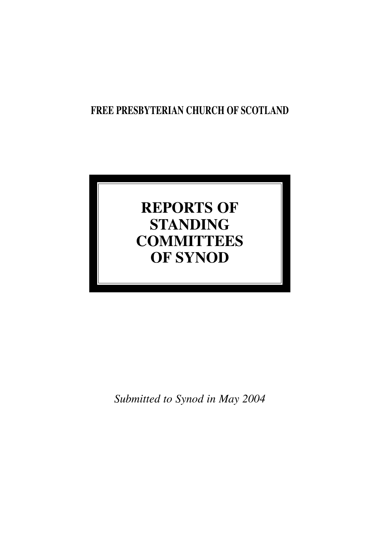## **FREE PRESBYTERIAN CHURCH OF SCOTLAND**

# **REPORTS OF STANDING COMMITTEES OF SYNOD**

*Submitted to Synod in May 2004*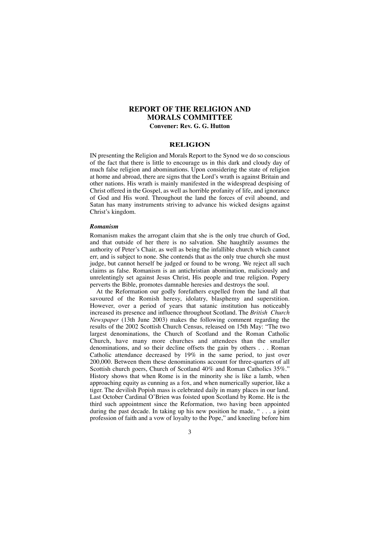## **REPORT OF THE RELIGION AND MORALS COMMITTEE Convener: Rev. G. G. Hutton**

#### **RELIGION**

IN presenting the Religion and Morals Report to the Synod we do so conscious of the fact that there is little to encourage us in this dark and cloudy day of much false religion and abominations. Upon considering the state of religion at home and abroad, there are signs that the Lord's wrath is against Britain and other nations. His wrath is mainly manifested in the widespread despising of Christ offered in the Gospel, as well as horrible profanity of life, and ignorance of God and His word. Throughout the land the forces of evil abound, and Satan has many instruments striving to advance his wicked designs against Christ's kingdom.

#### *Romanism*

Romanism makes the arrogant claim that she is the only true church of God, and that outside of her there is no salvation. She haughtily assumes the authority of Peter's Chair, as well as being the infallible church which cannot err, and is subject to none. She contends that as the only true church she must judge, but cannot herself be judged or found to be wrong. We reject all such claims as false. Romanism is an antichristian abomination, maliciously and unrelentingly set against Jesus Christ, His people and true religion. Popery perverts the Bible, promotes damnable heresies and destroys the soul.

At the Reformation our godly forefathers expelled from the land all that savoured of the Romish heresy, idolatry, blasphemy and superstition. However, over a period of years that satanic institution has noticeably increased its presence and influence throughout Scotland. The *British Church Newspaper* (13th June 2003) makes the following comment regarding the results of the 2002 Scottish Church Census, released on 15th May: "The two largest denominations, the Church of Scotland and the Roman Catholic Church, have many more churches and attendees than the smaller denominations, and so their decline offsets the gain by others . . . Roman Catholic attendance decreased by 19% in the same period, to just over 200,000. Between them these denominations account for three-quarters of all Scottish church goers, Church of Scotland 40% and Roman Catholics 35%." History shows that when Rome is in the minority she is like a lamb, when approaching equity as cunning as a fox, and when numerically superior, like a tiger. The devilish Popish mass is celebrated daily in many places in our land. Last October Cardinal O'Brien was foisted upon Scotland by Rome. He is the third such appointment since the Reformation, two having been appointed during the past decade. In taking up his new position he made, " . . . a joint profession of faith and a vow of loyalty to the Pope," and kneeling before him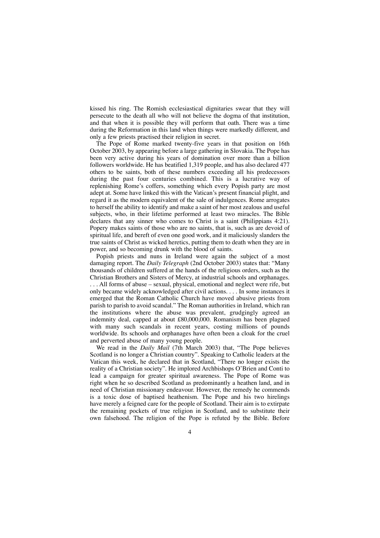kissed his ring. The Romish ecclesiastical dignitaries swear that they will persecute to the death all who will not believe the dogma of that institution, and that when it is possible they will perform that oath. There was a time during the Reformation in this land when things were markedly different, and only a few priests practised their religion in secret.

The Pope of Rome marked twenty-five years in that position on 16th October 2003, by appearing before a large gathering in Slovakia. The Pope has been very active during his years of domination over more than a billion followers worldwide. He has beatified 1,319 people, and has also declared 477 others to be saints, both of these numbers exceeding all his predecessors during the past four centuries combined. This is a lucrative way of replenishing Rome's coffers, something which every Popish party are most adept at. Some have linked this with the Vatican's present financial plight, and regard it as the modern equivalent of the sale of indulgences. Rome arrogates to herself the ability to identify and make a saint of her most zealous and useful subjects, who, in their lifetime performed at least two miracles. The Bible declares that any sinner who comes to Christ is a saint (Philippians 4:21). Popery makes saints of those who are no saints, that is, such as are devoid of spiritual life, and bereft of even one good work, and it maliciously slanders the true saints of Christ as wicked heretics, putting them to death when they are in power, and so becoming drunk with the blood of saints.

Popish priests and nuns in Ireland were again the subject of a most damaging report. The *Daily Telegraph* (2nd October 2003) states that: "Many thousands of children suffered at the hands of the religious orders, such as the Christian Brothers and Sisters of Mercy, at industrial schools and orphanages. . . . All forms of abuse – sexual, physical, emotional and neglect were rife, but only became widely acknowledged after civil actions. . . . In some instances it emerged that the Roman Catholic Church have moved abusive priests from parish to parish to avoid scandal." The Roman authorities in Ireland, which ran the institutions where the abuse was prevalent, grudgingly agreed an indemnity deal, capped at about £80,000,000. Romanism has been plagued with many such scandals in recent years, costing millions of pounds worldwide. Its schools and orphanages have often been a cloak for the cruel and perverted abuse of many young people.

We read in the *Daily Mail* (7th March 2003) that, "The Pope believes Scotland is no longer a Christian country". Speaking to Catholic leaders at the Vatican this week, he declared that in Scotland, "There no longer exists the reality of a Christian society". He implored Archbishops O'Brien and Conti to lead a campaign for greater spiritual awareness. The Pope of Rome was right when he so described Scotland as predominantly a heathen land, and in need of Christian missionary endeavour. However, the remedy he commends is a toxic dose of baptised heathenism. The Pope and his two hirelings have merely a feigned care for the people of Scotland. Their aim is to extirpate the remaining pockets of true religion in Scotland, and to substitute their own falsehood. The religion of the Pope is refuted by the Bible. Before

 $\Delta$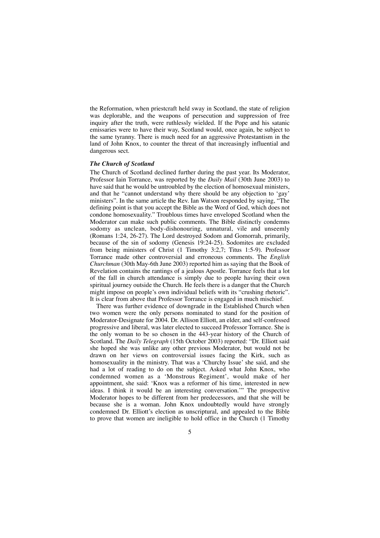the Reformation, when priestcraft held sway in Scotland, the state of religion was deplorable, and the weapons of persecution and suppression of free inquiry after the truth, were ruthlessly wielded. If the Pope and his satanic emissaries were to have their way, Scotland would, once again, be subject to the same tyranny. There is much need for an aggressive Protestantism in the land of John Knox, to counter the threat of that increasingly influential and dangerous sect.

#### *The Church of Scotland*

The Church of Scotland declined further during the past year. Its Moderator, Professor Iain Torrance, was reported by the *Daily Mail* (30th June 2003) to have said that he would be untroubled by the election of homosexual ministers, and that he "cannot understand why there should be any objection to 'gay' ministers". In the same article the Rev. Ian Watson responded by saying, "The defining point is that you accept the Bible as the Word of God, which does not condone homosexuality." Troublous times have enveloped Scotland when the Moderator can make such public comments. The Bible distinctly condemns sodomy as unclean, body-dishonouring, unnatural, vile and unseemly (Romans 1:24, 26-27). The Lord destroyed Sodom and Gomorrah, primarily, because of the sin of sodomy (Genesis 19:24-25). Sodomites are excluded from being ministers of Christ (1 Timothy 3:2,7; Titus 1:5-9). Professor Torrance made other controversial and erroneous comments. The *English Churchman* (30th May-6th June 2003) reported him as saying that the Book of Revelation contains the rantings of a jealous Apostle. Torrance feels that a lot of the fall in church attendance is simply due to people having their own spiritual journey outside the Church. He feels there is a danger that the Church might impose on people's own individual beliefs with its "crushing rhetoric". It is clear from above that Professor Torrance is engaged in much mischief.

There was further evidence of downgrade in the Established Church when two women were the only persons nominated to stand for the position of Moderator-Designate for 2004. Dr. Allison Elliott, an elder, and self-confessed progressive and liberal, was later elected to succeed Professor Torrance. She is the only woman to be so chosen in the 443-year history of the Church of Scotland. The *Daily Telegraph* (15th October 2003) reported: "Dr. Elliott said she hoped she was unlike any other previous Moderator, but would not be drawn on her views on controversial issues facing the Kirk, such as homosexuality in the ministry. That was a 'Churchy Issue' she said, and she had a lot of reading to do on the subject. Asked what John Knox, who condemned women as a 'Monstrous Regiment', would make of her appointment, she said: 'Knox was a reformer of his time, interested in new ideas. I think it would be an interesting conversation.'" The prospective Moderator hopes to be different from her predecessors, and that she will be because she is a woman. John Knox undoubtedly would have strongly condemned Dr. Elliott's election as unscriptural, and appealed to the Bible to prove that women are ineligible to hold office in the Church (1 Timothy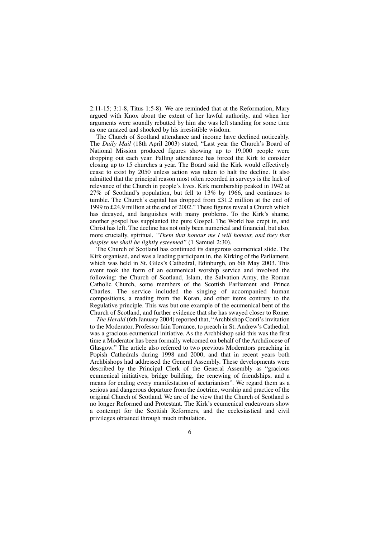2:11-15; 3:1-8, Titus 1:5-8). We are reminded that at the Reformation, Mary argued with Knox about the extent of her lawful authority, and when her arguments were soundly rebutted by him she was left standing for some time as one amazed and shocked by his irresistible wisdom.

The Church of Scotland attendance and income have declined noticeably. The *Daily Mail* (18th April 2003) stated, "Last year the Church's Board of National Mission produced figures showing up to 19,000 people were dropping out each year. Falling attendance has forced the Kirk to consider closing up to 15 churches a year. The Board said the Kirk would effectively cease to exist by 2050 unless action was taken to halt the decline. It also admitted that the principal reason most often recorded in surveys is the lack of relevance of the Church in people's lives. Kirk membership peaked in 1942 at 27% of Scotland's population, but fell to 13% by 1966, and continues to tumble. The Church's capital has dropped from £31.2 million at the end of 1999 to £24.9 million at the end of 2002." These figures reveal a Church which has decayed, and languishes with many problems. To the Kirk's shame, another gospel has supplanted the pure Gospel. The World has crept in, and Christ has left. The decline has not only been numerical and financial, but also, more crucially, spiritual. *"Them that honour me I will honour, and they that despise me shall be lightly esteemed"* (1 Samuel 2:30).

The Church of Scotland has continued its dangerous ecumenical slide. The Kirk organised, and was a leading participant in, the Kirking of the Parliament, which was held in St. Giles's Cathedral, Edinburgh, on 6th May 2003. This event took the form of an ecumenical worship service and involved the following: the Church of Scotland, Islam, the Salvation Army, the Roman Catholic Church, some members of the Scottish Parliament and Prince Charles. The service included the singing of accompanied human compositions, a reading from the Koran, and other items contrary to the Regulative principle. This was but one example of the ecumenical bent of the Church of Scotland, and further evidence that she has swayed closer to Rome.

*The Herald* (6th January 2004) reported that, "Archbishop Conti's invitation to the Moderator, Professor Iain Torrance, to preach in St. Andrew's Cathedral, was a gracious ecumenical initiative. As the Archbishop said this was the first time a Moderator has been formally welcomed on behalf of the Archdiocese of Glasgow." The article also referred to two previous Moderators preaching in Popish Cathedrals during 1998 and 2000, and that in recent years both Archbishops had addressed the General Assembly. These developments were described by the Principal Clerk of the General Assembly as "gracious ecumenical initiatives, bridge building, the renewing of friendships, and a means for ending every manifestation of sectarianism". We regard them as a serious and dangerous departure from the doctrine, worship and practice of the original Church of Scotland. We are of the view that the Church of Scotland is no longer Reformed and Protestant. The Kirk's ecumenical endeavours show a contempt for the Scottish Reformers, and the ecclesiastical and civil privileges obtained through much tribulation.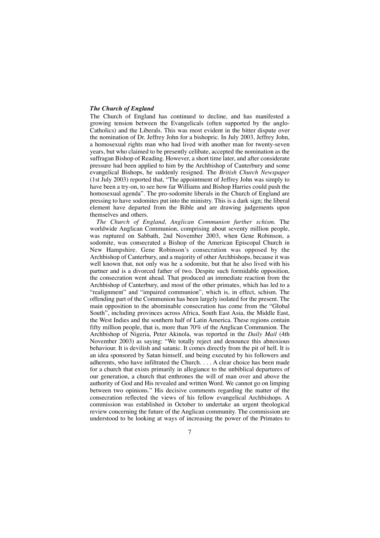#### *The Church of England*

The Church of England has continued to decline, and has manifested a growing tension between the Evangelicals (often supported by the anglo-Catholics) and the Liberals. This was most evident in the bitter dispute over the nomination of Dr. Jeffrey John for a bishopric. In July 2003, Jeffrey John, a homosexual rights man who had lived with another man for twenty-seven years, but who claimed to be presently celibate, accepted the nomination as the suffragan Bishop of Reading. However, a short time later, and after considerate pressure had been applied to him by the Archbishop of Canterbury and some evangelical Bishops, he suddenly resigned. The *British Church Newspaper* (1st July 2003) reported that, "The appointment of Jeffrey John was simply to have been a try-on, to see how far Williams and Bishop Harries could push the homosexual agenda". The pro-sodomite liberals in the Church of England are pressing to have sodomites put into the ministry. This is a dark sign; the liberal element have departed from the Bible and are drawing judgements upon themselves and others.

*The Church of England, Anglican Communion further schism.* The worldwide Anglican Communion, comprising about seventy million people, was ruptured on Sabbath, 2nd November 2003, when Gene Robinson, a sodomite, was consecrated a Bishop of the American Episcopal Church in New Hampshire. Gene Robinson's consecration was opposed by the Archbishop of Canterbury, and a majority of other Archbishops, because it was well known that, not only was he a sodomite, but that he also lived with his partner and is a divorced father of two. Despite such formidable opposition, the consecration went ahead. That produced an immediate reaction from the Archbishop of Canterbury, and most of the other primates, which has led to a "realignment" and "impaired communion", which is, in effect, schism. The offending part of the Communion has been largely isolated for the present. The main opposition to the abominable consecration has come from the "Global South", including provinces across Africa, South East Asia, the Middle East, the West Indies and the southern half of Latin America. These regions contain fifty million people, that is, more than 70% of the Anglican Communion. The Archbishop of Nigeria, Peter Akinola, was reported in the *Daily Mail* (4th November 2003) as saying: "We totally reject and denounce this abnoxious behaviour. It is devilish and satanic. It comes directly from the pit of hell. It is an idea sponsored by Satan himself, and being executed by his followers and adherents, who have infiltrated the Church. . . . A clear choice has been made for a church that exists primarily in allegiance to the unbiblical departures of our generation, a church that enthrones the will of man over and above the authority of God and His revealed and written Word. We cannot go on limping between two opinions." His decisive comments regarding the matter of the consecration reflected the views of his fellow evangelical Archbishops. A commission was established in October to undertake an urgent theological review concerning the future of the Anglican community. The commission are understood to be looking at ways of increasing the power of the Primates to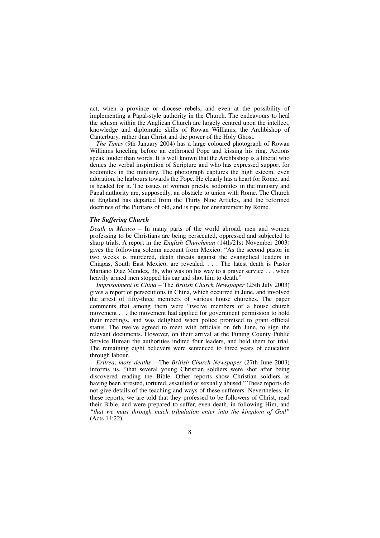act, when a province or diocese rebels, and even at the possibility of implementing a Papal-style authority in the Church. The endeavours to heal the schism within the Anglican Church are largely centred upon the intellect, knowledge and diplomatic skills of Rowan Williams, the Archbishop of Canterbury, rather than Christ and the power of the Holy Ghost.

*The Times* (9th January 2004) has a large coloured photograph of Rowan Williams kneeling before an enthroned Pope and kissing his ring. Actions speak louder than words. It is well known that the Archbishop is a liberal who denies the verbal inspiration of Scripture and who has expressed support for sodomites in the ministry. The photograph captures the high esteem, even adoration, he harbours towards the Pope. He clearly has a heart for Rome, and is headed for it. The issues of women priests, sodomites in the ministry and Papal authority are, supposedly, an obstacle to union with Rome. The Church of England has departed from the Thirty Nine Articles, and the reformed doctrines of the Puritans of old, and is ripe for ensnarement by Rome.

#### *The Suffering Church*

*Death in Mexico* – In many parts of the world abroad, men and women professing to be Christians are being persecuted, oppressed and subjected to sharp trials. A report in the *English Churchman* (14th/21st November 2003) gives the following solemn account from Mexico: "As the second pastor in two weeks is murdered, death threats against the evangelical leaders in Chiapas, South East Mexico, are revealed. . . . The latest death is Pastor Mariano Diaz Mendez, 38, who was on his way to a prayer service . . . when heavily armed men stopped his car and shot him to death."

*Imprisonment in China* – The *British Church Newspaper* (25th July 2003) gives a report of persecutions in China, which occurred in June, and involved the arrest of fifty-three members of various house churches. The paper comments that among them were "twelve members of a house church movement . . . the movement had applied for government permission to hold their meetings, and was delighted when police promised to grant official status. The twelve agreed to meet with officials on 6th June, to sign the relevant documents. However, on their arrival at the Funing County Public Service Bureau the authorities indited four leaders, and held them for trial. The remaining eight believers were sentenced to three years of education through labour.

*Eritrea, more deaths* – The *British Church Newspaper* (27th June 2003) informs us, "that several young Christian soldiers were shot after being discovered reading the Bible. Other reports show Christian soldiers as having been arrested, tortured, assaulted or sexually abused." These reports do not give details of the teaching and ways of these sufferers. Nevertheless, in these reports, we are told that they professed to be followers of Christ, read their Bible, and were prepared to suffer, even death, in following Him, and *"that we must through much tribulation enter into the kingdom of God"* (Acts 14:22).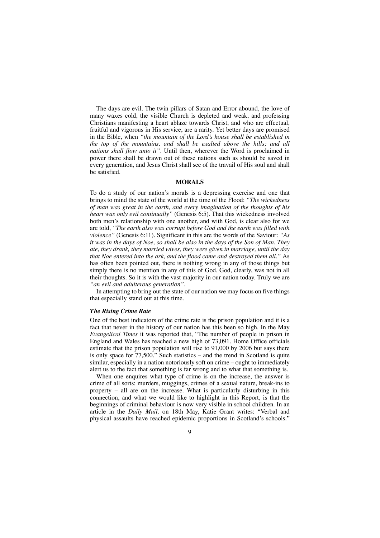The days are evil. The twin pillars of Satan and Error abound, the love of many waxes cold, the visible Church is depleted and weak, and professing Christians manifesting a heart ablaze towards Christ, and who are effectual, fruitful and vigorous in His service, are a rarity. Yet better days are promised in the Bible, when *"the mountain of the Lord's house shall be established in the top of the mountains, and shall be exalted above the hills; and all nations shall flow unto it".* Until then, wherever the Word is proclaimed in power there shall be drawn out of these nations such as should be saved in every generation, and Jesus Christ shall see of the travail of His soul and shall be satisfied.

#### **MORALS**

To do a study of our nation's morals is a depressing exercise and one that brings to mind the state of the world at the time of the Flood: *"The wickedness of man was great in the earth, and every imagination of the thoughts of his heart was only evil continually"* (Genesis 6:5). That this wickedness involved both men's relationship with one another, and with God, is clear also for we are told, *"The earth also was corrupt before God and the earth was filled with violence"* (Genesis 6:11). Significant in this are the words of the Saviour: *"As it was in the days of Noe, so shall be also in the days of the Son of Man. They ate, they drank, they married wives, they were given in marriage, until the day that Noe entered into the ark, and the flood came and destroyed them all."* As has often been pointed out, there is nothing wrong in any of those things but simply there is no mention in any of this of God. God, clearly, was not in all their thoughts. So it is with the vast majority in our nation today. Truly we are *"an evil and adulterous generation".*

In attempting to bring out the state of our nation we may focus on five things that especially stand out at this time.

#### *The Rising Crime Rate*

One of the best indicators of the crime rate is the prison population and it is a fact that never in the history of our nation has this been so high. In the May *Evangelical Times* it was reported that, "The number of people in prison in England and Wales has reached a new high of 73,091. Home Office officials estimate that the prison population will rise to 91,000 by 2006 but says there is only space for  $77,500$ ." Such statistics – and the trend in Scotland is quite similar, especially in a nation notoriously soft on crime – ought to immediately alert us to the fact that something is far wrong and to what that something is.

When one enquires what type of crime is on the increase, the answer is crime of all sorts: murders, muggings, crimes of a sexual nature, break-ins to property – all are on the increase. What is particularly disturbing in this connection, and what we would like to highlight in this Report, is that the beginnings of criminal behaviour is now very visible in school children. In an article in the *Daily Mail,* on 18th May, Katie Grant writes: "Verbal and physical assaults have reached epidemic proportions in Scotland's schools."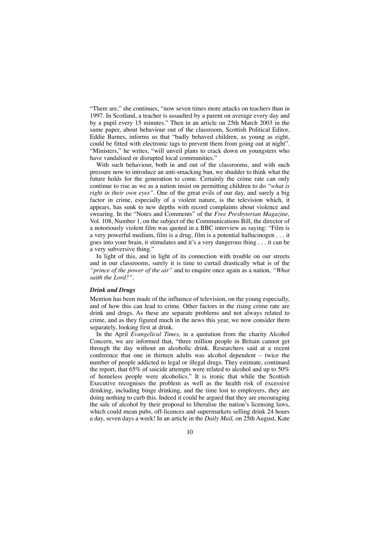"There are," she continues, "now seven times more attacks on teachers than in 1997. In Scotland, a teacher is assaulted by a parent on average every day and by a pupil every 15 minutes." Then in an article on 25th March 2003 in the same paper, about behaviour out of the classroom, Scottish Political Editor, Eddie Barnes, informs us that "badly behaved children, as young as eight, could be fitted with electronic tags to prevent them from going out at night". "Ministers," he writes, "will unveil plans to crack down on youngsters who have vandalised or disrupted local communities."

With such behaviour, both in and out of the classrooms, and with such pressure now to introduce an anti-smacking ban, we shudder to think what the future holds for the generation to come. Certainly the crime rate can only continue to rise as we as a nation insist on permitting children to do *"what is right in their own eyes".* One of the great evils of our day, and surely a big factor in crime, especially of a violent nature, is the television which, it appears, has sunk to new depths with record complaints about violence and swearing. In the "Notes and Comments" of the *Free Presbyterian Magazine,* Vol. 108, Number 1, on the subject of the Communications Bill, the director of a notoriously violent film was quoted in a BBC interview as saying: "Film is a very powerful medium, film is a drug, film is a potential hallucinogen . . . it goes into your brain, it stimulates and it's a very dangerous thing . . . it can be a very subversive thing."

In light of this, and in light of its connection with trouble on our streets and in our classrooms, surely it is time to curtail drastically what is of the *"prince of the power of the air"* and to enquire once again as a nation, *"What saith the Lord?".*

#### *Drink and Drugs*

Mention has been made of the influence of television, on the young especially, and of how this can lead to crime. Other factors in the rising crime rate are drink and drugs. As these are separate problems and not always related to crime, and as they figured much in the news this year, we now consider them separately, looking first at drink.

In the April *Evangelical Times,* in a quotation from the charity Alcohol Concern, we are informed that, "three million people in Britain cannot get through the day without an alcoholic drink. Researchers said at a recent conference that one in thirteen adults was alcohol dependent – twice the number of people addicted to legal or illegal drugs. They estimate, continued the report, that 65% of suicide attempts were related to alcohol and up to 50% of homeless people were alcoholics." It is ironic that while the Scottish Executive recognises the problem as well as the health risk of excessive drinking, including binge drinking, and the time lost to employers, they are doing nothing to curb this. Indeed it could be argued that they are encouraging the sale of alcohol by their proposal to liberalise the nation's licensing laws, which could mean pubs, off-licences and supermarkets selling drink 24 hours a day, seven days a week! In an article in the *Daily Mail,* on 25th August, Kate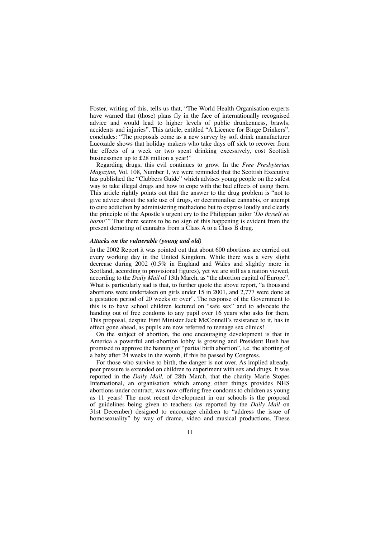Foster, writing of this, tells us that, "The World Health Organisation experts have warned that (those) plans fly in the face of internationally recognised advice and would lead to higher levels of public drunkenness, brawls, accidents and injuries". This article, entitled "A Licence for Binge Drinkers", concludes: "The proposals come as a new survey by soft drink manufacturer Lucozade shows that holiday makers who take days off sick to recover from the effects of a week or two spent drinking excessively, cost Scottish businessmen up to £28 million a year!"

Regarding drugs, this evil continues to grow. In the *Free Presbyterian Magazine,* Vol. 108, Number 1, we were reminded that the Scottish Executive has published the "Clubbers Guide" which advises young people on the safest way to take illegal drugs and how to cope with the bad effects of using them. This article rightly points out that the answer to the drug problem is "not to give advice about the safe use of drugs, or decriminalise cannabis, or attempt to cure addiction by administering methadone but to express loudly and clearly the principle of the Apostle's urgent cry to the Philippian jailor *'Do thyself no harm!*'" That there seems to be no sign of this happening is evident from the present demoting of cannabis from a Class A to a Class B drug.

#### *Attacks on the vulnerable (young and old)*

In the 2002 Report it was pointed out that about 600 abortions are carried out every working day in the United Kingdom. While there was a very slight decrease during 2002 (0.5% in England and Wales and slightly more in Scotland, according to provisional figures), yet we are still as a nation viewed, according to the *Daily Mail* of 13th March, as "the abortion capital of Europe". What is particularly sad is that, to further quote the above report, "a thousand abortions were undertaken on girls under 15 in 2001, and 2,777 were done at a gestation period of 20 weeks or over". The response of the Government to this is to have school children lectured on "safe sex" and to advocate the handing out of free condoms to any pupil over 16 years who asks for them. This proposal, despite First Minister Jack McConnell's resistance to it, has in effect gone ahead, as pupils are now referred to teenage sex clinics!

On the subject of abortion, the one encouraging development is that in America a powerful anti-abortion lobby is growing and President Bush has promised to approve the banning of "partial birth abortion", i.e. the aborting of a baby after 24 weeks in the womb, if this be passed by Congress.

For those who survive to birth, the danger is not over. As implied already, peer pressure is extended on children to experiment with sex and drugs. It was reported in the *Daily Mail,* of 28th March, that the charity Marie Stopes International, an organisation which among other things provides NHS abortions under contract, was now offering free condoms to children as young as 11 years! The most recent development in our schools is the proposal of guidelines being given to teachers (as reported by the *Daily Mail* on 31st December) designed to encourage children to "address the issue of homosexuality" by way of drama, video and musical productions. These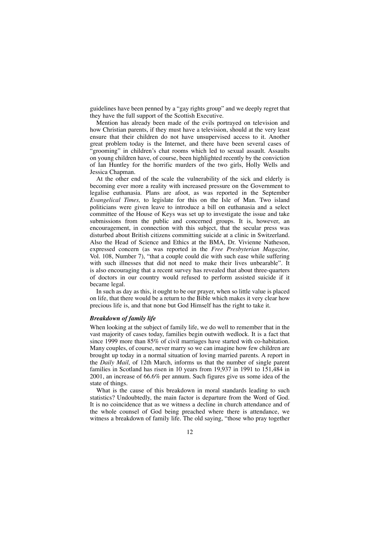guidelines have been penned by a "gay rights group" and we deeply regret that they have the full support of the Scottish Executive.

Mention has already been made of the evils portrayed on television and how Christian parents, if they must have a television, should at the very least ensure that their children do not have unsupervised access to it. Another great problem today is the Internet, and there have been several cases of 'grooming" in children's chat rooms which led to sexual assault. Assaults on young children have, of course, been highlighted recently by the conviction of Ian Huntley for the horrific murders of the two girls, Holly Wells and Jessica Chapman.

At the other end of the scale the vulnerability of the sick and elderly is becoming ever more a reality with increased pressure on the Government to legalise euthanasia. Plans are afoot, as was reported in the September *Evangelical Times,* to legislate for this on the Isle of Man. Two island politicians were given leave to introduce a bill on euthanasia and a select committee of the House of Keys was set up to investigate the issue and take submissions from the public and concerned groups. It is, however, an encouragement, in connection with this subject, that the secular press was disturbed about British citizens committing suicide at a clinic in Switzerland. Also the Head of Science and Ethics at the BMA, Dr. Vivienne Natheson, expressed concern (as was reported in the *Free Presbyterian Magazine,* Vol. 108, Number 7), "that a couple could die with such ease while suffering with such illnesses that did not need to make their lives unbearable". It is also encouraging that a recent survey has revealed that about three-quarters of doctors in our country would refused to perform assisted suicide if it became legal.

In such as day as this, it ought to be our prayer, when so little value is placed on life, that there would be a return to the Bible which makes it very clear how precious life is, and that none but God Himself has the right to take it.

#### *Breakdown of family life*

When looking at the subject of family life, we do well to remember that in the vast majority of cases today, families begin outwith wedlock. It is a fact that since 1999 more than 85% of civil marriages have started with co-habitation. Many couples, of course, never marry so we can imagine how few children are brought up today in a normal situation of loving married parents. A report in the *Daily Mail,* of 12th March, informs us that the number of single parent families in Scotland has risen in 10 years from 19,937 in 1991 to 151,484 in 2001, an increase of 66.6% per annum. Such figures give us some idea of the state of things.

What is the cause of this breakdown in moral standards leading to such statistics? Undoubtedly, the main factor is departure from the Word of God. It is no coincidence that as we witness a decline in church attendance and of the whole counsel of God being preached where there is attendance, we witness a breakdown of family life. The old saying, "those who pray together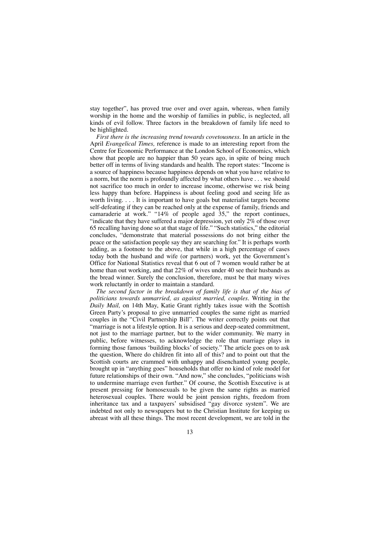stay together", has proved true over and over again, whereas, when family worship in the home and the worship of families in public, is neglected, all kinds of evil follow. Three factors in the breakdown of family life need to be highlighted.

*First there is the increasing trend towards covetousness.* In an article in the April *Evangelical Times,* reference is made to an interesting report from the Centre for Economic Performance at the London School of Economics, which show that people are no happier than 50 years ago, in spite of being much better off in terms of living standards and health. The report states: "Income is a source of happiness because happiness depends on what you have relative to a norm, but the norm is profoundly affected by what others have . . . we should not sacrifice too much in order to increase income, otherwise we risk being less happy than before. Happiness is about feeling good and seeing life as worth living. . . . It is important to have goals but materialist targets become self-defeating if they can be reached only at the expense of family, friends and camaraderie at work." "14% of people aged 35," the report continues, "indicate that they have suffered a major depression, yet only  $2\%$  of those over 65 recalling having done so at that stage of life." "Such statistics," the editorial concludes, "demonstrate that material possessions do not bring either the peace or the satisfaction people say they are searching for." It is perhaps worth adding, as a footnote to the above, that while in a high percentage of cases today both the husband and wife (or partners) work, yet the Government's Office for National Statistics reveal that 6 out of 7 women would rather be at home than out working, and that 22% of wives under 40 see their husbands as the bread winner. Surely the conclusion, therefore, must be that many wives work reluctantly in order to maintain a standard.

*The second factor in the breakdown of family life is that of the bias of politicians towards unmarried, as against married, couples.* Writing in the *Daily Mail,* on 14th May, Katie Grant rightly takes issue with the Scottish Green Party's proposal to give unmarried couples the same right as married couples in the "Civil Partnership Bill". The writer correctly points out that "marriage is not a lifestyle option. It is a serious and deep-seated commitment, not just to the marriage partner, but to the wider community. We marry in public, before witnesses, to acknowledge the role that marriage plays in forming those famous 'building blocks' of society." The article goes on to ask the question, Where do children fit into all of this? and to point out that the Scottish courts are crammed with unhappy and disenchanted young people, brought up in "anything goes" households that offer no kind of role model for future relationships of their own. "And now," she concludes, "politicians wish to undermine marriage even further." Of course, the Scottish Executive is at present pressing for homosexuals to be given the same rights as married heterosexual couples. There would be joint pension rights, freedom from inheritance tax and a taxpayers' subsidised "gay divorce system". We are indebted not only to newspapers but to the Christian Institute for keeping us abreast with all these things. The most recent development, we are told in the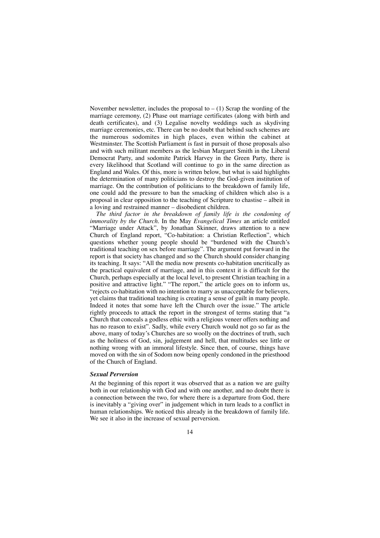November newsletter, includes the proposal to  $- (1)$  Scrap the wording of the marriage ceremony, (2) Phase out marriage certificates (along with birth and death certificates), and (3) Legalise novelty weddings such as skydiving marriage ceremonies, etc. There can be no doubt that behind such schemes are the numerous sodomites in high places, even within the cabinet at Westminster. The Scottish Parliament is fast in pursuit of those proposals also and with such militant members as the lesbian Margaret Smith in the Liberal Democrat Party, and sodomite Patrick Harvey in the Green Party, there is every likelihood that Scotland will continue to go in the same direction as England and Wales. Of this, more is written below, but what is said highlights the determination of many politicians to destroy the God-given institution of marriage. On the contribution of politicians to the breakdown of family life, one could add the pressure to ban the smacking of children which also is a proposal in clear opposition to the teaching of Scripture to chastise – albeit in a loving and restrained manner – disobedient children.

*The third factor in the breakdown of family life is the condoning of immorality by the Church.* In the May *Evangelical Times* an article entitled "Marriage under Attack", by Jonathan Skinner, draws attention to a new Church of England report, "Co-habitation: a Christian Reflection", which questions whether young people should be "burdened with the Church's traditional teaching on sex before marriage". The argument put forward in the report is that society has changed and so the Church should consider changing its teaching. It says: "All the media now presents co-habitation uncritically as the practical equivalent of marriage, and in this context it is difficult for the Church, perhaps especially at the local level, to present Christian teaching in a positive and attractive light." "The report," the article goes on to inform us, "rejects co-habitation with no intention to marry as unacceptable for believers, yet claims that traditional teaching is creating a sense of guilt in many people. Indeed it notes that some have left the Church over the issue." The article rightly proceeds to attack the report in the strongest of terms stating that "a Church that conceals a godless ethic with a religious veneer offers nothing and has no reason to exist". Sadly, while every Church would not go so far as the above, many of today's Churches are so woolly on the doctrines of truth, such as the holiness of God, sin, judgement and hell, that multitudes see little or nothing wrong with an immoral lifestyle. Since then, of course, things have moved on with the sin of Sodom now being openly condoned in the priesthood of the Church of England.

#### *Sexual Perversion*

At the beginning of this report it was observed that as a nation we are guilty both in our relationship with God and with one another, and no doubt there is a connection between the two, for where there is a departure from God, there is inevitably a "giving over" in judgement which in turn leads to a conflict in human relationships. We noticed this already in the breakdown of family life. We see it also in the increase of sexual perversion.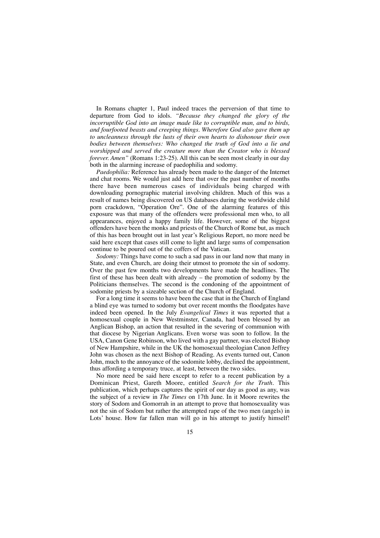In Romans chapter 1, Paul indeed traces the perversion of that time to departure from God to idols. *"Because they changed the glory of the incorruptible God into an image made like to corruptible man, and to birds, and fourfooted beasts and creeping things. Wherefore God also gave them up to uncleanness through the lusts of their own hearts to dishonour their own bodies between themselves: Who changed the truth of God into a lie and worshipped and served the creature more than the Creator who is blessed forever. Amen*" (Romans 1:23-25). All this can be seen most clearly in our day both in the alarming increase of paedophilia and sodomy.

*Paedophilia:* Reference has already been made to the danger of the Internet and chat rooms. We would just add here that over the past number of months there have been numerous cases of individuals being charged with downloading pornographic material involving children. Much of this was a result of names being discovered on US databases during the worldwide child porn crackdown, "Operation Ore". One of the alarming features of this exposure was that many of the offenders were professional men who, to all appearances, enjoyed a happy family life. However, some of the biggest offenders have been the monks and priests of the Church of Rome but, as much of this has been brought out in last year's Religious Report, no more need be said here except that cases still come to light and large sums of compensation continue to be poured out of the coffers of the Vatican.

*Sodomy:* Things have come to such a sad pass in our land now that many in State, and even Church, are doing their utmost to promote the sin of sodomy. Over the past few months two developments have made the headlines. The first of these has been dealt with already – the promotion of sodomy by the Politicians themselves. The second is the condoning of the appointment of sodomite priests by a sizeable section of the Church of England.

For a long time it seems to have been the case that in the Church of England a blind eye was turned to sodomy but over recent months the floodgates have indeed been opened. In the July *Evangelical Times* it was reported that a homosexual couple in New Westminster, Canada, had been blessed by an Anglican Bishop, an action that resulted in the severing of communion with that diocese by Nigerian Anglicans. Even worse was soon to follow. In the USA, Canon Gene Robinson, who lived with a gay partner, was elected Bishop of New Hampshire, while in the UK the homosexual theologian Canon Jeffrey John was chosen as the next Bishop of Reading. As events turned out, Canon John, much to the annoyance of the sodomite lobby, declined the appointment, thus affording a temporary truce, at least, between the two sides.

No more need be said here except to refer to a recent publication by a Dominican Priest, Gareth Moore, entitled *Search for the Truth.* This publication, which perhaps captures the spirit of our day as good as any, was the subject of a review in *The Times* on 17th June. In it Moore rewrites the story of Sodom and Gomorrah in an attempt to prove that homosexuality was not the sin of Sodom but rather the attempted rape of the two men (angels) in Lots' house. How far fallen man will go in his attempt to justify himself!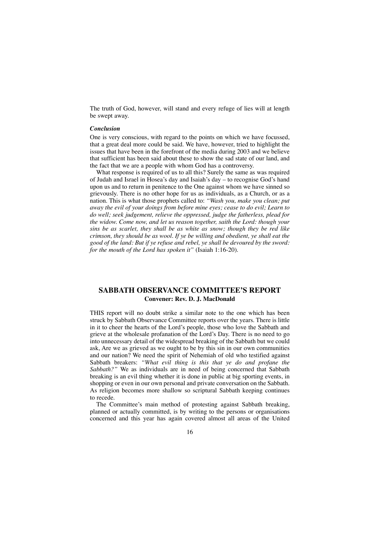The truth of God, however, will stand and every refuge of lies will at length be swept away.

#### *Conclusion*

One is very conscious, with regard to the points on which we have focussed, that a great deal more could be said. We have, however, tried to highlight the issues that have been in the forefront of the media during 2003 and we believe that sufficient has been said about these to show the sad state of our land, and the fact that we are a people with whom God has a controversy.

What response is required of us to all this? Surely the same as was required of Judah and Israel in Hosea's day and Isaiah's day – to recognise God's hand upon us and to return in penitence to the One against whom we have sinned so grievously. There is no other hope for us as individuals, as a Church, or as a nation. This is what those prophets called to: *"Wash you, make you clean; put away the evil of your doings from before mine eyes; cease to do evil; Learn to do well; seek judgement, relieve the oppressed, judge the fatherless, plead for the widow. Come now, and let us reason together, saith the Lord: though your sins be as scarlet, they shall be as white as snow; though they be red like crimson, they should be as wool. If ye be willing and obedient, ye shall eat the good of the land: But if ye refuse and rebel, ye shall be devoured by the sword: for the mouth of the Lord has spoken it"* (Isaiah 1:16-20).

## **SABBATH OBSERVANCE COMMITTEE'S REPORT Convener: Rev. D. J. MacDonald**

THIS report will no doubt strike a similar note to the one which has been struck by Sabbath Observance Committee reports over the years. There is little in it to cheer the hearts of the Lord's people, those who love the Sabbath and grieve at the wholesale profanation of the Lord's Day. There is no need to go into unnecessary detail of the widespread breaking of the Sabbath but we could ask, Are we as grieved as we ought to be by this sin in our own communities and our nation? We need the spirit of Nehemiah of old who testified against Sabbath breakers: *"What evil thing is this that ye do and profane the Sabbath?"* We as individuals are in need of being concerned that Sabbath breaking is an evil thing whether it is done in public at big sporting events, in shopping or even in our own personal and private conversation on the Sabbath. As religion becomes more shallow so scriptural Sabbath keeping continues to recede.

The Committee's main method of protesting against Sabbath breaking, planned or actually committed, is by writing to the persons or organisations concerned and this year has again covered almost all areas of the United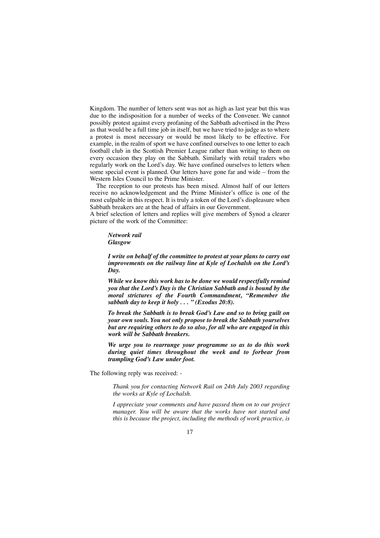Kingdom. The number of letters sent was not as high as last year but this was due to the indisposition for a number of weeks of the Convener. We cannot possibly protest against every profaning of the Sabbath advertised in the Press as that would be a full time job in itself, but we have tried to judge as to where a protest is most necessary or would be most likely to be effective. For example, in the realm of sport we have confined ourselves to one letter to each football club in the Scottish Premier League rather than writing to them on every occasion they play on the Sabbath. Similarly with retail traders who regularly work on the Lord's day. We have confined ourselves to letters when some special event is planned. Our letters have gone far and wide – from the Western Isles Council to the Prime Minister.

The reception to our protests has been mixed. Almost half of our letters receive no acknowledgement and the Prime Minister's office is one of the most culpable in this respect. It is truly a token of the Lord's displeasure when Sabbath breakers are at the head of affairs in our Government.

A brief selection of letters and replies will give members of Synod a clearer picture of the work of the Committee:

*Network rail Glasgow*

*I write on behalf of the committee to protest at your plans to carry out improvements on the railway line at Kyle of Lochalsh on the Lord's Day.*

*While we know this work has to be done we would respectfully remind you that the Lord's Day is the Christian Sabbath and is bound by the moral strictures of the Fourth Commandment, "Remember the sabbath day to keep it holy . . . " (Exodus 20:8).*

*To break the Sabbath is to break God's Law and so to bring guilt on your own souls. You not only propose to break the Sabbath yourselves but are requiring others to do so also, for all who are engaged in this work will be Sabbath breakers.*

*We urge you to rearrange your programme so as to do this work during quiet times throughout the week and to forbear from trampling God's Law under foot.*

The following reply was received: -

*Thank you for contacting Network Rail on 24th July 2003 regarding the works at Kyle of Lochalsh.*

*I appreciate your comments and have passed them on to our project manager. You will be aware that the works have not started and this is because the project, including the methods of work practice, is*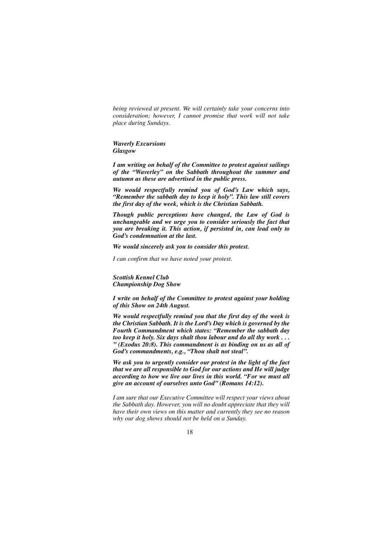*being reviewed at present. We will certainly take your concerns into consideration; however, I cannot promise that work will not take place during Sundays.*

*Waverly Excursions Glasgow*

*I am writing on behalf of the Committee to protest against sailings of the "Waverley" on the Sabbath throughout the summer and autumn as these are advertised in the public press.*

*We would respectfully remind you of God's Law which says, "Remember the sabbath day to keep it holy". This law still covers the first day of the week, which is the Christian Sabbath.*

*Though public perceptions have changed, the Law of God is unchangeable and we urge you to consider seriously the fact that you are breaking it. This action, if persisted in, can lead only to God's condemnation at the last.*

*We would sincerely ask you to consider this protest.*

*I can confirm that we have noted your protest.*

*Scottish Kennel Club Championship Dog Show*

*I write on behalf of the Committee to protest against your holding of this Show on 24th August.*

*We would respectfully remind you that the first day of the week is the Christian Sabbath. It is the Lord's Day which is governed by the Fourth Commandment which states: "Remember the sabbath day too keep it holy. Six days shalt thou labour and do all thy work . . . " (Exodus 20:8). This commandment is as binding on us as all of God's commandments, e.g., "Thou shalt not steal".*

*We ask you to urgently consider our protest in the light of the fact that we are all responsible to God for our actions and He will judge according to how we live our lives in this world. "For we must all give an account of ourselves unto God" (Romans 14:12).*

*I am sure that our Executive Committee will respect your views about the Sabbath day. However, you will no doubt appreciate that they will have their own views on this matter and currently they see no reason why our dog shows should not be held on a Sunday.*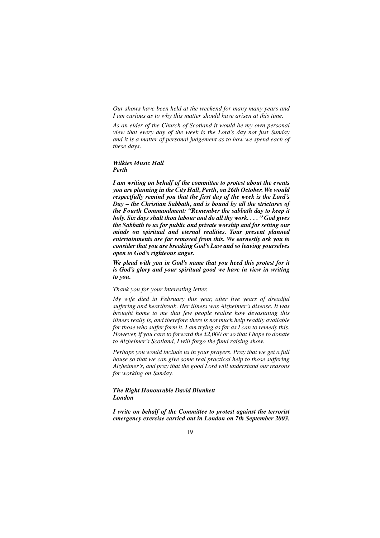*Our shows have been held at the weekend for many many years and I am curious as to why this matter should have arisen at this time.*

*As an elder of the Church of Scotland it would be my own personal view that every day of the week is the Lord's day not just Sunday and it is a matter of personal judgement as to how we spend each of these days.*

#### *Wilkies Music Hall Perth*

*I am writing on behalf of the committee to protest about the events you are planning in the City Hall, Perth, on 26th October. We would respectfully remind you that the first day of the week is the Lord's Day – the Christian Sabbath, and is bound by all the strictures of the Fourth Commandment: "Remember the sabbath day to keep it holy. Six days shalt thou labour and do all thy work. . . . " God gives the Sabbath to us for public and private worship and for setting our minds on spiritual and eternal realities. Your present planned entertainments are far removed from this. We earnestly ask you to consider that you are breaking God's Law and so leaving yourselves open to God's righteous anger.*

*We plead with you in God's name that you heed this protest for it is God's glory and your spiritual good we have in view in writing to you.*

## *Thank you for your interesting letter.*

*My wife died in February this year, after five years of dreadful suffering and heartbreak. Her illness was Alzheimer's disease. It was brought home to me that few people realise how devastating this illness really is, and therefore there is not much help readily available for those who suffer form it. I am trying as far as I can to remedy this. However, if you care to forward the £2,000 or so that I hope to donate to Alzheimer's Scotland, I will forgo the fund raising show.*

*Perhaps you would include us in your prayers. Pray that we get a full house so that we can give some real practical help to those suffering Alzheimer's, and pray that the good Lord will understand our reasons for working on Sunday.*

#### *The Right Honourable David Blunkett London*

*I write on behalf of the Committee to protest against the terrorist emergency exercise carried out in London on 7th September 2003.*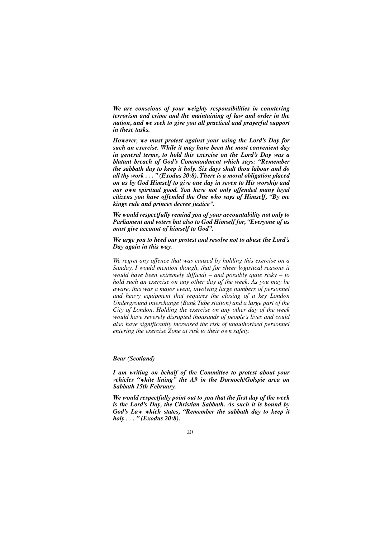*We are conscious of your weighty responsibilities in countering terrorism and crime and the maintaining of law and order in the nation, and we seek to give you all practical and prayerful support in these tasks.*

*However, we must protest against your using the Lord's Day for such an exercise. While it may have been the most convenient day in general terms, to hold this exercise on the Lord's Day was a blatant breach of God's Commandment which says: "Remember the sabbath day to keep it holy. Six days shalt thou labour and do all thy work . . . " (Exodus 20:8). There is a moral obligation placed on us by God Himself to give one day in seven to His worship and our own spiritual good. You have not only offended many loyal citizens you have offended the One who says of Himself, "By me kings rule and princes decree justice".*

*We would respectfully remind you of your accountability not only to Parliament and voters but also to God Himself for, "Everyone of us must give account of himself to God".*

*We urge you to heed our protest and resolve not to abuse the Lord's Day again in this way.*

*We regret any offence that was caused by holding this exercise on a Sunday. I would mention though, that for sheer logistical reasons it would have been extremely difficult – and possibly quite risky – to hold such an exercise on any other day of the week. As you may be aware, this was a major event, involving large numbers of personnel and heavy equipment that requires the closing of a key London Underground interchange (Bank Tube station) and a large part of the City of London. Holding the exercise on any other day of the week would have severely disrupted thousands of people's lives and could also have significantly increased the risk of unauthorised personnel entering the exercise Zone at risk to their own safety.*

#### *Bear (Scotland)*

*I am writing on behalf of the Committee to protest about your vehicles "white lining" the A9 in the Dornoch/Golspie area on Sabbath 15th February.*

*We would respectfully point out to you that the first day of the week is the Lord's Day, the Christian Sabbath. As such it is bound by God's Law which states, "Remember the sabbath day to keep it holy . . . " (Exodus 20:8).*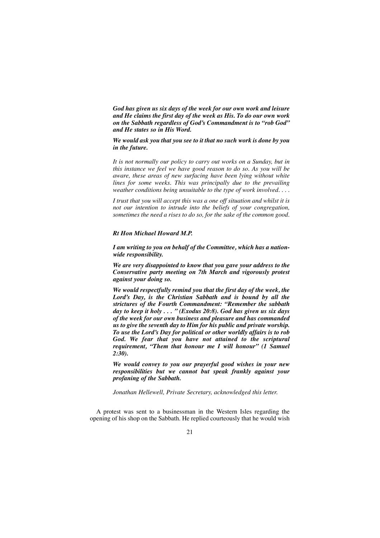*God has given us six days of the week for our own work and leisure and He claims the first day of the week as His. To do our own work on the Sabbath regardless of God's Commandment is to "rob God" and He states so in His Word.*

*We would ask you that you see to it that no such work is done by you in the future.*

*It is not normally our policy to carry out works on a Sunday, but in this instance we feel we have good reason to do so. As you will be aware, these areas of new surfacing have been lying without white lines for some weeks. This was principally due to the prevailing weather conditions being unsuitable to the type of work involved. . . .*

*I trust that you will accept this was a one off situation and whilst it is not our intention to intrude into the beliefs of your congregation, sometimes the need a rises to do so, for the sake of the common good.*

#### *Rt Hon Michael Howard M.P.*

*I am writing to you on behalf of the Committee, which has a nationwide responsibility.*

*We are very disappointed to know that you gave your address to the Conservative party meeting on 7th March and vigorously protest against your doing so.*

*We would respectfully remind you that the first day of the week, the Lord's Day, is the Christian Sabbath and is bound by all the strictures of the Fourth Commandment: "Remember the sabbath day to keep it holy . . . " (Exodus 20:8). God has given us six days of the week for our own business and pleasure and has commanded us to give the seventh day to Him for his public and private worship. To use the Lord's Day for political or other worldly affairs is to rob God. We fear that you have not attained to the scriptural requirement, "Them that honour me I will honour" (1 Samuel 2:30).*

*We would convey to you our prayerful good wishes in your new responsibilities but we cannot but speak frankly against your profaning of the Sabbath.*

*Jonathan Hellewell, Private Secretary, acknowledged this letter.*

A protest was sent to a businessman in the Western Isles regarding the opening of his shop on the Sabbath. He replied courteously that he would wish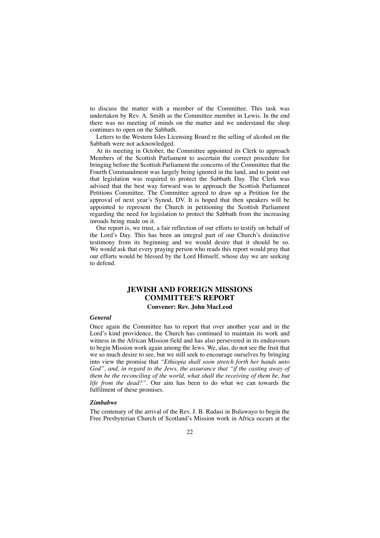to discuss the matter with a member of the Committee. This task was undertaken by Rev. A. Smith as the Committee member in Lewis. In the end there was no meeting of minds on the matter and we understand the shop continues to open on the Sabbath.

Letters to the Western Isles Licensing Board re the selling of alcohol on the Sabbath were not acknowledged.

At its meeting in October, the Committee appointed its Clerk to approach Members of the Scottish Parliament to ascertain the correct procedure for bringing before the Scottish Parliament the concerns of the Committee that the Fourth Commandment was largely being ignored in the land, and to point out that legislation was required to protect the Sabbath Day. The Clerk was advised that the best way forward was to approach the Scottish Parliament Petitions Committee. The Committee agreed to draw up a Petition for the approval of next year's Synod, DV. It is hoped that then speakers will be appointed to represent the Church in petitioning the Scottish Parliament regarding the need for legislation to protect the Sabbath from the increasing inroads being made on it.

Our report is, we trust, a fair reflection of our efforts to testify on behalf of the Lord's Day. This has been an integral part of our Church's distinctive testimony from its beginning and we would desire that it should be so. We would ask that every praying person who reads this report would pray that our efforts would be blessed by the Lord Himself, whose day we are seeking to defend.

## **JEWISH AND FOREIGN MISSIONS COMMITTEE'S REPORT**

#### **Convener: Rev. John MacLeod**

## *General*

Once again the Committee has to report that over another year and in the Lord's kind providence, the Church has continued to maintain its work and witness in the African Mission field and has also persevered in its endeavours to begin Mission work again among the Jews. We, alas, do not see the fruit that we so much desire to see, but we still seek to encourage ourselves by bringing into view the promise that *"Ethiopia shall soon stretch forth her hands unto God", and, in regard to the Jews, the assurance that "if the casting away of them be the reconciling of the world, what shall the receiving of them be, but life from the dead?".* Our aim has been to do what we can towards the fulfilment of these promises.

#### *Zimbabwe*

The centenary of the arrival of the Rev. J. B. Radasi in Bulawayo to begin the Free Presbyterian Church of Scotland's Mission work in Africa occurs at the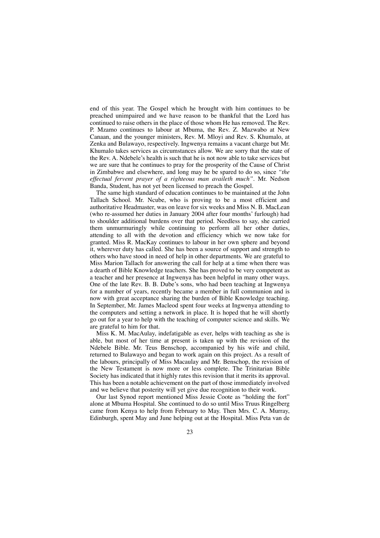end of this year. The Gospel which he brought with him continues to be preached unimpaired and we have reason to be thankful that the Lord has continued to raise others in the place of those whom He has removed. The Rev. P. Mzamo continues to labour at Mbuma, the Rev. Z. Mazwabo at New Canaan, and the younger ministers, Rev. M. Mloyi and Rev. S. Khumalo, at Zenka and Bulawayo, respectively. Ingwenya remains a vacant charge but Mr. Khumalo takes services as circumstances allow. We are sorry that the state of the Rev. A. Ndebele's health is such that he is not now able to take services but we are sure that he continues to pray for the prosperity of the Cause of Christ in Zimbabwe and elsewhere, and long may he be spared to do so, since *"the effectual fervent prayer of a righteous man availeth much".* Mr. Nedson Banda, Student, has not yet been licensed to preach the Gospel.

The same high standard of education continues to be maintained at the John Tallach School. Mr. Ncube, who is proving to be a most efficient and authoritative Headmaster, was on leave for six weeks and Miss N. B. MacLean (who re-assumed her duties in January 2004 after four months' furlough) had to shoulder additional burdens over that period. Needless to say, she carried them unmurmuringly while continuing to perform all her other duties, attending to all with the devotion and efficiency which we now take for granted. Miss R. MacKay continues to labour in her own sphere and beyond it, wherever duty has called. She has been a source of support and strength to others who have stood in need of help in other departments. We are grateful to Miss Marion Tallach for answering the call for help at a time when there was a dearth of Bible Knowledge teachers. She has proved to be very competent as a teacher and her presence at Ingwenya has been helpful in many other ways. One of the late Rev. B. B. Dube's sons, who had been teaching at Ingwenya for a number of years, recently became a member in full communion and is now with great acceptance sharing the burden of Bible Knowledge teaching. In September, Mr. James Macleod spent four weeks at Ingwenya attending to the computers and setting a network in place. It is hoped that he will shortly go out for a year to help with the teaching of computer science and skills. We are grateful to him for that.

Miss K. M. MacAulay, indefatigable as ever, helps with teaching as she is able, but most of her time at present is taken up with the revision of the Ndebele Bible. Mr. Teus Benschop, accompanied by his wife and child, returned to Bulawayo and began to work again on this project. As a result of the labours, principally of Miss Macaulay and Mr. Benschop, the revision of the New Testament is now more or less complete. The Trinitarian Bible Society has indicated that it highly rates this revision that it merits its approval. This has been a notable achievement on the part of those immediately involved and we believe that posterity will yet give due recognition to their work.

Our last Synod report mentioned Miss Jessie Coote as "holding the fort" alone at Mbuma Hospital. She continued to do so until Miss Truus Ringelberg came from Kenya to help from February to May. Then Mrs. C. A. Murray, Edinburgh, spent May and June helping out at the Hospital. Miss Peta van de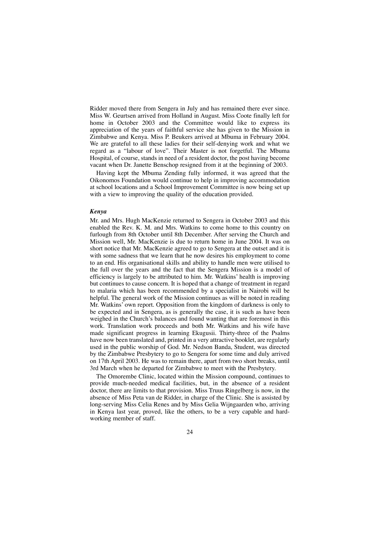Ridder moved there from Sengera in July and has remained there ever since. Miss W. Geurtsen arrived from Holland in August. Miss Coote finally left for home in October 2003 and the Committee would like to express its appreciation of the years of faithful service she has given to the Mission in Zimbabwe and Kenya. Miss P. Beukers arrived at Mbuma in February 2004. We are grateful to all these ladies for their self-denying work and what we regard as a "labour of love". Their Master is not forgetful. The Mbuma Hospital, of course, stands in need of a resident doctor, the post having become vacant when Dr. Janette Benschop resigned from it at the beginning of 2003.

Having kept the Mbuma Zending fully informed, it was agreed that the Oikonomos Foundation would continue to help in improving accommodation at school locations and a School Improvement Committee is now being set up with a view to improving the quality of the education provided.

#### *Kenya*

Mr. and Mrs. Hugh MacKenzie returned to Sengera in October 2003 and this enabled the Rev. K. M. and Mrs. Watkins to come home to this country on furlough from 8th October until 8th December. After serving the Church and Mission well, Mr. MacKenzie is due to return home in June 2004. It was on short notice that Mr. MacKenzie agreed to go to Sengera at the outset and it is with some sadness that we learn that he now desires his employment to come to an end. His organisational skills and ability to handle men were utilised to the full over the years and the fact that the Sengera Mission is a model of efficiency is largely to be attributed to him. Mr. Watkins' health is improving but continues to cause concern. It is hoped that a change of treatment in regard to malaria which has been recommended by a specialist in Nairobi will be helpful. The general work of the Mission continues as will be noted in reading Mr. Watkins' own report. Opposition from the kingdom of darkness is only to be expected and in Sengera, as is generally the case, it is such as have been weighed in the Church's balances and found wanting that are foremost in this work. Translation work proceeds and both Mr. Watkins and his wife have made significant progress in learning Ekugusii. Thirty-three of the Psalms have now been translated and, printed in a very attractive booklet, are regularly used in the public worship of God. Mr. Nedson Banda, Student, was directed by the Zimbabwe Presbytery to go to Sengera for some time and duly arrived on 17th April 2003. He was to remain there, apart from two short breaks, until 3rd March when he departed for Zimbabwe to meet with the Presbytery.

The Omorembe Clinic, located within the Mission compound, continues to provide much-needed medical facilities, but, in the absence of a resident doctor, there are limits to that provision. Miss Truus Ringelberg is now, in the absence of Miss Peta van de Ridder, in charge of the Clinic. She is assisted by long-serving Miss Celia Renes and by Miss Gelia Wijngaarden who, arriving in Kenya last year, proved, like the others, to be a very capable and hardworking member of staff.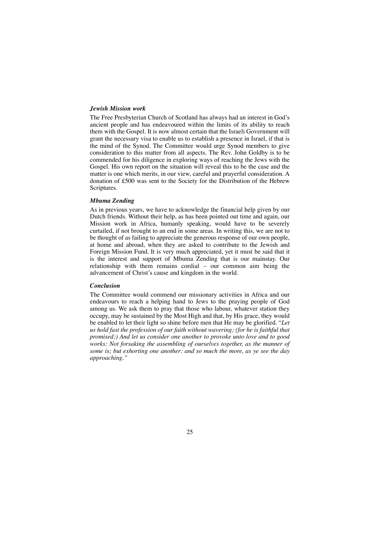#### *Jewish Mission work*

The Free Presbyterian Church of Scotland has always had an interest in God's ancient people and has endeavoured within the limits of its ability to reach them with the Gospel. It is now almost certain that the Israeli Government will grant the necessary visa to enable us to establish a presence in Israel, if that is the mind of the Synod. The Committee would urge Synod members to give consideration to this matter from all aspects. The Rev. John Goldby is to be commended for his diligence in exploring ways of reaching the Jews with the Gospel. His own report on the situation will reveal this to be the case and the matter is one which merits, in our view, careful and prayerful consideration. A donation of £500 was sent to the Society for the Distribution of the Hebrew Scriptures.

#### *Mbuma Zending*

As in previous years, we have to acknowledge the financial help given by our Dutch friends. Without their help, as has been pointed out time and again, our Mission work in Africa, humanly speaking, would have to be severely curtailed, if not brought to an end in some areas. In writing this, we are not to be thought of as failing to appreciate the generous response of our own people, at home and abroad, when they are asked to contribute to the Jewish and Foreign Mission Fund. It is very much appreciated, yet it must be said that it is the interest and support of Mbuma Zending that is our mainstay. Our relationship with them remains cordial – our common aim being the advancement of Christ's cause and kingdom in the world.

#### *Conclusion*

The Committee would commend our missionary activities in Africa and our endeavours to reach a helping hand to Jews to the praying people of God among us. We ask them to pray that those who labour, whatever station they occupy, may be sustained by the Most High and that, by His grace, they would be enabled to let their light so shine before men that He may be glorified. "*Let us hold fast the profession of our faith without wavering; (for he is faithful that promised;) And let us consider one another to provoke unto love and to good works: Not forsaking the assembling of ourselves together, as the manner of some is; but exhorting one another: and so much the more, as ye see the day approaching."*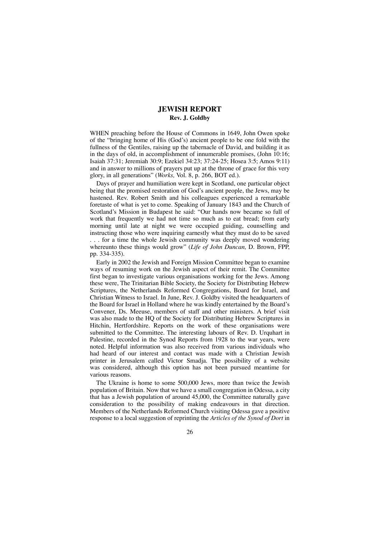## **JEWISH REPORT Rev. J. Goldby**

WHEN preaching before the House of Commons in 1649, John Owen spoke of the "bringing home of His (God's) ancient people to be one fold with the fullness of the Gentiles, raising up the tabernacle of David, and building it as in the days of old, in accomplishment of innumerable promises, (John 10:16; Isaiah 37:31; Jeremiah 30:9; Ezekiel 34:23; 37:24-25; Hosea 3:5; Amos 9:11) and in answer to millions of prayers put up at the throne of grace for this very glory, in all generations" (*Works,* Vol. 8, p. 266, BOT ed.).

Days of prayer and humiliation were kept in Scotland, one particular object being that the promised restoration of God's ancient people, the Jews, may be hastened. Rev. Robert Smith and his colleagues experienced a remarkable foretaste of what is yet to come. Speaking of January 1843 and the Church of Scotland's Mission in Budapest he said: "Our hands now became so full of work that frequently we had not time so much as to eat bread; from early morning until late at night we were occupied guiding, counselling and instructing those who were inquiring earnestly what they must do to be saved . . . for a time the whole Jewish community was deeply moved wondering whereunto these things would grow" (*Life of John Duncan,* D. Brown, FPP,

pp. 334-335).

Early in 2002 the Jewish and Foreign Mission Committee began to examine ways of resuming work on the Jewish aspect of their remit. The Committee first began to investigate various organisations working for the Jews. Among these were, The Trinitarian Bible Society, the Society for Distributing Hebrew Scriptures, the Netherlands Reformed Congregations, Board for Israel, and Christian Witness to Israel. In June, Rev. J. Goldby visited the headquarters of the Board for Israel in Holland where he was kindly entertained by the Board's Convener, Ds. Meeuse, members of staff and other ministers. A brief visit was also made to the HQ of the Society for Distributing Hebrew Scriptures in Hitchin, Hertfordshire. Reports on the work of these organisations were submitted to the Committee. The interesting labours of Rev. D. Urquhart in Palestine, recorded in the Synod Reports from 1928 to the war years, were noted. Helpful information was also received from various individuals who had heard of our interest and contact was made with a Christian Jewish printer in Jerusalem called Victor Smadja. The possibility of a website was considered, although this option has not been pursued meantime for various reasons.

The Ukraine is home to some 500,000 Jews, more than twice the Jewish population of Britain. Now that we have a small congregation in Odessa, a city that has a Jewish population of around 45,000, the Committee naturally gave consideration to the possibility of making endeavours in that direction. Members of the Netherlands Reformed Church visiting Odessa gave a positive response to a local suggestion of reprinting the *Articles of the Synod of Dort* in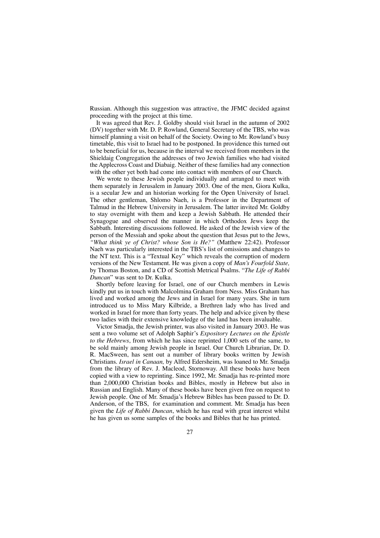Russian. Although this suggestion was attractive, the JFMC decided against proceeding with the project at this time.

It was agreed that Rev. J. Goldby should visit Israel in the autumn of 2002 (DV) together with Mr. D. P. Rowland, General Secretary of the TBS, who was himself planning a visit on behalf of the Society. Owing to Mr. Rowland's busy timetable, this visit to Israel had to be postponed. In providence this turned out to be beneficial for us, because in the interval we received from members in the Shieldaig Congregation the addresses of two Jewish families who had visited the Applecross Coast and Diabaig. Neither of these families had any connection with the other yet both had come into contact with members of our Church.

We wrote to these Jewish people individually and arranged to meet with them separately in Jerusalem in January 2003. One of the men, Giora Kulka, is a secular Jew and an historian working for the Open University of Israel. The other gentleman, Shlomo Naeh, is a Professor in the Department of Talmud in the Hebrew University in Jerusalem. The latter invited Mr. Goldby to stay overnight with them and keep a Jewish Sabbath. He attended their Synagogue and observed the manner in which Orthodox Jews keep the Sabbath. Interesting discussions followed. He asked of the Jewish view of the person of the Messiah and spoke about the question that Jesus put to the Jews, *"What think ye of Christ? whose Son is He?"* (Matthew 22:42). Professor Naeh was particularly interested in the TBS's list of omissions and changes to the NT text. This is a "Textual Key" which reveals the corruption of modern versions of the New Testament. He was given a copy of *Man's Fourfold State,* by Thomas Boston, and a CD of Scottish Metrical Psalms. "*The Life of Rabbi Duncan*" was sent to Dr. Kulka.

Shortly before leaving for Israel, one of our Church members in Lewis kindly put us in touch with Malcolmina Graham from Ness. Miss Graham has lived and worked among the Jews and in Israel for many years. She in turn introduced us to Miss Mary Kilbride, a Brethren lady who has lived and worked in Israel for more than forty years. The help and advice given by these two ladies with their extensive knowledge of the land has been invaluable.

Victor Smadja, the Jewish printer, was also visited in January 2003. He was sent a two volume set of Adolph Saphir's *Expository Lectures on the Epistle to the Hebrews*, from which he has since reprinted 1,000 sets of the same, to be sold mainly among Jewish people in Israel. Our Church Librarian, Dr. D. R. MacSween, has sent out a number of library books written by Jewish Christians. *Israel in Canaan,* by Alfred Edersheim, was loaned to Mr. Smadja from the library of Rev. J. Macleod, Stornoway. All these books have been copied with a view to reprinting. Since 1992, Mr. Smadja has re-printed more than 2,000,000 Christian books and Bibles, mostly in Hebrew but also in Russian and English. Many of these books have been given free on request to Jewish people. One of Mr. Smadja's Hebrew Bibles has been passed to Dr. D. Anderson, of the TBS, for examination and comment. Mr. Smadja has been given the *Life of Rabbi Duncan*, which he has read with great interest whilst he has given us some samples of the books and Bibles that he has printed.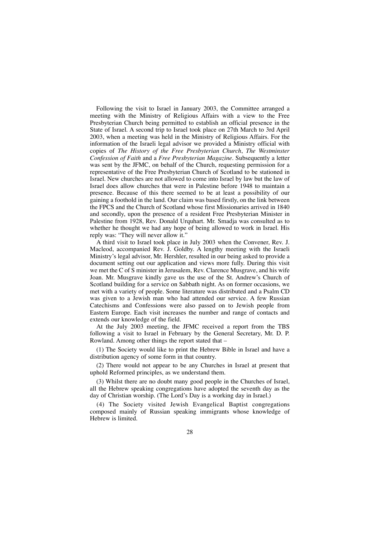Following the visit to Israel in January 2003, the Committee arranged a meeting with the Ministry of Religious Affairs with a view to the Free Presbyterian Church being permitted to establish an official presence in the State of Israel. A second trip to Israel took place on 27th March to 3rd April 2003, when a meeting was held in the Ministry of Religious Affairs. For the information of the Israeli legal advisor we provided a Ministry official with copies of *The History of the Free Presbyterian Church*, *The Westminster Confession of Faith* and a *Free Presbyterian Magazine.* Subsequently a letter was sent by the JFMC, on behalf of the Church, requesting permission for a representative of the Free Presbyterian Church of Scotland to be stationed in Israel. New churches are not allowed to come into Israel by law but the law of Israel does allow churches that were in Palestine before 1948 to maintain a presence. Because of this there seemed to be at least a possibility of our gaining a foothold in the land. Our claim was based firstly, on the link between the FPCS and the Church of Scotland whose first Missionaries arrived in 1840 and secondly, upon the presence of a resident Free Presbyterian Minister in Palestine from 1928, Rev. Donald Urquhart. Mr. Smadja was consulted as to whether he thought we had any hope of being allowed to work in Israel. His reply was: "They will never allow it."

A third visit to Israel took place in July 2003 when the Convener, Rev. J. Macleod, accompanied Rev. J. Goldby. A lengthy meeting with the Israeli Ministry's legal advisor, Mr. Hershler, resulted in our being asked to provide a document setting out our application and views more fully. During this visit we met the C of S minister in Jerusalem, Rev. Clarence Musgrave, and his wife Joan. Mr. Musgrave kindly gave us the use of the St. Andrew's Church of Scotland building for a service on Sabbath night. As on former occasions, we met with a variety of people. Some literature was distributed and a Psalm CD was given to a Jewish man who had attended our service. A few Russian Catechisms and Confessions were also passed on to Jewish people from Eastern Europe. Each visit increases the number and range of contacts and extends our knowledge of the field.

At the July 2003 meeting, the JFMC received a report from the TBS following a visit to Israel in February by the General Secretary, Mr. D. P. Rowland. Among other things the report stated that –

(1) The Society would like to print the Hebrew Bible in Israel and have a distribution agency of some form in that country.

(2) There would not appear to be any Churches in Israel at present that uphold Reformed principles, as we understand them.

(3) Whilst there are no doubt many good people in the Churches of Israel, all the Hebrew speaking congregations have adopted the seventh day as the day of Christian worship. (The Lord's Day is a working day in Israel.)

(4) The Society visited Jewish Evangelical Baptist congregations composed mainly of Russian speaking immigrants whose knowledge of Hebrew is limited.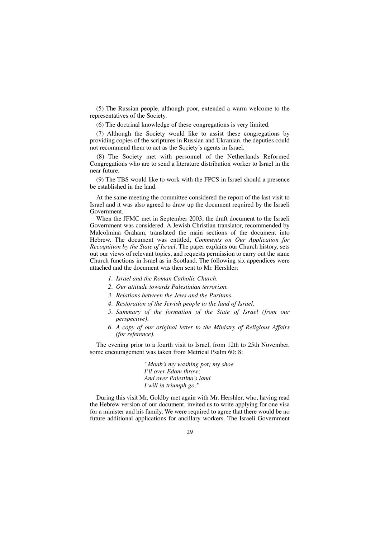(5) The Russian people, although poor, extended a warm welcome to the representatives of the Society.

(6) The doctrinal knowledge of these congregations is very limited.

(7) Although the Society would like to assist these congregations by providing copies of the scriptures in Russian and Ukranian, the deputies could not recommend them to act as the Society's agents in Israel.

(8) The Society met with personnel of the Netherlands Reformed Congregations who are to send a literature distribution worker to Israel in the near future.

(9) The TBS would like to work with the FPCS in Israel should a presence be established in the land.

At the same meeting the committee considered the report of the last visit to Israel and it was also agreed to draw up the document required by the Israeli Government.

When the JFMC met in September 2003, the draft document to the Israeli Government was considered. A Jewish Christian translator, recommended by Malcolmina Graham, translated the main sections of the document into Hebrew. The document was entitled, *Comments on Our Application for Recognition by the State of Israel.* The paper explains our Church history, sets out our views of relevant topics, and requests permission to carry out the same Church functions in Israel as in Scotland. The following six appendices were attached and the document was then sent to Mr. Hershler:

- *1. Israel and the Roman Catholic Church.*
- *2. Our attitude towards Palestinian terrorism.*
- *3. Relations between the Jews and the Puritans.*
- *4. Restoration of the Jewish people to the land of Israel.*
- *5. Summary of the formation of the State of Israel (from our perspective).*
- *6. A copy of our original letter to the Ministry of Religious Affairs (for reference).*

The evening prior to a fourth visit to Israel, from 12th to 25th November, some encouragement was taken from Metrical Psalm 60: 8:

> *"Moab's my washing pot; my shoe I'll over Edom throw; And over Palestina's land I will in triumph go."*

During this visit Mr. Goldby met again with Mr. Hershler, who, having read the Hebrew version of our document, invited us to write applying for one visa for a minister and his family. We were required to agree that there would be no future additional applications for ancillary workers. The Israeli Government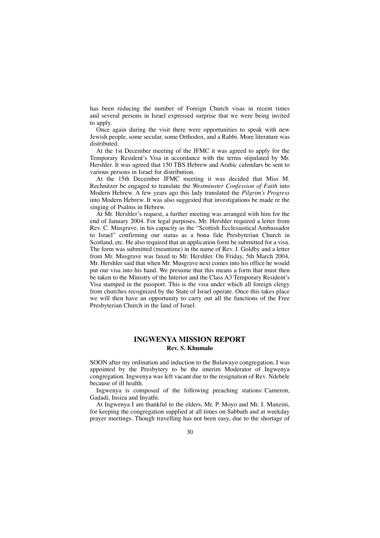has been reducing the number of Foreign Church visas in recent times and several persons in Israel expressed surprise that we were being invited to apply.

Once again during the visit there were opportunities to speak with new Jewish people, some secular, some Orthodox, and a Rabbi. More literature was distributed.

At the 1st December meeting of the JFMC it was agreed to apply for the Temporary Resident's Visa in accordance with the terms stipulated by Mr. Hershler. It was agreed that 150 TBS Hebrew and Arabic calendars be sent to various persons in Israel for distribution.

At the 15th December JFMC meeting it was decided that Miss M. Rechnitzer be engaged to translate the *Westminster Confession of Faith* into Modern Hebrew. A few years ago this lady translated the *Pilgrim's Progress* into Modern Hebrew. It was also suggested that investigations be made re the singing of Psalms in Hebrew.

At Mr. Hershler's request, a further meeting was arranged with him for the end of January 2004. For legal purposes, Mr. Hershler required a letter from Rev. C. Musgrave, in his capacity as the "Scottish Ecclesiastical Ambassador to Israel" confirming our status as a bona fide Presbyterian Church in Scotland, etc. He also required that an application form be submitted for a visa. The form was submitted (meantime) in the name of Rev. J. Goldby and a letter from Mr. Musgrave was faxed to Mr. Hershler. On Friday, 5th March 2004, Mr. Hershler said that when Mr. Musgrave next comes into his office he would put our visa into his hand. We presume that this means a form that must then be taken to the Ministry of the Interior and the Class A3 Temporary Resident's Visa stamped in the passport. This is the visa under which all foreign clergy from churches recognized by the State of Israel operate. Once this takes place we will then have an opportunity to carry out all the functions of the Free Presbyterian Church in the land of Israel.

## **INGWENYA MISSION REPORT Rev. S. Khumalo**

SOON after my ordination and induction to the Bulawayo congregation, I was appointed by the Presbytery to be the interim Moderator of Ingwenya congregation. Ingwenya was left vacant due to the resignation of Rev. Ndebele because of ill health.

Ingwenya is composed of the following preaching stations: Cameron, Gadadi, Insiza and Inyathi.

At Ingwenya I am thankful to the elders, Mr. P. Moyo and Mr. I. Manzini, for keeping the congregation supplied at all times on Sabbath and at weekday prayer meetings. Though travelling has not been easy, due to the shortage of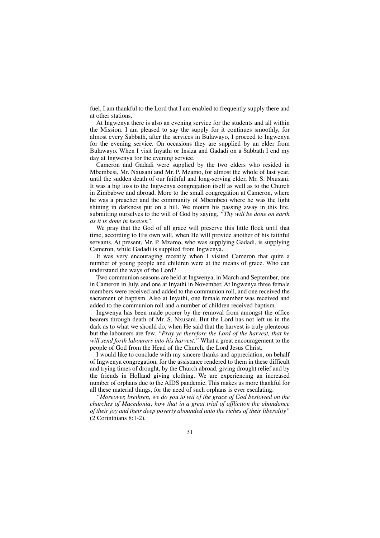fuel, I am thankful to the Lord that I am enabled to frequently supply there and at other stations.

At Ingwenya there is also an evening service for the students and all within the Mission. I am pleased to say the supply for it continues smoothly, for almost every Sabbath, after the services in Bulawayo, I proceed to Ingwenya for the evening service. On occasions they are supplied by an elder from Bulawayo. When I visit Inyathi or Insiza and Gadadi on a Sabbath I end my day at Ingwenya for the evening service.

Cameron and Gadadi were supplied by the two elders who resided in Mbembesi, Mr. Nxusani and Mr. P. Mzamo, for almost the whole of last year, until the sudden death of our faithful and long-serving elder, Mr. S. Nxusani. It was a big loss to the Ingwenya congregation itself as well as to the Church in Zimbabwe and abroad. More to the small congregation at Cameron, where he was a preacher and the community of Mbembesi where he was the light shining in darkness put on a hill. We mourn his passing away in this life, submitting ourselves to the will of God by saying, *"Thy will be done on earth as it is done in heaven".*

We pray that the God of all grace will preserve this little flock until that time, according to His own will, when He will provide another of his faithful servants. At present, Mr. P. Mzamo, who was supplying Gadadi, is supplying Cameron, while Gadadi is supplied from Ingwenya.

It was very encouraging recently when I visited Cameron that quite a number of young people and children were at the means of grace. Who can understand the ways of the Lord?

Two communion seasons are held at Ingwenya, in March and September, one in Cameron in July, and one at Inyathi in November. At Ingwenya three female members were received and added to the communion roll, and one received the sacrament of baptism. Also at Inyathi, one female member was received and added to the communion roll and a number of children received baptism.

Ingwenya has been made poorer by the removal from amongst the office bearers through death of Mr. S. Nxusani. But the Lord has not left us in the dark as to what we should do, when He said that the harvest is truly plenteous but the labourers are few. *"Pray ye therefore the Lord of the harvest, that he will send forth labourers into his harvest."* What a great encouragement to the people of God from the Head of the Church, the Lord Jesus Christ.

I would like to conclude with my sincere thanks and appreciation, on behalf of Ingwenya congregation, for the assistance rendered to them in these difficult and trying times of drought, by the Church abroad, giving drought relief and by the friends in Holland giving clothing. We are experiencing an increased number of orphans due to the AIDS pandemic. This makes us more thankful for all these material things, for the need of such orphans is ever escalating.

*"Moreover, brethren, we do you to wit of the grace of God bestowed on the churches of Macedonia; how that in a great trial of affliction the abundance of their joy and their deep poverty abounded unto the riches of their liberality"* (2 Corinthians 8:1-2).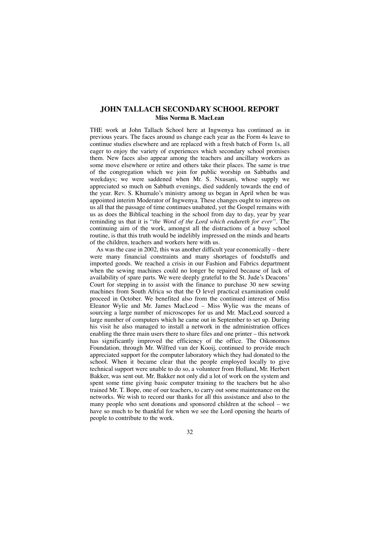## **JOHN TALLACH SECONDARY SCHOOL REPORT Miss Norma B. MacLean**

THE work at John Tallach School here at Ingwenya has continued as in previous years. The faces around us change each year as the Form 4s leave to continue studies elsewhere and are replaced with a fresh batch of Form 1s, all eager to enjoy the variety of experiences which secondary school promises them. New faces also appear among the teachers and ancillary workers as some move elsewhere or retire and others take their places. The same is true of the congregation which we join for public worship on Sabbaths and weekdays; we were saddened when Mr. S. Nxusani, whose supply we appreciated so much on Sabbath evenings, died suddenly towards the end of the year. Rev. S. Khumalo's ministry among us began in April when he was appointed interim Moderator of Ingwenya. These changes ought to impress on us all that the passage of time continues unabated, yet the Gospel remains with us as does the Biblical teaching in the school from day to day, year by year reminding us that it is "*the Word of the Lord which endureth for ever".* The continuing aim of the work, amongst all the distractions of a busy school routine, is that this truth would be indelibly impressed on the minds and hearts of the children, teachers and workers here with us.

As was the case in 2002, this was another difficult year economically – there were many financial constraints and many shortages of foodstuffs and imported goods. We reached a crisis in our Fashion and Fabrics department when the sewing machines could no longer be repaired because of lack of availability of spare parts. We were deeply grateful to the St. Jude's Deacons' Court for stepping in to assist with the finance to purchase 30 new sewing machines from South Africa so that the O level practical examination could proceed in October. We benefited also from the continued interest of Miss Eleanor Wylie and Mr. James MacLeod – Miss Wylie was the means of sourcing a large number of microscopes for us and Mr. MacLeod sourced a large number of computers which he came out in September to set up. During his visit he also managed to install a network in the administration offices enabling the three main users there to share files and one printer – this network has significantly improved the efficiency of the office. The Oikonomos Foundation, through Mr. Wilfred van der Kooij, continued to provide much appreciated support for the computer laboratory which they had donated to the school. When it became clear that the people employed locally to give technical support were unable to do so, a volunteer from Holland, Mr. Herbert Bakker, was sent out. Mr. Bakker not only did a lot of work on the system and spent some time giving basic computer training to the teachers but he also trained Mr. T. Bope, one of our teachers, to carry out some maintenance on the networks. We wish to record our thanks for all this assistance and also to the many people who sent donations and sponsored children at the school – we have so much to be thankful for when we see the Lord opening the hearts of people to contribute to the work.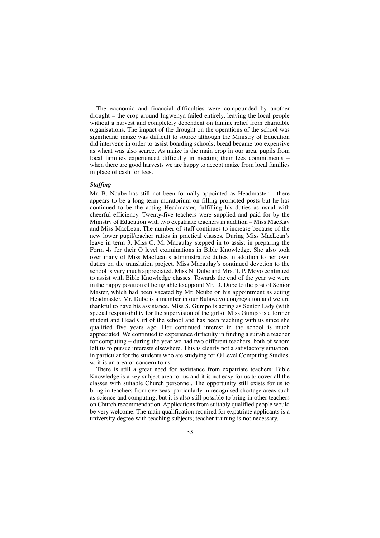The economic and financial difficulties were compounded by another drought – the crop around Ingwenya failed entirely, leaving the local people without a harvest and completely dependent on famine relief from charitable organisations. The impact of the drought on the operations of the school was significant: maize was difficult to source although the Ministry of Education did intervene in order to assist boarding schools; bread became too expensive as wheat was also scarce. As maize is the main crop in our area, pupils from local families experienced difficulty in meeting their fees commitments – when there are good harvests we are happy to accept maize from local families in place of cash for fees.

#### *Staffing*

Mr. B. Ncube has still not been formally appointed as Headmaster – there appears to be a long term moratorium on filling promoted posts but he has continued to be the acting Headmaster, fulfilling his duties as usual with cheerful efficiency. Twenty-five teachers were supplied and paid for by the Ministry of Education with two expatriate teachers in addition – Miss MacKay and Miss MacLean. The number of staff continues to increase because of the new lower pupil/teacher ratios in practical classes. During Miss MacLean's leave in term 3, Miss C. M. Macaulay stepped in to assist in preparing the Form 4s for their O level examinations in Bible Knowledge. She also took over many of Miss MacLean's administrative duties in addition to her own duties on the translation project. Miss Macaulay's continued devotion to the school is very much appreciated. Miss N. Dube and Mrs. T. P. Moyo continued to assist with Bible Knowledge classes. Towards the end of the year we were in the happy position of being able to appoint Mr. D. Dube to the post of Senior Master, which had been vacated by Mr. Ncube on his appointment as acting Headmaster. Mr. Dube is a member in our Bulawayo congregation and we are thankful to have his assistance. Miss S. Gumpo is acting as Senior Lady (with special responsibility for the supervision of the girls): Miss Gumpo is a former student and Head Girl of the school and has been teaching with us since she qualified five years ago. Her continued interest in the school is much appreciated. We continued to experience difficulty in finding a suitable teacher for computing – during the year we had two different teachers, both of whom left us to pursue interests elsewhere. This is clearly not a satisfactory situation, in particular for the students who are studying for O Level Computing Studies, so it is an area of concern to us.

There is still a great need for assistance from expatriate teachers: Bible Knowledge is a key subject area for us and it is not easy for us to cover all the classes with suitable Church personnel. The opportunity still exists for us to bring in teachers from overseas, particularly in recognised shortage areas such as science and computing, but it is also still possible to bring in other teachers on Church recommendation. Applications from suitably qualified people would be very welcome. The main qualification required for expatriate applicants is a university degree with teaching subjects; teacher training is not necessary.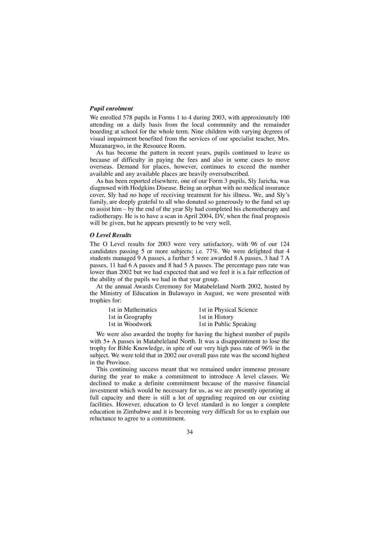#### *Pupil enrolment*

We enrolled 578 pupils in Forms 1 to 4 during 2003, with approximately 100 attending on a daily basis from the local community and the remainder boarding at school for the whole term. Nine children with varying degrees of visual impairment benefited from the services of our specialist teacher, Mrs. Muzanargwo, in the Resource Room.

As has become the pattern in recent years, pupils continued to leave us because of difficulty in paying the fees and also in some cases to move overseas. Demand for places, however, continues to exceed the number available and any available places are heavily oversubscribed.

As has been reported elsewhere, one of our Form 3 pupils, Sly Jaricha, was diagnosed with Hodgkins Disease. Being an orphan with no medical insurance cover, Sly had no hope of receiving treatment for his illness. We, and Sly's family, are deeply grateful to all who donated so generously to the fund set up to assist him – by the end of the year Sly had completed his chemotherapy and radiotherapy. He is to have a scan in April 2004, DV, when the final prognosis will be given, but he appears presently to be very well.

## *O Level Results*

The O Level results for 2003 were very satisfactory, with 96 of our 124 candidates passing 5 or more subjects; i.e. 77%. We were delighted that 4 students managed 9 A passes, a further 5 were awarded 8 A passes, 3 had 7 A passes, 11 had 6 A passes and 8 had 5 A passes. The percentage pass rate was lower than 2002 but we had expected that and we feel it is a fair reflection of the ability of the pupils we had in that year group.

At the annual Awards Ceremony for Matabeleland North 2002, hosted by the Ministry of Education in Bulawayo in August, we were presented with trophies for:

| 1st in Mathematics | 1st in Physical Science |
|--------------------|-------------------------|
| 1st in Geography   | 1st in History          |
| 1st in Woodwork    | 1st in Public Speaking  |

We were also awarded the trophy for having the highest number of pupils with 5+ A passes in Matabeleland North. It was a disappointment to lose the trophy for Bible Knowledge, in spite of our very high pass rate of 96% in the subject. We were told that in 2002 our overall pass rate was the second highest in the Province.

This continuing success meant that we remained under immense pressure during the year to make a commitment to introduce A level classes. We declined to make a definite commitment because of the massive financial investment which would be necessary for us, as we are presently operating at full capacity and there is still a lot of upgrading required on our existing facilities. However, education to O level standard is no longer a complete education in Zimbabwe and it is becoming very difficult for us to explain our reluctance to agree to a commitment.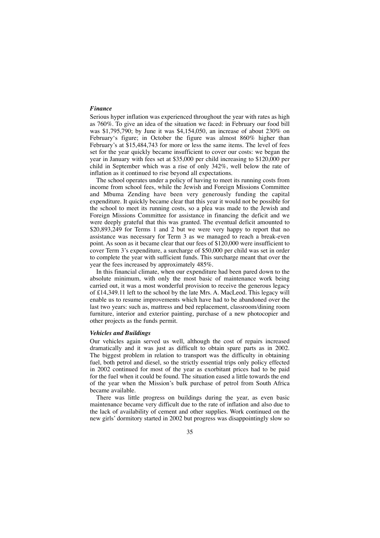#### *Finance*

Serious hyper inflation was experienced throughout the year with rates as high as 760%. To give an idea of the situation we faced: in February our food bill was \$1,795,790; by June it was \$4,154,050, an increase of about 230% on February's figure; in October the figure was almost 860% higher than February's at \$15,484,743 for more or less the same items. The level of fees set for the year quickly became insufficient to cover our costs: we began the year in January with fees set at \$35,000 per child increasing to \$120,000 per child in September which was a rise of only 342%, well below the rate of inflation as it continued to rise beyond all expectations.

The school operates under a policy of having to meet its running costs from income from school fees, while the Jewish and Foreign Missions Committee and Mbuma Zending have been very generously funding the capital expenditure. It quickly became clear that this year it would not be possible for the school to meet its running costs, so a plea was made to the Jewish and Foreign Missions Committee for assistance in financing the deficit and we were deeply grateful that this was granted. The eventual deficit amounted to \$20,893,249 for Terms 1 and 2 but we were very happy to report that no assistance was necessary for Term 3 as we managed to reach a break-even point. As soon as it became clear that our fees of \$120,000 were insufficient to cover Term 3's expenditure, a surcharge of \$50,000 per child was set in order to complete the year with sufficient funds. This surcharge meant that over the year the fees increased by approximately 485%.

In this financial climate, when our expenditure had been pared down to the absolute minimum, with only the most basic of maintenance work being carried out, it was a most wonderful provision to receive the generous legacy of £14,349.11 left to the school by the late Mrs. A. MacLeod. This legacy will enable us to resume improvements which have had to be abandoned over the last two years: such as, mattress and bed replacement, classroom/dining room furniture, interior and exterior painting, purchase of a new photocopier and other projects as the funds permit.

#### *Vehicles and Buildings*

Our vehicles again served us well, although the cost of repairs increased dramatically and it was just as difficult to obtain spare parts as in 2002. The biggest problem in relation to transport was the difficulty in obtaining fuel, both petrol and diesel, so the strictly essential trips only policy effected in 2002 continued for most of the year as exorbitant prices had to be paid for the fuel when it could be found. The situation eased a little towards the end of the year when the Mission's bulk purchase of petrol from South Africa became available.

There was little progress on buildings during the year, as even basic maintenance became very difficult due to the rate of inflation and also due to the lack of availability of cement and other supplies. Work continued on the new girls' dormitory started in 2002 but progress was disappointingly slow so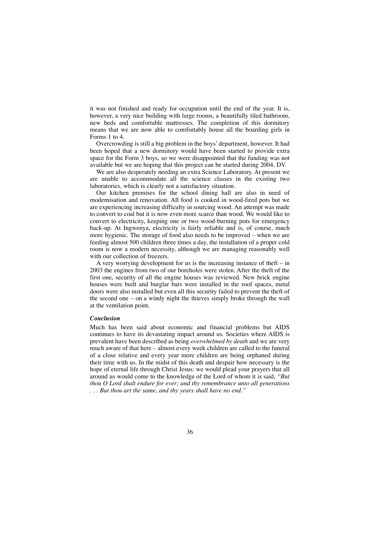it was not finished and ready for occupation until the end of the year. It is, however, a very nice building with large rooms, a beautifully tiled bathroom, new beds and comfortable mattresses. The completion of this dormitory means that we are now able to comfortably house all the boarding girls in Forms 1 to 4.

Overcrowding is still a big problem in the boys' department, however. It had been hoped that a new dormitory would have been started to provide extra space for the Form 3 boys, so we were disappointed that the funding was not available but we are hoping that this project can be started during 2004, DV.

We are also desperately needing an extra Science Laboratory. At present we are unable to accommodate all the science classes in the existing two laboratories, which is clearly not a satisfactory situation.

Our kitchen premises for the school dining hall are also in need of modernisation and renovation. All food is cooked in wood-fired pots but we are experiencing increasing difficulty in sourcing wood. An attempt was made to convert to coal but it is now even more scarce than wood. We would like to convert to electricity, keeping one or two wood-burning pots for emergency back-up. At Ingwenya, electricity is fairly reliable and is, of course, much more hygienic. The storage of food also needs to be improved – when we are feeding almost 500 children three times a day, the installation of a proper cold room is now a modern necessity, although we are managing reasonably well with our collection of freezers.

A very worrying development for us is the increasing instance of theft – in 2003 the engines from two of our boreholes were stolen. After the theft of the first one, security of all the engine houses was reviewed. New brick engine houses were built and burglar bars were installed in the roof spaces, metal doors were also installed but even all this security failed to prevent the theft of the second one – on a windy night the thieves simply broke through the wall at the ventilation point.

#### *Conclusion*

Much has been said about economic and financial problems but AIDS continues to have its devastating impact around us. Societies where AIDS is prevalent have been described as being *overwhelmed by death* and we are very much aware of that here – almost every week children are called to the funeral of a close relative and every year more children are being orphaned during their time with us. In the midst of this death and despair how necessary is the hope of eternal life through Christ Jesus: we would plead your prayers that all around us would come to the knowledge of the Lord of whom it is said, *"But thou O Lord shalt endure for ever; and thy remembrance unto all generations . . . But thou art the same, and thy years shall have no end."*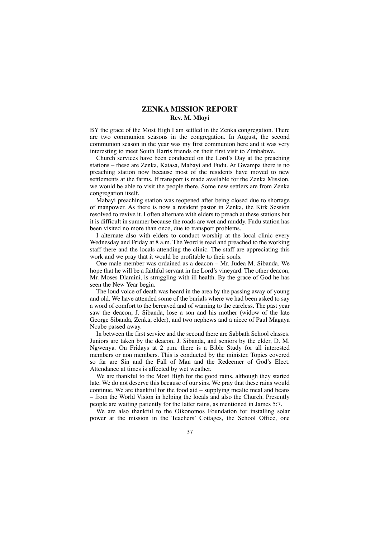# **ZENKA MISSION REPORT Rev. M. Mloyi**

BY the grace of the Most High I am settled in the Zenka congregation. There are two communion seasons in the congregation. In August, the second communion season in the year was my first communion here and it was very interesting to meet South Harris friends on their first visit to Zimbabwe.

Church services have been conducted on the Lord's Day at the preaching stations – these are Zenka, Katasa, Mabayi and Fudu. At Gwampa there is no preaching station now because most of the residents have moved to new settlements at the farms. If transport is made available for the Zenka Mission, we would be able to visit the people there. Some new settlers are from Zenka congregation itself.

Mabayi preaching station was reopened after being closed due to shortage of manpower. As there is now a resident pastor in Zenka, the Kirk Session resolved to revive it. I often alternate with elders to preach at these stations but it is difficult in summer because the roads are wet and muddy. Fudu station has been visited no more than once, due to transport problems.

I alternate also with elders to conduct worship at the local clinic every Wednesday and Friday at 8 a.m. The Word is read and preached to the working staff there and the locals attending the clinic. The staff are appreciating this work and we pray that it would be profitable to their souls.

One male member was ordained as a deacon – Mr. Judea M. Sibanda. We hope that he will be a faithful servant in the Lord's vineyard. The other deacon, Mr. Moses Dlamini, is struggling with ill health. By the grace of God he has seen the New Year begin.

The loud voice of death was heard in the area by the passing away of young and old. We have attended some of the burials where we had been asked to say a word of comfort to the bereaved and of warning to the careless. The past year saw the deacon, J. Sibanda, lose a son and his mother (widow of the late George Sibanda, Zenka, elder), and two nephews and a niece of Paul Magaya Ncube passed away.

In between the first service and the second there are Sabbath School classes. Juniors are taken by the deacon, J. Sibanda, and seniors by the elder, D. M. Ngwenya. On Fridays at 2 p.m. there is a Bible Study for all interested members or non members. This is conducted by the minister. Topics covered so far are Sin and the Fall of Man and the Redeemer of God's Elect. Attendance at times is affected by wet weather.

We are thankful to the Most High for the good rains, although they started late. We do not deserve this because of our sins. We pray that these rains would continue. We are thankful for the food aid – supplying mealie meal and beans – from the World Vision in helping the locals and also the Church. Presently people are waiting patiently for the latter rains, as mentioned in James 5:7.

We are also thankful to the Oikonomos Foundation for installing solar power at the mission in the Teachers' Cottages, the School Office, one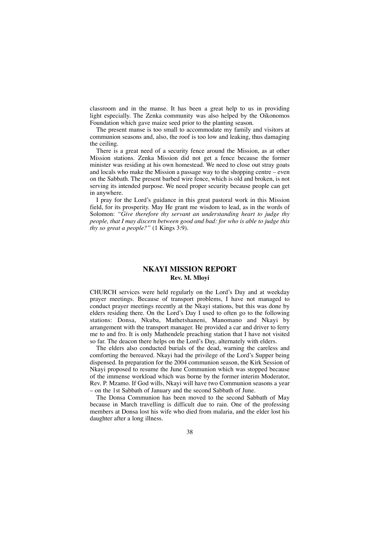classroom and in the manse. It has been a great help to us in providing light especially. The Zenka community was also helped by the Oikonomos Foundation which gave maize seed prior to the planting season.

The present manse is too small to accommodate my family and visitors at communion seasons and, also, the roof is too low and leaking, thus damaging the ceiling.

There is a great need of a security fence around the Mission, as at other Mission stations. Zenka Mission did not get a fence because the former minister was residing at his own homestead. We need to close out stray goats and locals who make the Mission a passage way to the shopping centre – even on the Sabbath. The present barbed wire fence, which is old and broken, is not serving its intended purpose. We need proper security because people can get in anywhere.

I pray for the Lord's guidance in this great pastoral work in this Mission field, for its prosperity. May He grant me wisdom to lead, as in the words of Solomon: *"Give therefore thy servant an understanding heart to judge thy people, that I may discern between good and bad: for who is able to judge this thy so great a people?"* (1 Kings 3:9).

# **NKAYI MISSION REPORT Rev. M. Mloyi**

CHURCH services were held regularly on the Lord's Day and at weekday prayer meetings. Because of transport problems, I have not managed to conduct prayer meetings recently at the Nkayi stations, but this was done by elders residing there. On the Lord's Day I used to often go to the following stations: Donsa, Nkuba, Mathetshaneni, Manomano and Nkayi by arrangement with the transport manager. He provided a car and driver to ferry me to and fro. It is only Mathendele preaching station that I have not visited so far. The deacon there helps on the Lord's Day, alternately with elders.

The elders also conducted burials of the dead, warning the careless and comforting the bereaved. Nkayi had the privilege of the Lord's Supper being dispensed. In preparation for the 2004 communion season, the Kirk Session of Nkayi proposed to resume the June Communion which was stopped because of the immense workload which was borne by the former interim Moderator, Rev. P. Mzamo. If God wills, Nkayi will have two Communion seasons a year – on the 1st Sabbath of January and the second Sabbath of June.

The Donsa Communion has been moved to the second Sabbath of May because in March travelling is difficult due to rain. One of the professing members at Donsa lost his wife who died from malaria, and the elder lost his daughter after a long illness.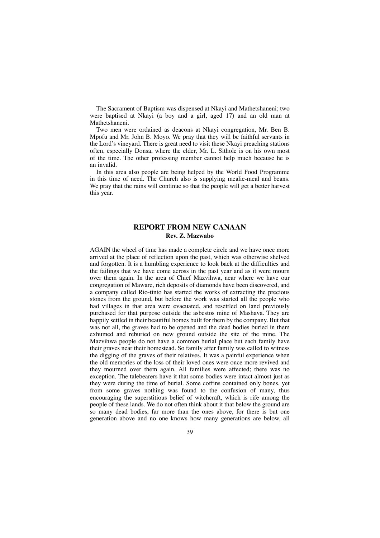The Sacrament of Baptism was dispensed at Nkayi and Mathetshaneni; two were baptised at Nkayi (a boy and a girl, aged 17) and an old man at Mathetshaneni.

Two men were ordained as deacons at Nkayi congregation, Mr. Ben B. Mpofu and Mr. John B. Moyo. We pray that they will be faithful servants in the Lord's vineyard. There is great need to visit these Nkayi preaching stations often, especially Donsa, where the elder, Mr. L. Sithole is on his own most of the time. The other professing member cannot help much because he is an invalid.

In this area also people are being helped by the World Food Programme in this time of need. The Church also is supplying mealie-meal and beans. We pray that the rains will continue so that the people will get a better harvest this year.

# **REPORT FROM NEW CANAAN Rev. Z. Mazwabo**

AGAIN the wheel of time has made a complete circle and we have once more arrived at the place of reflection upon the past, which was otherwise shelved and forgotten. It is a humbling experience to look back at the difficulties and the failings that we have come across in the past year and as it were mourn over them again. In the area of Chief Mazvihwa, near where we have our congregation of Maware, rich deposits of diamonds have been discovered, and a company called Rio-tinto has started the works of extracting the precious stones from the ground, but before the work was started all the people who had villages in that area were evacuated, and resettled on land previously purchased for that purpose outside the asbestos mine of Mashava. They are happily settled in their beautiful homes built for them by the company. But that was not all, the graves had to be opened and the dead bodies buried in them exhumed and reburied on new ground outside the site of the mine. The Mazvihwa people do not have a common burial place but each family have their graves near their homestead. So family after family was called to witness the digging of the graves of their relatives. It was a painful experience when the old memories of the loss of their loved ones were once more revived and they mourned over them again. All families were affected; there was no exception. The talebearers have it that some bodies were intact almost just as they were during the time of burial. Some coffins contained only bones, yet from some graves nothing was found to the confusion of many, thus encouraging the superstitious belief of witchcraft, which is rife among the people of these lands. We do not often think about it that below the ground are so many dead bodies, far more than the ones above, for there is but one generation above and no one knows how many generations are below, all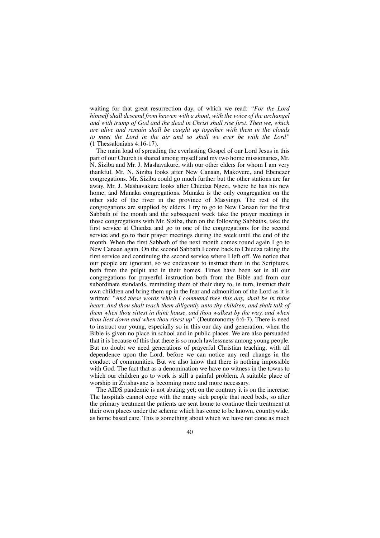waiting for that great resurrection day, of which we read: *"For the Lord himself shall descend from heaven with a shout, with the voice of the archangel and with trump of God and the dead in Christ shall rise first. Then we, which are alive and remain shall be caught up together with them in the clouds to meet the Lord in the air and so shall we ever be with the Lord"* (1 Thessalonians 4:16-17).

The main load of spreading the everlasting Gospel of our Lord Jesus in this part of our Church is shared among myself and my two home missionaries, Mr. N. Siziba and Mr. J. Mashavakure, with our other elders for whom I am very thankful. Mr. N. Siziba looks after New Canaan, Makovere, and Ebenezer congregations. Mr. Siziba could go much further but the other stations are far away. Mr. J. Mashavakure looks after Chiedza Ngezi, where he has his new home, and Munaka congregations. Munaka is the only congregation on the other side of the river in the province of Masvingo. The rest of the congregations are supplied by elders. I try to go to New Canaan for the first Sabbath of the month and the subsequent week take the prayer meetings in those congregations with Mr. Siziba, then on the following Sabbaths, take the first service at Chiedza and go to one of the congregations for the second service and go to their prayer meetings during the week until the end of the month. When the first Sabbath of the next month comes round again I go to New Canaan again. On the second Sabbath I come back to Chiedza taking the first service and continuing the second service where I left off. We notice that our people are ignorant, so we endeavour to instruct them in the Scriptures, both from the pulpit and in their homes. Times have been set in all our congregations for prayerful instruction both from the Bible and from our subordinate standards, reminding them of their duty to, in turn, instruct their own children and bring them up in the fear and admonition of the Lord as it is written: *"And these words which I command thee this day, shall be in thine heart. And thou shalt teach them diligently unto thy children, and shalt talk of them when thou sittest in thine house, and thou walkest by the way, and when thou liest down and when thou risest up"* (Deuteronomy 6:6-7). There is need to instruct our young, especially so in this our day and generation, when the Bible is given no place in school and in public places. We are also persuaded that it is because of this that there is so much lawlessness among young people. But no doubt we need generations of prayerful Christian teaching, with all dependence upon the Lord, before we can notice any real change in the conduct of communities. But we also know that there is nothing impossible with God. The fact that as a denomination we have no witness in the towns to which our children go to work is still a painful problem. A suitable place of worship in Zvishavane is becoming more and more necessary.

The AIDS pandemic is not abating yet; on the contrary it is on the increase. The hospitals cannot cope with the many sick people that need beds, so after the primary treatment the patients are sent home to continue their treatment at their own places under the scheme which has come to be known, countrywide, as home based care. This is something about which we have not done as much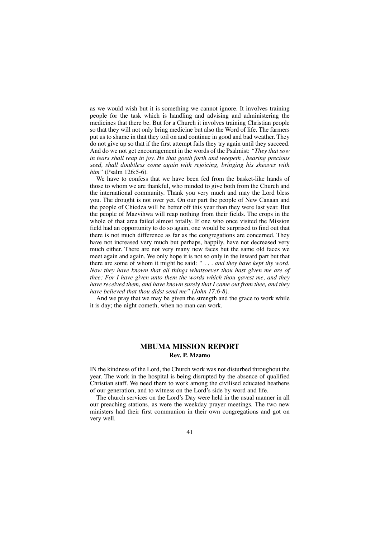as we would wish but it is something we cannot ignore. It involves training people for the task which is handling and advising and administering the medicines that there be. But for a Church it involves training Christian people so that they will not only bring medicine but also the Word of life. The farmers put us to shame in that they toil on and continue in good and bad weather. They do not give up so that if the first attempt fails they try again until they succeed. And do we not get encouragement in the words of the Psalmist: *"They that sow in tears shall reap in joy. He that goeth forth and weepeth , bearing precious seed, shall doubtless come again with rejoicing, bringing his sheaves with him"* (Psalm 126:5-6).

We have to confess that we have been fed from the basket-like hands of those to whom we are thankful, who minded to give both from the Church and the international community. Thank you very much and may the Lord bless you. The drought is not over yet. On our part the people of New Canaan and the people of Chiedza will be better off this year than they were last year. But the people of Mazvihwa will reap nothing from their fields. The crops in the whole of that area failed almost totally. If one who once visited the Mission field had an opportunity to do so again, one would be surprised to find out that there is not much difference as far as the congregations are concerned. They have not increased very much but perhaps, happily, have not decreased very much either. There are not very many new faces but the same old faces we meet again and again. We only hope it is not so only in the inward part but that there are some of whom it might be said: *" . . . and they have kept thy word. Now they have known that all things whatsoever thou hast given me are of thee: For I have given unto them the words which thou gavest me, and they have received them, and have known surely that I came out from thee, and they have believed that thou didst send me" (John 17:6-8).*

And we pray that we may be given the strength and the grace to work while it is day; the night cometh, when no man can work.

# **MBUMA MISSION REPORT Rev. P. Mzamo**

IN the kindness of the Lord, the Church work was not disturbed throughout the year. The work in the hospital is being disrupted by the absence of qualified Christian staff. We need them to work among the civilised educated heathens of our generation, and to witness on the Lord's side by word and life.

The church services on the Lord's Day were held in the usual manner in all our preaching stations, as were the weekday prayer meetings. The two new ministers had their first communion in their own congregations and got on very well.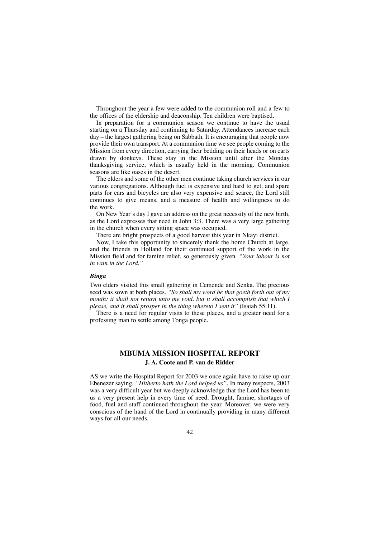Throughout the year a few were added to the communion roll and a few to the offices of the eldership and deaconship. Ten children were baptised.

In preparation for a communion season we continue to have the usual starting on a Thursday and continuing to Saturday. Attendances increase each day – the largest gathering being on Sabbath. It is encouraging that people now provide their own transport. At a communion time we see people coming to the Mission from every direction, carrying their bedding on their heads or on carts drawn by donkeys. These stay in the Mission until after the Monday thanksgiving service, which is usually held in the morning. Communion seasons are like oases in the desert.

The elders and some of the other men continue taking church services in our various congregations. Although fuel is expensive and hard to get, and spare parts for cars and bicycles are also very expensive and scarce, the Lord still continues to give means, and a measure of health and willingness to do the work.

On New Year's day I gave an address on the great necessity of the new birth, as the Lord expresses that need in John 3:3. There was a very large gathering in the church when every sitting space was occupied.

There are bright prospects of a good harvest this year in Nkayi district.

Now, I take this opportunity to sincerely thank the home Church at large, and the friends in Holland for their continued support of the work in the Mission field and for famine relief, so generously given. *"Your labour is not in vain in the Lord."*

# *Binga*

Two elders visited this small gathering in Cemende and Senka. The precious seed was sown at both places. *"So shall my word be that goeth forth out of my mouth: it shall not return unto me void, but it shall accomplish that which I please, and it shall prosper in the thing whereto I sent it"* (Isaiah 55:11).

There is a need for regular visits to these places, and a greater need for a professing man to settle among Tonga people.

# **MBUMA MISSION HOSPITAL REPORT J. A. Coote and P. van de Ridder**

AS we write the Hospital Report for 2003 we once again have to raise up our Ebenezer saying, *"Hitherto hath the Lord helped us".* In many respects, 2003 was a very difficult year but we deeply acknowledge that the Lord has been to us a very present help in every time of need. Drought, famine, shortages of food, fuel and staff continued throughout the year. Moreover, we were very conscious of the hand of the Lord in continually providing in many different ways for all our needs.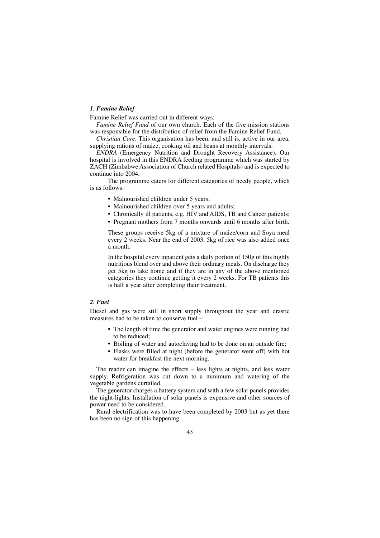# *1. Famine Relief*

Famine Relief was carried out in different ways:

*Famine Relief Fund* of our own church. Each of the five mission stations was responsible for the distribution of relief from the Famine Relief Fund.

*Christian Care.* This organisation has been, and still is, active in our area, supplying rations of maize, cooking oil and beans at monthly intervals.

*ENDRA* (Emergency Nutrition and Drought Recovery Assistance). Our hospital is involved in this ENDRA feeding programme which was started by ZACH (Zimbabwe Association of Church related Hospitals) and is expected to continue into 2004.

The programme caters for different categories of needy people, which is as follows:

- Malnourished children under 5 years;
- Malnourished children over 5 years and adults;
- Chronically ill patients, e.g. HIV and AIDS, TB and Cancer patients;
- Pregnant mothers from 7 months onwards until 6 months after birth.

These groups receive 5kg of a mixture of maize/corn and Soya meal every 2 weeks. Near the end of 2003, 5kg of rice was also added once a month.

In the hospital every inpatient gets a daily portion of 150g of this highly nutritious blend over and above their ordinary meals. On discharge they get 5kg to take home and if they are in any of the above mentioned categories they continue getting it every 2 weeks. For TB patients this is half a year after completing their treatment.

# *2. Fuel*

Diesel and gas were still in short supply throughout the year and drastic measures had to be taken to conserve fuel –

- The length of time the generator and water engines were running had to be reduced;
- Boiling of water and autoclaving had to be done on an outside fire;
- Flasks were filled at night (before the generator went off) with hot water for breakfast the next morning.

The reader can imagine the effects – less lights at nights, and less water supply. Refrigeration was cut down to a minimum and watering of the vegetable gardens curtailed.

The generator charges a battery system and with a few solar panels provides the night-lights. Installation of solar panels is expensive and other sources of power need to be considered.

Rural electrification was to have been completed by 2003 but as yet there has been no sign of this happening.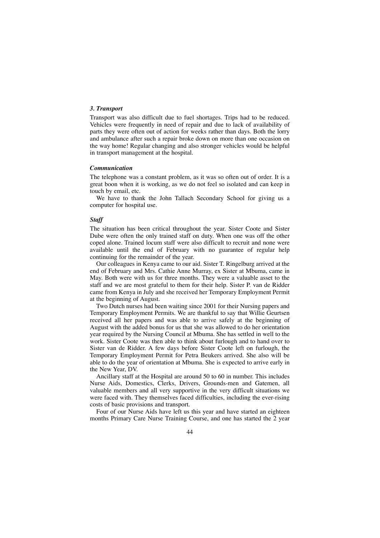#### *3. Transport*

Transport was also difficult due to fuel shortages. Trips had to be reduced. Vehicles were frequently in need of repair and due to lack of availability of parts they were often out of action for weeks rather than days. Both the lorry and ambulance after such a repair broke down on more than one occasion on the way home! Regular changing and also stronger vehicles would be helpful in transport management at the hospital.

#### *Communication*

The telephone was a constant problem, as it was so often out of order. It is a great boon when it is working, as we do not feel so isolated and can keep in touch by email, etc.

We have to thank the John Tallach Secondary School for giving us a computer for hospital use.

#### *Staff*

The situation has been critical throughout the year. Sister Coote and Sister Dube were often the only trained staff on duty. When one was off the other coped alone. Trained locum staff were also difficult to recruit and none were available until the end of February with no guarantee of regular help continuing for the remainder of the year.

Our colleagues in Kenya came to our aid. Sister T. Ringelburg arrived at the end of February and Mrs. Cathie Anne Murray, ex Sister at Mbuma, came in May. Both were with us for three months. They were a valuable asset to the staff and we are most grateful to them for their help. Sister P. van de Ridder came from Kenya in July and she received her Temporary Employment Permit at the beginning of August.

Two Dutch nurses had been waiting since 2001 for their Nursing papers and Temporary Employment Permits. We are thankful to say that Willie Geurtsen received all her papers and was able to arrive safely at the beginning of August with the added bonus for us that she was allowed to do her orientation year required by the Nursing Council at Mbuma. She has settled in well to the work. Sister Coote was then able to think about furlough and to hand over to Sister van de Ridder. A few days before Sister Coote left on furlough, the Temporary Employment Permit for Petra Beukers arrived. She also will be able to do the year of orientation at Mbuma. She is expected to arrive early in the New Year, DV.

Ancillary staff at the Hospital are around 50 to 60 in number. This includes Nurse Aids, Domestics, Clerks, Drivers, Grounds-men and Gatemen, all valuable members and all very supportive in the very difficult situations we were faced with. They themselves faced difficulties, including the ever-rising costs of basic provisions and transport.

Four of our Nurse Aids have left us this year and have started an eighteen months Primary Care Nurse Training Course, and one has started the 2 year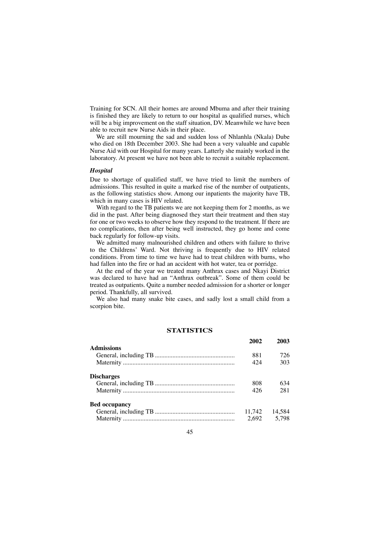Training for SCN. All their homes are around Mbuma and after their training is finished they are likely to return to our hospital as qualified nurses, which will be a big improvement on the staff situation, DV. Meanwhile we have been able to recruit new Nurse Aids in their place.

We are still mourning the sad and sudden loss of Nhlanhla (Nkala) Dube who died on 18th December 2003. She had been a very valuable and capable Nurse Aid with our Hospital for many years. Latterly she mainly worked in the laboratory. At present we have not been able to recruit a suitable replacement.

#### *Hospital*

Due to shortage of qualified staff, we have tried to limit the numbers of admissions. This resulted in quite a marked rise of the number of outpatients, as the following statistics show. Among our inpatients the majority have TB, which in many cases is HIV related.

With regard to the TB patients we are not keeping them for 2 months, as we did in the past. After being diagnosed they start their treatment and then stay for one or two weeks to observe how they respond to the treatment. If there are no complications, then after being well instructed, they go home and come back regularly for follow-up visits.

We admitted many malnourished children and others with failure to thrive to the Childrens' Ward. Not thriving is frequently due to HIV related conditions. From time to time we have had to treat children with burns, who had fallen into the fire or had an accident with hot water, tea or porridge.

At the end of the year we treated many Anthrax cases and Nkayi District was declared to have had an "Anthrax outbreak". Some of them could be treated as outpatients. Quite a number needed admission for a shorter or longer period. Thankfully, all survived.

We also had many snake bite cases, and sadly lost a small child from a scorpion bite.

# **STATISTICS**

|                      | 2002   | 2003   |
|----------------------|--------|--------|
| <b>Admissions</b>    |        |        |
|                      | 881    | 726    |
|                      | 424    | 303    |
| <b>Discharges</b>    |        |        |
|                      | 808    | 634    |
|                      | 426    | 281    |
| <b>Bed occupancy</b> |        |        |
|                      | 11,742 | 14,584 |
|                      | 2,692  | 5,798  |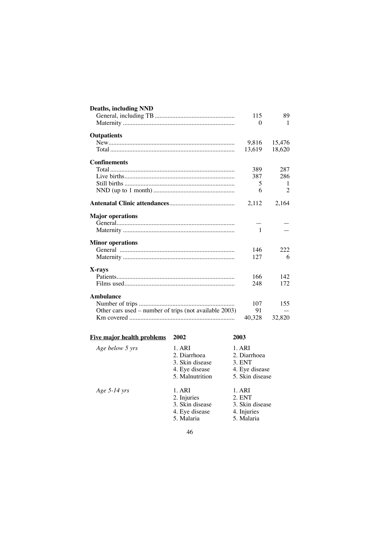| <b>Deaths, including NND</b>                           |              |              |
|--------------------------------------------------------|--------------|--------------|
|                                                        | 115          | 89           |
|                                                        | $\Omega$     | 1            |
| <b>Outpatients</b>                                     |              |              |
|                                                        |              | 9,816 15,476 |
|                                                        | 13,619       | 18,620       |
| Confinements                                           |              |              |
|                                                        | 389          | 287          |
|                                                        | 387          | 286          |
|                                                        | 5            | 1            |
|                                                        | 6            | 2            |
|                                                        | 2,112        | 2,164        |
| <b>Major operations</b>                                |              |              |
|                                                        |              |              |
|                                                        | $\mathbf{1}$ |              |
| <b>Minor operations</b>                                |              |              |
|                                                        | 146          | 222          |
|                                                        | 127          | 6            |
| X-rays                                                 |              |              |
|                                                        | 166          | 142          |
|                                                        | 248          | 172          |
| <b>Ambulance</b>                                       |              |              |
|                                                        | 107          | 155          |
| Other cars used – number of trips (not available 2003) | 91           |              |
|                                                        | 40,328       | 32,820       |

# **Five major health problems 2002 2003**

| Age below 5 yrs | 1. ARI<br>2. Diarrhoea<br>3. Skin disease<br>4. Eye disease<br>5. Malnutrition | 1. ARI<br>2. Diarrhoea<br>3. ENT<br>4. Eye disease<br>5. Skin disease |
|-----------------|--------------------------------------------------------------------------------|-----------------------------------------------------------------------|
| Age $5-14$ yrs  | 1. ARI<br>2. Injuries<br>3. Skin disease<br>4. Eye disease<br>5. Malaria       | 1. ARI<br>2. ENT<br>3. Skin disease<br>4. Injuries<br>5. Malaria      |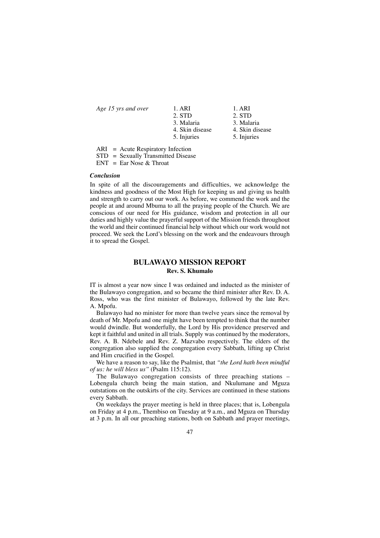| 2. STD<br>2. STD                   |
|------------------------------------|
|                                    |
| 3. Malaria<br>3. Malaria           |
| 4. Skin disease<br>4. Skin disease |
| 5. Injuries<br>5. Injuries         |
|                                    |

ARI = Acute Respiratory Infection

STD = Sexually Transmitted Disease

 $ENT = Ear Nose & Throat$ 

#### *Conclusion*

In spite of all the discouragements and difficulties, we acknowledge the kindness and goodness of the Most High for keeping us and giving us health and strength to carry out our work. As before, we commend the work and the people at and around Mbuma to all the praying people of the Church. We are conscious of our need for His guidance, wisdom and protection in all our duties and highly value the prayerful support of the Mission friends throughout the world and their continued financial help without which our work would not proceed. We seek the Lord's blessing on the work and the endeavours through it to spread the Gospel.

# **BULAWAYO MISSION REPORT Rev. S. Khumalo**

IT is almost a year now since I was ordained and inducted as the minister of the Bulawayo congregation, and so became the third minister after Rev. D. A. Ross, who was the first minister of Bulawayo, followed by the late Rev. A. Mpofu.

Bulawayo had no minister for more than twelve years since the removal by death of Mr. Mpofu and one might have been tempted to think that the number would dwindle. But wonderfully, the Lord by His providence preserved and kept it faithful and united in all trials. Supply was continued by the moderators, Rev. A. B. Ndebele and Rev. Z. Mazvabo respectively. The elders of the congregation also supplied the congregation every Sabbath, lifting up Christ and Him crucified in the Gospel.

We have a reason to say, like the Psalmist, that *"the Lord hath been mindful of us: he will bless us"* (Psalm 115:12).

The Bulawayo congregation consists of three preaching stations – Lobengula church being the main station, and Nkulumane and Mguza outstations on the outskirts of the city. Services are continued in these stations every Sabbath.

On weekdays the prayer meeting is held in three places; that is, Lobengula on Friday at 4 p.m., Thembiso on Tuesday at 9 a.m., and Mguza on Thursday at 3 p.m. In all our preaching stations, both on Sabbath and prayer meetings,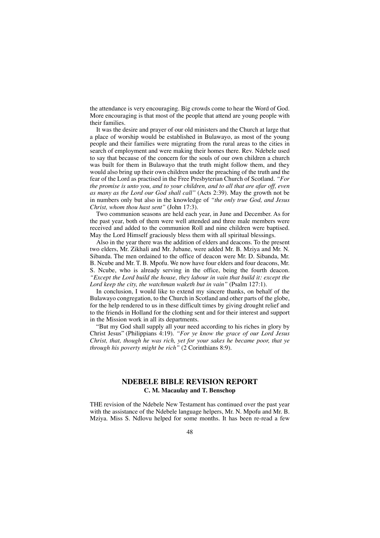the attendance is very encouraging. Big crowds come to hear the Word of God. More encouraging is that most of the people that attend are young people with their families.

It was the desire and prayer of our old ministers and the Church at large that a place of worship would be established in Bulawayo, as most of the young people and their families were migrating from the rural areas to the cities in search of employment and were making their homes there. Rev. Ndebele used to say that because of the concern for the souls of our own children a church was built for them in Bulawayo that the truth might follow them, and they would also bring up their own children under the preaching of the truth and the fear of the Lord as practised in the Free Presbyterian Church of Scotland. *"For the promise is unto you, and to your children, and to all that are afar off, even as many as the Lord our God shall call"* (Acts 2:39). May the growth not be in numbers only but also in the knowledge of *"the only true God, and Jesus Christ, whom thou hast sent"* (John 17:3).

Two communion seasons are held each year, in June and December. As for the past year, both of them were well attended and three male members were received and added to the communion Roll and nine children were baptised. May the Lord Himself graciously bless them with all spiritual blessings.

Also in the year there was the addition of elders and deacons. To the present two elders, Mr. Zikhali and Mr. Jubane, were added Mr. B. Mziya and Mr. N. Sibanda. The men ordained to the office of deacon were Mr. D. Sibanda, Mr. B. Ncube and Mr. T. B. Mpofu. We now have four elders and four deacons, Mr. S. Ncube, who is already serving in the office, being the fourth deacon. *"Except the Lord build the house, they labour in vain that build it: except the Lord keep the city, the watchman waketh but in vain"* (Psalm 127:1).

In conclusion, I would like to extend my sincere thanks, on behalf of the Bulawayo congregation, to the Church in Scotland and other parts of the globe, for the help rendered to us in these difficult times by giving drought relief and to the friends in Holland for the clothing sent and for their interest and support in the Mission work in all its departments.

"But my God shall supply all your need according to his riches in glory by Christ Jesus" (Philippians 4:19). *"For ye know the grace of our Lord Jesus Christ, that, though he was rich, yet for your sakes he became poor, that ye through his poverty might be rich"* (2 Corinthians 8:9).

# **NDEBELE BIBLE REVISION REPORT C. M. Macaulay and T. Benschop**

THE revision of the Ndebele New Testament has continued over the past year with the assistance of the Ndebele language helpers, Mr. N. Mpofu and Mr. B. Mziya. Miss S. Ndlovu helped for some months. It has been re-read a few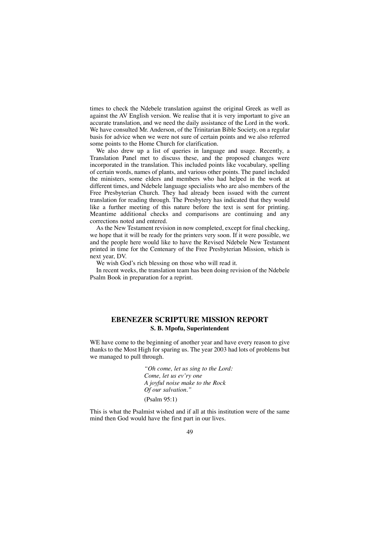times to check the Ndebele translation against the original Greek as well as against the AV English version. We realise that it is very important to give an accurate translation, and we need the daily assistance of the Lord in the work. We have consulted Mr. Anderson, of the Trinitarian Bible Society, on a regular basis for advice when we were not sure of certain points and we also referred some points to the Home Church for clarification.

We also drew up a list of queries in language and usage. Recently, a Translation Panel met to discuss these, and the proposed changes were incorporated in the translation. This included points like vocabulary, spelling of certain words, names of plants, and various other points. The panel included the ministers, some elders and members who had helped in the work at different times, and Ndebele language specialists who are also members of the Free Presbyterian Church. They had already been issued with the current translation for reading through. The Presbytery has indicated that they would like a further meeting of this nature before the text is sent for printing. Meantime additional checks and comparisons are continuing and any corrections noted and entered.

As the New Testament revision in now completed, except for final checking, we hope that it will be ready for the printers very soon. If it were possible, we and the people here would like to have the Revised Ndebele New Testament printed in time for the Centenary of the Free Presbyterian Mission, which is next year, DV.

We wish God's rich blessing on those who will read it.

In recent weeks, the translation team has been doing revision of the Ndebele Psalm Book in preparation for a reprint.

# **EBENEZER SCRIPTURE MISSION REPORT S. B. Mpofu, Superintendent**

WE have come to the beginning of another year and have every reason to give thanks to the Most High for sparing us. The year 2003 had lots of problems but we managed to pull through.

> *"Oh come, let us sing to the Lord: Come, let us ev'ry one A joyful noise make to the Rock Of our salvation."* (Psalm 95:1)

This is what the Psalmist wished and if all at this institution were of the same mind then God would have the first part in our lives.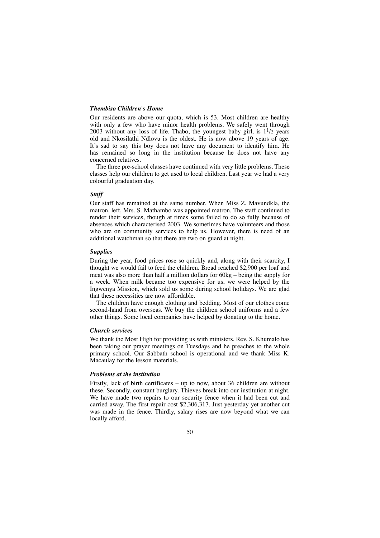# *Thembiso Children's Home*

Our residents are above our quota, which is 53. Most children are healthy with only a few who have minor health problems. We safely went through 2003 without any loss of life. Thabo, the youngest baby girl, is  $1<sup>1</sup>/2$  years old and Nkosilathi Ndlovu is the oldest. He is now above 19 years of age. It's sad to say this boy does not have any document to identify him. He has remained so long in the institution because he does not have any concerned relatives.

The three pre-school classes have continued with very little problems. These classes help our children to get used to local children. Last year we had a very colourful graduation day.

# *Staff*

Our staff has remained at the same number. When Miss Z. Mavundkla, the matron, left, Mrs. S. Mathambo was appointed matron. The staff continued to render their services, though at times some failed to do so fully because of absences which characterised 2003. We sometimes have volunteers and those who are on community services to help us. However, there is need of an additional watchman so that there are two on guard at night.

#### *Supplies*

During the year, food prices rose so quickly and, along with their scarcity, I thought we would fail to feed the children. Bread reached \$2,900 per loaf and meat was also more than half a million dollars for 60kg – being the supply for a week. When milk became too expensive for us, we were helped by the Ingwenya Mission, which sold us some during school holidays. We are glad that these necessities are now affordable.

The children have enough clothing and bedding. Most of our clothes come second-hand from overseas. We buy the children school uniforms and a few other things. Some local companies have helped by donating to the home.

#### *Church services*

We thank the Most High for providing us with ministers. Rev. S. Khumalo has been taking our prayer meetings on Tuesdays and he preaches to the whole primary school. Our Sabbath school is operational and we thank Miss K. Macaulay for the lesson materials.

# *Problems at the institution*

Firstly, lack of birth certificates – up to now, about 36 children are without these. Secondly, constant burglary. Thieves break into our institution at night. We have made two repairs to our security fence when it had been cut and carried away. The first repair cost \$2,306,317. Just yesterday yet another cut was made in the fence. Thirdly, salary rises are now beyond what we can locally afford.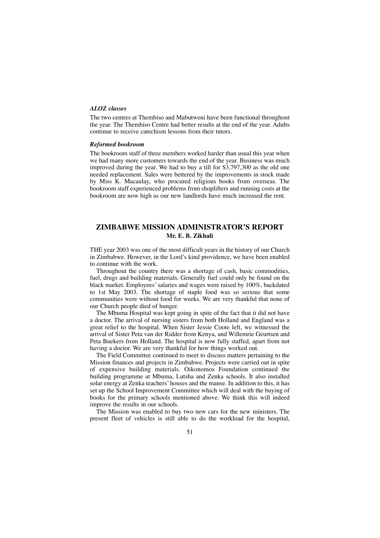# *ALOZ classes*

The two centres at Thembiso and Mabutweni have been functional throughout the year. The Thembiso Centre had better results at the end of the year. Adults continue to receive catechism lessons from their tutors.

#### *Reformed bookroom*

The bookroom staff of three members worked harder than usual this year when we had many more customers towards the end of the year. Business was much improved during the year. We had to buy a till for \$3,797,300 as the old one needed replacement. Sales were bettered by the improvements in stock made by Miss K. Macaulay, who procured religious books from overseas. The bookroom staff experienced problems from shoplifters and running costs at the bookroom are now high as our new landlords have much increased the rent.

# **ZIMBABWE MISSION ADMINISTRATOR'S REPORT Mr. E. B. Zikhali**

THE year 2003 was one of the most difficult years in the history of our Church in Zimbabwe. However, in the Lord's kind providence, we have been enabled to continue with the work.

Throughout the country there was a shortage of cash, basic commodities, fuel, drugs and building materials. Generally fuel could only be found on the black market. Employees'salaries and wages were raised by 100%, backdated to 1st May 2003. The shortage of staple food was so serious that some communities were without food for weeks. We are very thankful that none of our Church people died of hunger.

The Mbuma Hospital was kept going in spite of the fact that it did not have a doctor. The arrival of nursing sisters from both Holland and England was a great relief to the hospital. When Sister Jessie Coote left, we witnessed the arrival of Sister Peta van der Ridder from Kenya, and Willemrie Geurtsen and Peta Buekers from Holland. The hospital is now fully staffed, apart from not having a doctor. We are very thankful for how things worked out.

The Field Committee continued to meet to discuss matters pertaining to the Mission finances and projects in Zimbabwe. Projects were carried out in spite of expensive building materials. Oikonomos Foundation continued the building programme at Mbuma, Lutsha and Zenka schools. It also installed solar energy at Zenka teachers' houses and the manse. In addition to this, it has set up the School Improvement Committee which will deal with the buying of books for the primary schools mentioned above. We think this will indeed improve the results in our schools.

The Mission was enabled to buy two new cars for the new ministers. The present fleet of vehicles is still able to do the workload for the hospital,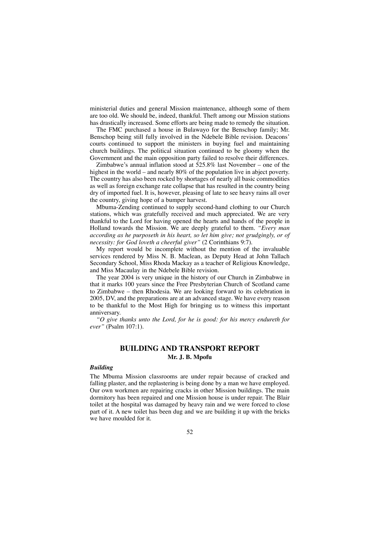ministerial duties and general Mission maintenance, although some of them are too old. We should be, indeed, thankful. Theft among our Mission stations has drastically increased. Some efforts are being made to remedy the situation.

The FMC purchased a house in Bulawayo for the Benschop family; Mr. Benschop being still fully involved in the Ndebele Bible revision. Deacons' courts continued to support the ministers in buying fuel and maintaining church buildings. The political situation continued to be gloomy when the Government and the main opposition party failed to resolve their differences.

Zimbabwe's annual inflation stood at 525.8% last November – one of the highest in the world – and nearly 80% of the population live in abject poverty. The country has also been rocked by shortages of nearly all basic commodities as well as foreign exchange rate collapse that has resulted in the country being dry of imported fuel. It is, however, pleasing of late to see heavy rains all over the country, giving hope of a bumper harvest.

Mbuma-Zending continued to supply second-hand clothing to our Church stations, which was gratefully received and much appreciated. We are very thankful to the Lord for having opened the hearts and hands of the people in Holland towards the Mission. We are deeply grateful to them. *"Every man according as he purposeth in his heart, so let him give; not grudgingly, or of necessity: for God loveth a cheerful giver"* (2 Corinthians 9:7).

My report would be incomplete without the mention of the invaluable services rendered by Miss N. B. Maclean, as Deputy Head at John Tallach Secondary School, Miss Rhoda Mackay as a teacher of Religious Knowledge, and Miss Macaulay in the Ndebele Bible revision.

The year 2004 is very unique in the history of our Church in Zimbabwe in that it marks 100 years since the Free Presbyterian Church of Scotland came to Zimbabwe – then Rhodesia. We are looking forward to its celebration in 2005, DV, and the preparations are at an advanced stage. We have every reason to be thankful to the Most High for bringing us to witness this important anniversary.

*"O give thanks unto the Lord, for he is good: for his mercy endureth for ever"* (Psalm 107:1).

# **BUILDING AND TRANSPORT REPORT Mr. J. B. Mpofu**

#### *Building*

The Mbuma Mission classrooms are under repair because of cracked and falling plaster, and the replastering is being done by a man we have employed. Our own workmen are repairing cracks in other Mission buildings. The main dormitory has been repaired and one Mission house is under repair. The Blair toilet at the hospital was damaged by heavy rain and we were forced to close part of it. A new toilet has been dug and we are building it up with the bricks we have moulded for it.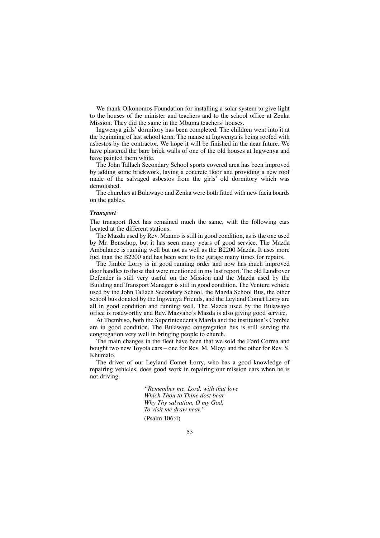We thank Oikonomos Foundation for installing a solar system to give light to the houses of the minister and teachers and to the school office at Zenka Mission. They did the same in the Mbuma teachers' houses.

Ingwenya girls' dormitory has been completed. The children went into it at the beginning of last school term. The manse at Ingwenya is being roofed with asbestos by the contractor. We hope it will be finished in the near future. We have plastered the bare brick walls of one of the old houses at Ingwenya and have painted them white.

The John Tallach Secondary School sports covered area has been improved by adding some brickwork, laying a concrete floor and providing a new roof made of the salvaged asbestos from the girls' old dormitory which was demolished.

The churches at Bulawayo and Zenka were both fitted with new facia boards on the gables.

#### *Transport*

The transport fleet has remained much the same, with the following cars located at the different stations.

The Mazda used by Rev. Mzamo is still in good condition, as is the one used by Mr. Benschop, but it has seen many years of good service. The Mazda Ambulance is running well but not as well as the B2200 Mazda. It uses more fuel than the B2200 and has been sent to the garage many times for repairs.

The Jimbie Lorry is in good running order and now has much improved door handles to those that were mentioned in my last report. The old Landrover Defender is still very useful on the Mission and the Mazda used by the Building and Transport Manager is still in good condition. The Venture vehicle used by the John Tallach Secondary School, the Mazda School Bus, the other school bus donated by the Ingwenya Friends, and the Leyland Comet Lorry are all in good condition and running well. The Mazda used by the Bulawayo office is roadworthy and Rev. Mazvabo's Mazda is also giving good service.

At Thembiso, both the Superintendent's Mazda and the institution's Combie are in good condition. The Bulawayo congregation bus is still serving the congregation very well in bringing people to church.

The main changes in the fleet have been that we sold the Ford Correa and bought two new Toyota cars – one for Rev. M. Mloyi and the other for Rev. S. Khumalo.

The driver of our Leyland Comet Lorry, who has a good knowledge of repairing vehicles, does good work in repairing our mission cars when he is not driving.

> *"Remember me, Lord, with that love Which Thou to Thine dost bear Why Thy salvation, O my God, To visit me draw near."* (Psalm 106:4)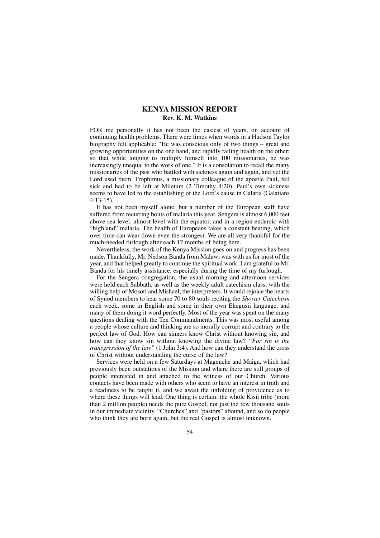# **KENYA MISSION REPORT Rev. K. M. Watkins**

FOR me personally it has not been the easiest of years, on account of continuing health problems. There were times when words in a Hudson Taylor biography felt applicable: "He was conscious only of two things – great and growing opportunities on the one hand, and rapidly failing health on the other; so that while longing to multiply himself into 100 missionaries, he was increasingly unequal to the work of one." It is a consolation to recall the many missionaries of the past who battled with sickness again and again, and yet the Lord used them. Trophimus, a missionary colleague of the apostle Paul, fell sick and had to be left at Miletum (2 Timothy 4:20). Paul's own sickness seems to have led to the establishing of the Lord's cause in Galatia (Galatians 4:13-15).

It has not been myself alone, but a number of the European staff have suffered from recurring bouts of malaria this year. Sengera is almost 6,000 feet above sea level, almost level with the equator, and in a region endemic with "highland" malaria. The health of Europeans takes a constant beating, which over time can wear down even the strongest. We are all very thankful for the much-needed furlough after each 12 months of being here.

Nevertheless, the work of the Kenya Mission goes on and progress has been made. Thankfully, Mr. Nedson Banda from Malawi was with us for most of the year, and that helped greatly to continue the spiritual work. I am grateful to Mr. Banda for his timely assistance, especially during the time of my furlough.

For the Sengera congregation, the usual morning and afternoon services were held each Sabbath, as well as the weekly adult catechism class, with the willing help of Mosoti and Mishael, the interpreters. It would rejoice the hearts of Synod members to hear some 70 to 80 souls reciting the *Shorter Catechism* each week, some in English and some in their own Ekegusii language, and many of them doing it word perfectly. Most of the year was spent on the many questions dealing with the Ten Commandments. This was most useful among a people whose culture and thinking are so morally corrupt and contrary to the perfect law of God. How can sinners know Christ without knowing sin, and how can they know sin without knowing the divine law? *"For sin is the transgression of the law"* (1 John 3:4). And how can they understand the cross of Christ without understanding the curse of the law?

Services were held on a few Saturdays at Magenche and Maiga, which had previously been outstations of the Mission and where there are still groups of people interested in and attached to the witness of our Church. Various contacts have been made with others who seem to have an interest in truth and a readiness to be taught it, and we await the unfolding of providence as to where these things will lead. One thing is certain: the whole Kisii tribe (more than 2 million people) needs the pure Gospel, not just the few thousand souls in our immediate vicinity. "Churches" and "pastors" abound, and so do people who think they are born again, but the real Gospel is almost unknown.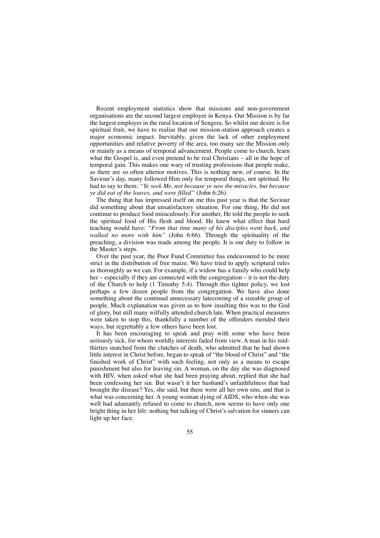Recent employment statistics show that missions and non-government organisations are the second largest employer in Kenya. Our Mission is by far the largest employer in the rural location of Sengera. So whilst our desire is for spiritual fruit, we have to realise that our mission-station approach creates a major economic impact. Inevitably, given the lack of other employment opportunities and relative poverty of the area, too many see the Mission only or mainly as a means of temporal advancement. People come to church, learn what the Gospel is, and even pretend to be real Christians – all in the hope of temporal gain. This makes one wary of trusting professions that people make, as there are so often ulterior motives. This is nothing new, of course. In the Saviour's day, many followed Him only for temporal things, not spiritual. He had to say to them: *"Ye seek Me, not because ye saw the miracles, but because ye did eat of the loaves, and were filled"* (John 6:26).

The thing that has impressed itself on me this past year is that the Saviour did something about that unsatisfactory situation. For one thing, He did not continue to produce food miraculously. For another, He told the people to seek the spiritual food of His flesh and blood. He knew what effect that hard teaching would have: *"From that time many of his disciples went back, and walked no more with him"* (John 6:66). Through the spirituality of the preaching, a division was made among the people. It is our duty to follow in the Master's steps.

Over the past year, the Poor Fund Committee has endeavoured to be more strict in the distribution of free maize. We have tried to apply scriptural rules as thoroughly as we can. For example, if a widow has a family who could help her – especially if they are connected with the congregation – it is not the duty of the Church to help (1 Timothy 5:4). Through this tighter policy, we lost perhaps a few dozen people from the congregation. We have also done something about the continual unnecessary latecoming of a sizeable group of people. Much explanation was given as to how insulting this was to the God of glory, but still many wilfully attended church late. When practical measures were taken to stop this, thankfully a number of the offenders mended their ways, but regrettably a few others have been lost.

It has been encouraging to speak and pray with some who have been seriously sick, for whom worldly interests faded from view. A man in his midthirties snatched from the clutches of death, who admitted that he had shown little interest in Christ before, began to speak of "the blood of Christ" and "the finished work of Christ" with such feeling, not only as a means to escape punishment but also for leaving sin. A woman, on the day she was diagnosed with HIV, when asked what she had been praying about, replied that she had been confessing her sin. But wasn't it her husband's unfaithfulness that had brought the disease? Yes, she said, but there were all her own sins, and that is what was concerning her. A young woman dying of AIDS, who when she was well had adamantly refused to come to church, now seems to have only one bright thing in her life: nothing but talking of Christ's salvation for sinners can light up her face.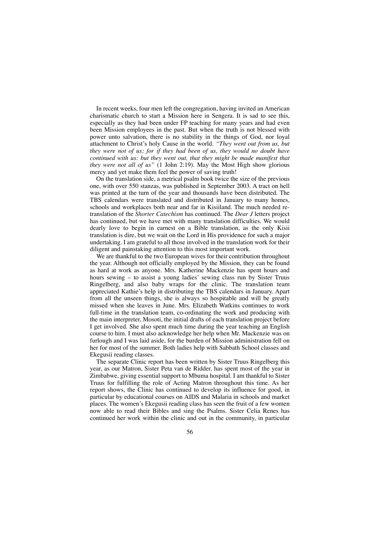In recent weeks, four men left the congregation, having invited an American charismatic church to start a Mission here in Sengera. It is sad to see this, especially as they had been under FP teaching for many years and had even been Mission employees in the past. But when the truth is not blessed with power unto salvation, there is no stability in the things of God, nor loyal attachment to Christ's holy Cause in the world. *"They went out from us, but they were not of us; for if they had been of us, they would no doubt have continued with us: but they went out, that they might be made manifest that they were not all of us"* (1 John 2:19). May the Most High show glorious mercy and yet make them feel the power of saving truth!

On the translation side, a metrical psalm book twice the size of the previous one, with over 550 stanzas, was published in September 2003. A tract on hell was printed at the turn of the year and thousands have been distributed. The TBS calendars were translated and distributed in January to many homes, schools and workplaces both near and far in Kisiiland. The much needed retranslation of the *Shorter Catechism* has continued. The *Dear J* letters project has continued, but we have met with many translation difficulties. We would dearly love to begin in earnest on a Bible translation, as the only Kisii translation is dire, but we wait on the Lord in His providence for such a major undertaking. I am grateful to all those involved in the translation work for their diligent and painstaking attention to this most important work.

We are thankful to the two European wives for their contribution throughout the year. Although not officially employed by the Mission, they can be found as hard at work as anyone. Mrs. Katherine Mackenzie has spent hours and hours sewing – to assist a young ladies' sewing class run by Sister Truus Ringelberg, and also baby wraps for the clinic. The translation team appreciated Kathie's help in distributing the TBS calendars in January. Apart from all the unseen things, she is always so hospitable and will be greatly missed when she leaves in June. Mrs. Elizabeth Watkins continues to work full-time in the translation team, co-ordinating the work and producing with the main interpreter, Mosoti, the initial drafts of each translation project before I get involved. She also spent much time during the year teaching an English course to him. I must also acknowledge her help when Mr. Mackenzie was on furlough and I was laid aside, for the burden of Mission administration fell on her for most of the summer. Both ladies help with Sabbath School classes and Ekegusii reading classes.

The separate Clinic report has been written by Sister Truus Ringelberg this year, as our Matron, Sister Peta van de Ridder, has spent most of the year in Zimbabwe, giving essential support to Mbuma hospital. I am thankful to Sister Truus for fulfilling the role of Acting Matron throughout this time. As her report shows, the Clinic has continued to develop its influence for good, in particular by educational courses on AIDS and Malaria in schools and market places. The women's Ekegusii reading class has seen the fruit of a few women now able to read their Bibles and sing the Psalms. Sister Celia Renes has continued her work within the clinic and out in the community, in particular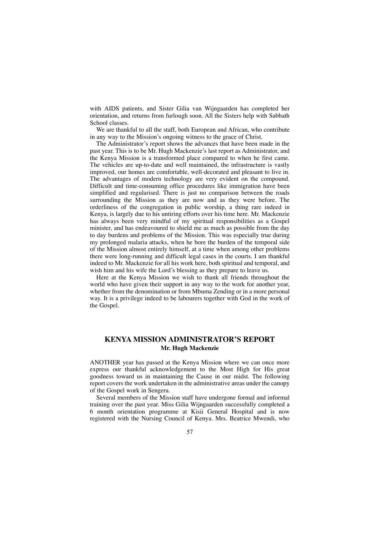with AIDS patients, and Sister Gilia van Wijngaarden has completed her orientation, and returns from furlough soon. All the Sisters help with Sabbath School classes.

We are thankful to all the staff, both European and African, who contribute in any way to the Mission's ongoing witness to the grace of Christ.

The Administrator's report shows the advances that have been made in the past year. This is to be Mr. Hugh Mackenzie's last report as Administrator, and the Kenya Mission is a transformed place compared to when he first came. The vehicles are up-to-date and well maintained, the infrastructure is vastly improved, our homes are comfortable, well-decorated and pleasant to live in. The advantages of modern technology are very evident on the compound. Difficult and time-consuming office procedures like immigration have been simplified and regularised. There is just no comparison between the roads surrounding the Mission as they are now and as they were before. The orderliness of the congregation in public worship, a thing rare indeed in Kenya, is largely due to his untiring efforts over his time here. Mr. Mackenzie has always been very mindful of my spiritual responsibilities as a Gospel minister, and has endeavoured to shield me as much as possible from the day to day burdens and problems of the Mission. This was especially true during my prolonged malaria attacks, when he bore the burden of the temporal side of the Mission almost entirely himself, at a time when among other problems there were long-running and difficult legal cases in the courts. I am thankful indeed to Mr. Mackenzie for all his work here, both spiritual and temporal, and wish him and his wife the Lord's blessing as they prepare to leave us.

Here at the Kenya Mission we wish to thank all friends throughout the world who have given their support in any way to the work for another year, whether from the denomination or from Mbuma Zending or in a more personal way. It is a privilege indeed to be labourers together with God in the work of the Gospel.

# **KENYA MISSION ADMINISTRATOR'S REPORT Mr. Hugh Mackenzie**

ANOTHER year has passed at the Kenya Mission where we can once more express our thankful acknowledgement to the Most High for His great goodness toward us in maintaining the Cause in our midst. The following report covers the work undertaken in the administrative areas under the canopy of the Gospel work in Sengera.

Several members of the Mission staff have undergone formal and informal training over the past year. Miss Gilia Wijngaarden successfully completed a 6 month orientation programme at Kisii General Hospital and is now registered with the Nursing Council of Kenya. Mrs. Beatrice Mwendi, who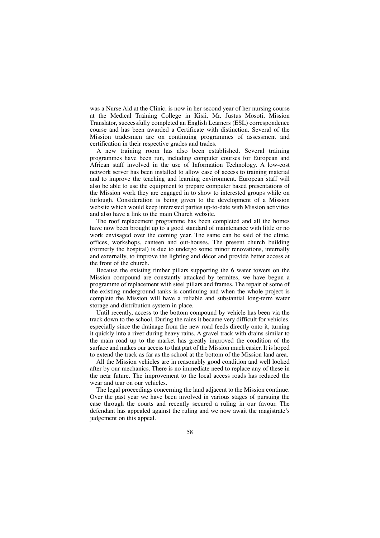was a Nurse Aid at the Clinic, is now in her second year of her nursing course at the Medical Training College in Kisii. Mr. Justus Mosoti, Mission Translator, successfully completed an English Learners (ESL) correspondence course and has been awarded a Certificate with distinction. Several of the Mission tradesmen are on continuing programmes of assessment and certification in their respective grades and trades.

A new training room has also been established. Several training programmes have been run, including computer courses for European and African staff involved in the use of Information Technology. A low-cost network server has been installed to allow ease of access to training material and to improve the teaching and learning environment. European staff will also be able to use the equipment to prepare computer based presentations of the Mission work they are engaged in to show to interested groups while on furlough. Consideration is being given to the development of a Mission website which would keep interested parties up-to-date with Mission activities and also have a link to the main Church website.

The roof replacement programme has been completed and all the homes have now been brought up to a good standard of maintenance with little or no work envisaged over the coming year. The same can be said of the clinic, offices, workshops, canteen and out-houses. The present church building (formerly the hospital) is due to undergo some minor renovations, internally and externally, to improve the lighting and décor and provide better access at the front of the church.

Because the existing timber pillars supporting the 6 water towers on the Mission compound are constantly attacked by termites, we have begun a programme of replacement with steel pillars and frames. The repair of some of the existing underground tanks is continuing and when the whole project is complete the Mission will have a reliable and substantial long-term water storage and distribution system in place.

Until recently, access to the bottom compound by vehicle has been via the track down to the school. During the rains it became very difficult for vehicles, especially since the drainage from the new road feeds directly onto it, turning it quickly into a river during heavy rains. A gravel track with drains similar to the main road up to the market has greatly improved the condition of the surface and makes our access to that part of the Mission much easier. It is hoped to extend the track as far as the school at the bottom of the Mission land area.

All the Mission vehicles are in reasonably good condition and well looked after by our mechanics. There is no immediate need to replace any of these in the near future. The improvement to the local access roads has reduced the wear and tear on our vehicles.

The legal proceedings concerning the land adjacent to the Mission continue. Over the past year we have been involved in various stages of pursuing the case through the courts and recently secured a ruling in our favour. The defendant has appealed against the ruling and we now await the magistrate's judgement on this appeal.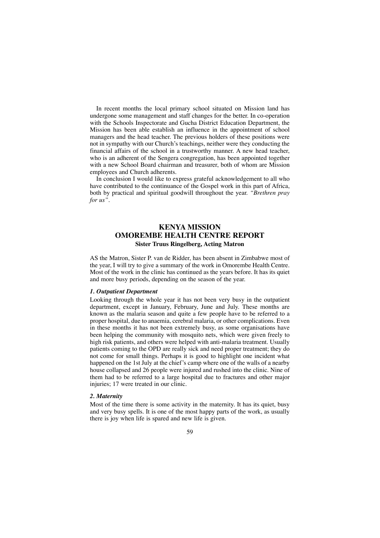In recent months the local primary school situated on Mission land has undergone some management and staff changes for the better. In co-operation with the Schools Inspectorate and Gucha District Education Department, the Mission has been able establish an influence in the appointment of school managers and the head teacher. The previous holders of these positions were not in sympathy with our Church's teachings, neither were they conducting the financial affairs of the school in a trustworthy manner. A new head teacher, who is an adherent of the Sengera congregation, has been appointed together with a new School Board chairman and treasurer, both of whom are Mission employees and Church adherents.

In conclusion I would like to express grateful acknowledgement to all who have contributed to the continuance of the Gospel work in this part of Africa, both by practical and spiritual goodwill throughout the year. *"Brethren pray for us".*

# **KENYA MISSION OMOREMBE HEALTH CENTRE REPORT Sister Truus Ringelberg, Acting Matron**

AS the Matron, Sister P. van de Ridder, has been absent in Zimbabwe most of the year, I will try to give a summary of the work in Omorembe Health Centre. Most of the work in the clinic has continued as the years before. It has its quiet and more busy periods, depending on the season of the year.

#### *1. Outpatient Department*

Looking through the whole year it has not been very busy in the outpatient department, except in January, February, June and July. These months are known as the malaria season and quite a few people have to be referred to a proper hospital, due to anaemia, cerebral malaria, or other complications. Even in these months it has not been extremely busy, as some organisations have been helping the community with mosquito nets, which were given freely to high risk patients, and others were helped with anti-malaria treatment. Usually patients coming to the OPD are really sick and need proper treatment; they do not come for small things. Perhaps it is good to highlight one incident what happened on the 1st July at the chief's camp where one of the walls of a nearby house collapsed and 26 people were injured and rushed into the clinic. Nine of them had to be referred to a large hospital due to fractures and other major injuries; 17 were treated in our clinic.

#### *2. Maternity*

Most of the time there is some activity in the maternity. It has its quiet, busy and very busy spells. It is one of the most happy parts of the work, as usually there is joy when life is spared and new life is given.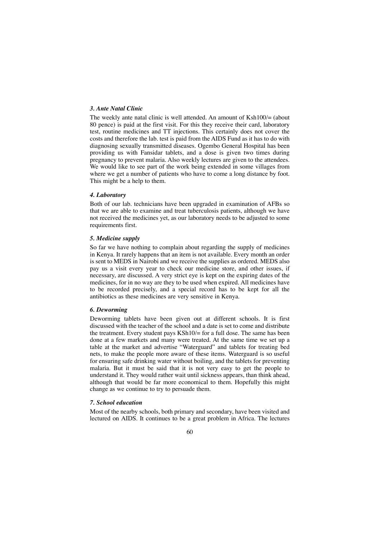# *3. Ante Natal Clinic*

The weekly ante natal clinic is well attended. An amount of Ksh100/= (about 80 pence) is paid at the first visit. For this they receive their card, laboratory test, routine medicines and TT injections. This certainly does not cover the costs and therefore the lab. test is paid from the AIDS Fund as it has to do with diagnosing sexually transmitted diseases. Ogembo General Hospital has been providing us with Fansidar tablets, and a dose is given two times during pregnancy to prevent malaria. Also weekly lectures are given to the attendees. We would like to see part of the work being extended in some villages from where we get a number of patients who have to come a long distance by foot. This might be a help to them.

# *4. Laboratory*

Both of our lab. technicians have been upgraded in examination of AFBs so that we are able to examine and treat tuberculosis patients, although we have not received the medicines yet, as our laboratory needs to be adjusted to some requirements first.

#### *5. Medicine supply*

So far we have nothing to complain about regarding the supply of medicines in Kenya. It rarely happens that an item is not available. Every month an order is sent to MEDS in Nairobi and we receive the supplies as ordered. MEDS also pay us a visit every year to check our medicine store, and other issues, if necessary, are discussed. A very strict eye is kept on the expiring dates of the medicines, for in no way are they to be used when expired. All medicines have to be recorded precisely, and a special record has to be kept for all the antibiotics as these medicines are very sensitive in Kenya.

#### *6. Deworming*

Deworming tablets have been given out at different schools. It is first discussed with the teacher of the school and a date is set to come and distribute the treatment. Every student pays  $KSh10/ =$  for a full dose. The same has been done at a few markets and many were treated. At the same time we set up a table at the market and advertise "Waterguard" and tablets for treating bed nets, to make the people more aware of these items. Waterguard is so useful for ensuring safe drinking water without boiling, and the tablets for preventing malaria. But it must be said that it is not very easy to get the people to understand it. They would rather wait until sickness appears, than think ahead, although that would be far more economical to them. Hopefully this might change as we continue to try to persuade them.

#### *7. School education*

Most of the nearby schools, both primary and secondary, have been visited and lectured on AIDS. It continues to be a great problem in Africa. The lectures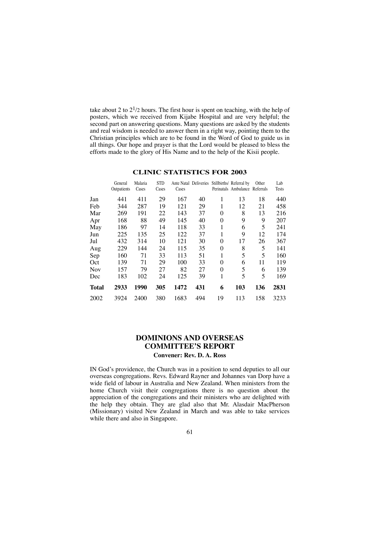take about 2 to  $2^{1/2}$  hours. The first hour is spent on teaching, with the help of posters, which we received from Kijabe Hospital and are very helpful; the second part on answering questions. Many questions are asked by the students and real wisdom is needed to answer them in a right way, pointing them to the Christian principles which are to be found in the Word of God to guide us in all things. Our hope and prayer is that the Lord would be pleased to bless the efforts made to the glory of His Name and to the help of the Kisii people.

|              | General<br>Outpatients | Malaria<br>Cases | <b>STD</b><br>Cases | Cases |     |          | Ante Natal Deliveries Stillbirths/ Referral by<br>Perinatals Ambulance Referrals | Other | Lab<br><b>Tests</b> |
|--------------|------------------------|------------------|---------------------|-------|-----|----------|----------------------------------------------------------------------------------|-------|---------------------|
| Jan          | 441                    | 411              | 29                  | 167   | 40  | 1        | 13                                                                               | 18    | 440                 |
| Feb          | 344                    | 287              | 19                  | 121   | 29  | 1        | 12                                                                               | 21    | 458                 |
| Mar          | 269                    | 191              | 22                  | 143   | 37  | 0        | 8                                                                                | 13    | 216                 |
| Apr          | 168                    | 88               | 49                  | 145   | 40  | 0        | 9                                                                                | 9     | 207                 |
| May          | 186                    | 97               | 14                  | 118   | 33  | 1        | 6                                                                                | 5     | 241                 |
| Jun          | 225                    | 135              | 25                  | 122   | 37  | 1        | 9                                                                                | 12    | 174                 |
| Jul          | 432                    | 314              | 10                  | 121   | 30  | 0        | 17                                                                               | 26    | 367                 |
| Aug          | 229                    | 144              | 24                  | 115   | 35  | $\theta$ | 8                                                                                | 5     | 141                 |
| Sep          | 160                    | 71               | 33                  | 113   | 51  | 1        | 5                                                                                | 5     | 160                 |
| Oct          | 139                    | 71               | 29                  | 100   | 33  | $\Omega$ | 6                                                                                | 11    | 119                 |
| <b>Nov</b>   | 157                    | 79               | 27                  | 82    | 27  | 0        | 5                                                                                | 6     | 139                 |
| Dec          | 183                    | 102              | 24                  | 125   | 39  | 1        | 5                                                                                | 5     | 169                 |
| <b>Total</b> | 2933                   | 1990             | 305                 | 1472  | 431 | 6        | 103                                                                              | 136   | 2831                |
| 2002         | 3924                   | 2400             | 380                 | 1683  | 494 | 19       | 113                                                                              | 158   | 3233                |

# **CLINIC STATISTICS FOR 2003**

# **DOMINIONS AND OVERSEAS COMMITTEE'S REPORT Convener: Rev. D. A. Ross**

IN God's providence, the Church was in a position to send deputies to all our overseas congregations. Revs. Edward Rayner and Johannes van Dorp have a wide field of labour in Australia and New Zealand. When ministers from the home Church visit their congregations there is no question about the appreciation of the congregations and their ministers who are delighted with the help they obtain. They are glad also that Mr. Alasdair MacPherson (Missionary) visited New Zealand in March and was able to take services while there and also in Singapore.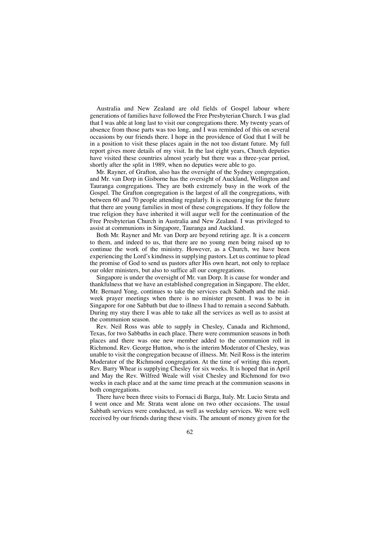Australia and New Zealand are old fields of Gospel labour where generations of families have followed the Free Presbyterian Church. I was glad that I was able at long last to visit our congregations there. My twenty years of absence from those parts was too long, and I was reminded of this on several occasions by our friends there. I hope in the providence of God that I will be in a position to visit these places again in the not too distant future. My full report gives more details of my visit. In the last eight years, Church deputies have visited these countries almost yearly but there was a three-year period, shortly after the split in 1989, when no deputies were able to go.

Mr. Rayner, of Grafton, also has the oversight of the Sydney congregation, and Mr. van Dorp in Gisborne has the oversight of Auckland, Wellington and Tauranga congregations. They are both extremely busy in the work of the Gospel. The Grafton congregation is the largest of all the congregations, with between 60 and 70 people attending regularly. It is encouraging for the future that there are young families in most of these congregations. If they follow the true religion they have inherited it will augur well for the continuation of the Free Presbyterian Church in Australia and New Zealand. I was privileged to assist at communions in Singapore, Tauranga and Auckland.

Both Mr. Rayner and Mr. van Dorp are beyond retiring age. It is a concern to them, and indeed to us, that there are no young men being raised up to continue the work of the ministry. However, as a Church, we have been experiencing the Lord's kindness in supplying pastors. Let us continue to plead the promise of God to send us pastors after His own heart, not only to replace our older ministers, but also to suffice all our congregations.

Singapore is under the oversight of Mr. van Dorp. It is cause for wonder and thankfulness that we have an established congregation in Singapore. The elder, Mr. Bernard Yong, continues to take the services each Sabbath and the midweek prayer meetings when there is no minister present. I was to be in Singapore for one Sabbath but due to illness I had to remain a second Sabbath. During my stay there I was able to take all the services as well as to assist at the communion season.

Rev. Neil Ross was able to supply in Chesley, Canada and Richmond, Texas, for two Sabbaths in each place. There were communion seasons in both places and there was one new member added to the communion roll in Richmond. Rev. George Hutton, who is the interim Moderator of Chesley, was unable to visit the congregation because of illness. Mr. Neil Ross is the interim Moderator of the Richmond congregation. At the time of writing this report, Rev. Barry Whear is supplying Chesley for six weeks. It is hoped that in April and May the Rev. Wilfred Weale will visit Chesley and Richmond for two weeks in each place and at the same time preach at the communion seasons in both congregations.

There have been three visits to Fornaci di Barga, Italy. Mr. Lucio Strata and I went once and Mr. Strata went alone on two other occasions. The usual Sabbath services were conducted, as well as weekday services. We were well received by our friends during these visits. The amount of money given for the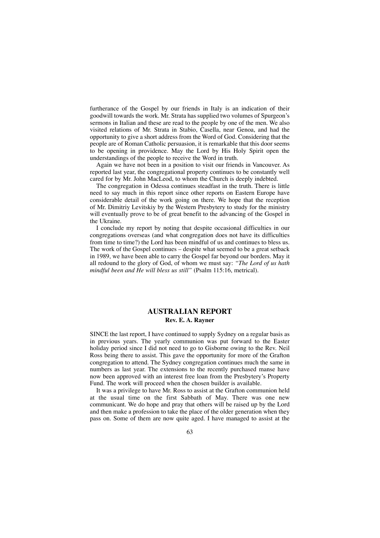furtherance of the Gospel by our friends in Italy is an indication of their goodwill towards the work. Mr. Strata has supplied two volumes of Spurgeon's sermons in Italian and these are read to the people by one of the men. We also visited relations of Mr. Strata in Stabio, Casella, near Genoa, and had the opportunity to give a short address from the Word of God. Considering that the people are of Roman Catholic persuasion, it is remarkable that this door seems to be opening in providence. May the Lord by His Holy Spirit open the understandings of the people to receive the Word in truth.

Again we have not been in a position to visit our friends in Vancouver. As reported last year, the congregational property continues to be constantly well cared for by Mr. John MacLeod, to whom the Church is deeply indebted.

The congregation in Odessa continues steadfast in the truth. There is little need to say much in this report since other reports on Eastern Europe have considerable detail of the work going on there. We hope that the reception of Mr. Dimitriy Levitskiy by the Western Presbytery to study for the ministry will eventually prove to be of great benefit to the advancing of the Gospel in the Ukraine.

I conclude my report by noting that despite occasional difficulties in our congregations overseas (and what congregation does not have its difficulties from time to time?) the Lord has been mindful of us and continues to bless us. The work of the Gospel continues – despite what seemed to be a great setback in 1989, we have been able to carry the Gospel far beyond our borders. May it all redound to the glory of God, of whom we must say: *"The Lord of us hath mindful been and He will bless us still"* (Psalm 115:16, metrical).

# **AUSTRALIAN REPORT Rev. E. A. Rayner**

SINCE the last report, I have continued to supply Sydney on a regular basis as in previous years. The yearly communion was put forward to the Easter holiday period since I did not need to go to Gisborne owing to the Rev. Neil Ross being there to assist. This gave the opportunity for more of the Grafton congregation to attend. The Sydney congregation continues much the same in numbers as last year. The extensions to the recently purchased manse have now been approved with an interest free loan from the Presbytery's Property Fund. The work will proceed when the chosen builder is available.

It was a privilege to have Mr. Ross to assist at the Grafton communion held at the usual time on the first Sabbath of May. There was one new communicant. We do hope and pray that others will be raised up by the Lord and then make a profession to take the place of the older generation when they pass on. Some of them are now quite aged. I have managed to assist at the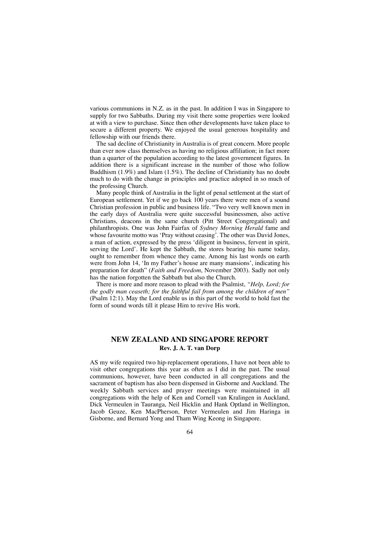various communions in N.Z. as in the past. In addition I was in Singapore to supply for two Sabbaths. During my visit there some properties were looked at with a view to purchase. Since then other developments have taken place to secure a different property. We enjoyed the usual generous hospitality and fellowship with our friends there.

The sad decline of Christianity in Australia is of great concern. More people than ever now class themselves as having no religious affiliation; in fact more than a quarter of the population according to the latest government figures. In addition there is a significant increase in the number of those who follow Buddhism (1.9%) and Islam (1.5%). The decline of Christianity has no doubt much to do with the change in principles and practice adopted in so much of the professing Church.

Many people think of Australia in the light of penal settlement at the start of European settlement. Yet if we go back 100 years there were men of a sound Christian profession in public and business life. "Two very well known men in the early days of Australia were quite successful businessmen, also active Christians, deacons in the same church (Pitt Street Congregational) and philanthropists. One was John Fairfax of *Sydney Morning Herald* fame and whose favourite motto was 'Pray without ceasing'. The other was David Jones, a man of action, expressed by the press 'diligent in business, fervent in spirit, serving the Lord'. He kept the Sabbath, the stores bearing his name today, ought to remember from whence they came. Among his last words on earth were from John 14, 'In my Father's house are many mansions', indicating his preparation for death" (*Faith and Freedom*, November 2003). Sadly not only has the nation forgotten the Sabbath but also the Church.

There is more and more reason to plead with the Psalmist, *"Help, Lord; for the godly man ceaseth; for the faithful fail from among the children of men"* (Psalm 12:1). May the Lord enable us in this part of the world to hold fast the form of sound words till it please Him to revive His work.

# **NEW ZEALAND AND SINGAPORE REPORT Rev. J. A. T. van Dorp**

AS my wife required two hip-replacement operations, I have not been able to visit other congregations this year as often as I did in the past. The usual communions, however, have been conducted in all congregations and the sacrament of baptism has also been dispensed in Gisborne and Auckland. The weekly Sabbath services and prayer meetings were maintained in all congregations with the help of Ken and Cornell van Kralingen in Auckland, Dick Vermeulen in Tauranga, Neil Hicklin and Hank Optland in Wellington, Jacob Geuze, Ken MacPherson, Peter Vermeulen and Jim Haringa in Gisborne, and Bernard Yong and Tham Wing Keong in Singapore.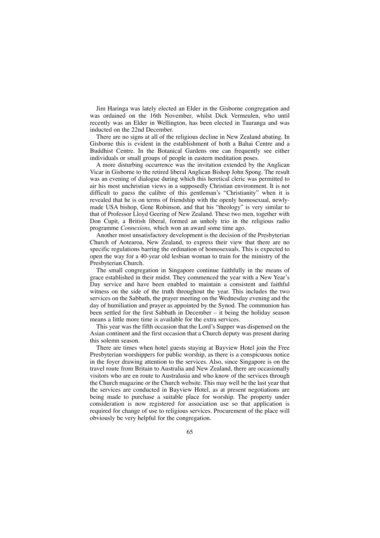Jim Haringa was lately elected an Elder in the Gisborne congregation and was ordained on the 16th November, whilst Dick Vermeulen, who until recently was an Elder in Wellington, has been elected in Tauranga and was inducted on the 22nd December.

There are no signs at all of the religious decline in New Zealand abating. In Gisborne this is evident in the establishment of both a Bahai Centre and a Buddhist Centre. In the Botanical Gardens one can frequently see either individuals or small groups of people in eastern meditation poses.

A more disturbing occurrence was the invitation extended by the Anglican Vicar in Gisborne to the retired liberal Anglican Bishop John Spong. The result was an evening of dialogue during which this heretical cleric was permitted to air his most unchristian views in a supposedly Christian environment. It is not difficult to guess the calibre of this gentleman's "Christianity" when it is revealed that he is on terms of friendship with the openly homosexual, newlymade USA bishop, Gene Robinson, and that his "theology" is very similar to that of Professor Lloyd Geering of New Zealand. These two men, together with Don Cupit, a British liberal, formed an unholy trio in the religious radio programme *Connexions,* which won an award some time ago.

Another most unsatisfactory development is the decision of the Presbyterian Church of Aotearoa, New Zealand, to express their view that there are no specific regulations barring the ordination of homosexuals. This is expected to open the way for a 40-year old lesbian woman to train for the ministry of the Presbyterian Church.

The small congregation in Singapore continue faithfully in the means of grace established in their midst. They commenced the year with a New Year's Day service and have been enabled to maintain a consistent and faithful witness on the side of the truth throughout the year. This includes the two services on the Sabbath, the prayer meeting on the Wednesday evening and the day of humiliation and prayer as appointed by the Synod. The communion has been settled for the first Sabbath in December – it being the holiday season means a little more time is available for the extra services.

This year was the fifth occasion that the Lord's Supper was dispensed on the Asian continent and the first occasion that a Church deputy was present during this solemn season.

There are times when hotel guests staying at Bayview Hotel join the Free Presbyterian worshippers for public worship, as there is a conspicuous notice in the foyer drawing attention to the services. Also, since Singapore is on the travel route from Britain to Australia and New Zealand, there are occasionally visitors who are en route to Australasia and who know of the services through the Church magazine or the Church website. This may well be the last year that the services are conducted in Bayview Hotel, as at present negotiations are being made to purchase a suitable place for worship. The property under consideration is now registered for association use so that application is required for change of use to religious services. Procurement of the place will obviously be very helpful for the congregation.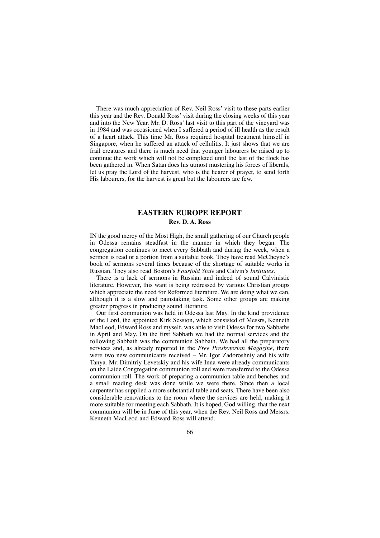There was much appreciation of Rev. Neil Ross' visit to these parts earlier this year and the Rev. Donald Ross' visit during the closing weeks of this year and into the New Year. Mr. D. Ross' last visit to this part of the vineyard was in 1984 and was occasioned when I suffered a period of ill health as the result of a heart attack. This time Mr. Ross required hospital treatment himself in Singapore, when he suffered an attack of cellulitis. It just shows that we are frail creatures and there is much need that younger labourers be raised up to continue the work which will not be completed until the last of the flock has been gathered in. When Satan does his utmost mustering his forces of liberals, let us pray the Lord of the harvest, who is the hearer of prayer, to send forth His labourers, for the harvest is great but the labourers are few.

# **EASTERN EUROPE REPORT Rev. D. A. Ross**

IN the good mercy of the Most High, the small gathering of our Church people in Odessa remains steadfast in the manner in which they began. The congregation continues to meet every Sabbath and during the week, when a sermon is read or a portion from a suitable book. They have read McCheyne's book of sermons several times because of the shortage of suitable works in Russian. They also read Boston's *Fourfold State* and Calvin's *Institutes*.

There is a lack of sermons in Russian and indeed of sound Calvinistic literature. However, this want is being redressed by various Christian groups which appreciate the need for Reformed literature. We are doing what we can, although it is a slow and painstaking task. Some other groups are making greater progress in producing sound literature.

Our first communion was held in Odessa last May. In the kind providence of the Lord, the appointed Kirk Session, which consisted of Messrs, Kenneth MacLeod, Edward Ross and myself, was able to visit Odessa for two Sabbaths in April and May. On the first Sabbath we had the normal services and the following Sabbath was the communion Sabbath. We had all the preparatory services and, as already reported in the *Free Presbyterian Magazine*, there were two new communicants received – Mr. Igor Zadoroshniy and his wife Tanya. Mr. Dimitriy Levetskiy and his wife Inna were already communicants on the Laide Congregation communion roll and were transferred to the Odessa communion roll. The work of preparing a communion table and benches and a small reading desk was done while we were there. Since then a local carpenter has supplied a more substantial table and seats. There have been also considerable renovations to the room where the services are held, making it more suitable for meeting each Sabbath. It is hoped, God willing, that the next communion will be in June of this year, when the Rev. Neil Ross and Messrs. Kenneth MacLeod and Edward Ross will attend.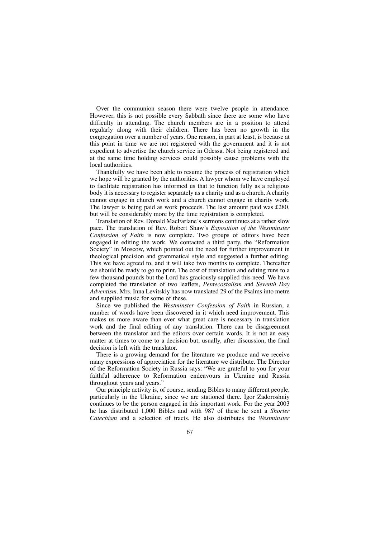Over the communion season there were twelve people in attendance. However, this is not possible every Sabbath since there are some who have difficulty in attending. The church members are in a position to attend regularly along with their children. There has been no growth in the congregation over a number of years. One reason, in part at least, is because at this point in time we are not registered with the government and it is not expedient to advertise the church service in Odessa. Not being registered and at the same time holding services could possibly cause problems with the local authorities.

Thankfully we have been able to resume the process of registration which we hope will be granted by the authorities. A lawyer whom we have employed to facilitate registration has informed us that to function fully as a religious body it is necessary to register separately as a charity and as a church. A charity cannot engage in church work and a church cannot engage in charity work. The lawyer is being paid as work proceeds. The last amount paid was £280, but will be considerably more by the time registration is completed.

Translation of Rev. Donald MacFarlane's sermons continues at a rather slow pace. The translation of Rev. Robert Shaw's *Exposition of the Westminster Confession of Faith* is now complete. Two groups of editors have been engaged in editing the work. We contacted a third party, the "Reformation Society" in Moscow, which pointed out the need for further improvement in theological precision and grammatical style and suggested a further editing. This we have agreed to, and it will take two months to complete. Thereafter we should be ready to go to print. The cost of translation and editing runs to a few thousand pounds but the Lord has graciously supplied this need. We have completed the translation of two leaflets, *Pentecostalism* and *Seventh Day Adventism.* Mrs. Inna Levitskiy has now translated 29 of the Psalms into metre and supplied music for some of these.

Since we published the *Westminster Confession of Faith* in Russian, a number of words have been discovered in it which need improvement. This makes us more aware than ever what great care is necessary in translation work and the final editing of any translation. There can be disagreement between the translator and the editors over certain words. It is not an easy matter at times to come to a decision but, usually, after discussion, the final decision is left with the translator.

There is a growing demand for the literature we produce and we receive many expressions of appreciation for the literature we distribute. The Director of the Reformation Society in Russia says: "We are grateful to you for your faithful adherence to Reformation endeavours in Ukraine and Russia throughout years and years."

Our principle activity is, of course, sending Bibles to many different people, particularly in the Ukraine, since we are stationed there. Igor Zadoroshniy continues to be the person engaged in this important work. For the year 2003 he has distributed 1,000 Bibles and with 987 of these he sent a *Shorter Catechism* and a selection of tracts. He also distributes the *Westminster*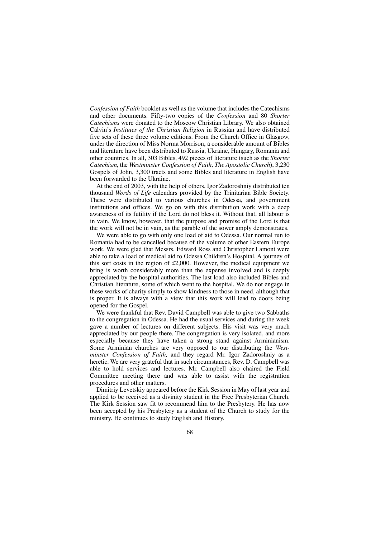*Confession of Faith* booklet as well as the volume that includes the Catechisms and other documents. Fifty-two copies of the *Confession* and 80 *Shorter Catechisms* were donated to the Moscow Christian Library. We also obtained Calvin's *Institutes of the Christian Religion* in Russian and have distributed five sets of these three volume editions. From the Church Office in Glasgow, under the direction of Miss Norma Morrison, a considerable amount of Bibles and literature have been distributed to Russia, Ukraine, Hungary, Romania and other countries. In all, 303 Bibles, 492 pieces of literature (such as the *Shorter Catechism,* the *Westminster Confession of Faith, The Apostolic Church*), 3,230 Gospels of John, 3,300 tracts and some Bibles and literature in English have been forwarded to the Ukraine.

At the end of 2003, with the help of others, Igor Zadoroshniy distributed ten thousand *Words of Life* calendars provided by the Trinitarian Bible Society. These were distributed to various churches in Odessa, and government institutions and offices. We go on with this distribution work with a deep awareness of its futility if the Lord do not bless it. Without that, all labour is in vain. We know, however, that the purpose and promise of the Lord is that the work will not be in vain, as the parable of the sower amply demonstrates.

We were able to go with only one load of aid to Odessa. Our normal run to Romania had to be cancelled because of the volume of other Eastern Europe work. We were glad that Messrs. Edward Ross and Christopher Lamont were able to take a load of medical aid to Odessa Children's Hospital. A journey of this sort costs in the region of £2,000. However, the medical equipment we bring is worth considerably more than the expense involved and is deeply appreciated by the hospital authorities. The last load also included Bibles and Christian literature, some of which went to the hospital. We do not engage in these works of charity simply to show kindness to those in need, although that is proper. It is always with a view that this work will lead to doors being opened for the Gospel.

We were thankful that Rev. David Campbell was able to give two Sabbaths to the congregation in Odessa. He had the usual services and during the week gave a number of lectures on different subjects. His visit was very much appreciated by our people there. The congregation is very isolated, and more especially because they have taken a strong stand against Arminianism. Some Arminian churches are very opposed to our distributing the *Westminster Confession of Faith,* and they regard Mr. Igor Zadoroshniy as a heretic. We are very grateful that in such circumstances, Rev. D. Campbell was able to hold services and lectures. Mr. Campbell also chaired the Field Committee meeting there and was able to assist with the registration procedures and other matters.

Dimitriy Levetskiy appeared before the Kirk Session in May of last year and applied to be received as a divinity student in the Free Presbyterian Church. The Kirk Session saw fit to recommend him to the Presbytery. He has now been accepted by his Presbytery as a student of the Church to study for the ministry. He continues to study English and History.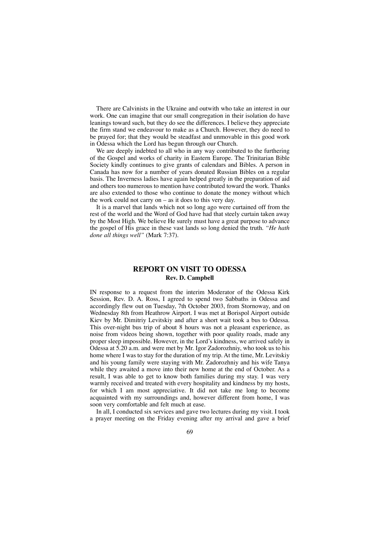There are Calvinists in the Ukraine and outwith who take an interest in our work. One can imagine that our small congregation in their isolation do have leanings toward such, but they do see the differences. I believe they appreciate the firm stand we endeavour to make as a Church. However, they do need to be prayed for; that they would be steadfast and unmovable in this good work in Odessa which the Lord has begun through our Church.

We are deeply indebted to all who in any way contributed to the furthering of the Gospel and works of charity in Eastern Europe. The Trinitarian Bible Society kindly continues to give grants of calendars and Bibles. A person in Canada has now for a number of years donated Russian Bibles on a regular basis. The Inverness ladies have again helped greatly in the preparation of aid and others too numerous to mention have contributed toward the work. Thanks are also extended to those who continue to donate the money without which the work could not carry on – as it does to this very day.

It is a marvel that lands which not so long ago were curtained off from the rest of the world and the Word of God have had that steely curtain taken away by the Most High. We believe He surely must have a great purpose to advance the gospel of His grace in these vast lands so long denied the truth. *"He hath done all things well"* (Mark 7:37).

# **REPORT ON VISIT TO ODESSA Rev. D. Campbell**

IN response to a request from the interim Moderator of the Odessa Kirk Session, Rev. D. A. Ross, I agreed to spend two Sabbaths in Odessa and accordingly flew out on Tuesday, 7th October 2003, from Stornoway, and on Wednesday 8th from Heathrow Airport. I was met at Borispol Airport outside Kiev by Mr. Dimitriy Levitskiy and after a short wait took a bus to Odessa. This over-night bus trip of about 8 hours was not a pleasant experience, as noise from videos being shown, together with poor quality roads, made any proper sleep impossible. However, in the Lord's kindness, we arrived safely in Odessa at 5.20 a.m. and were met by Mr. Igor Zadorozhniy, who took us to his home where I was to stay for the duration of my trip. At the time, Mr. Levitskiy and his young family were staying with Mr. Zadorozhniy and his wife Tanya while they awaited a move into their new home at the end of October. As a result, I was able to get to know both families during my stay. I was very warmly received and treated with every hospitality and kindness by my hosts, for which I am most appreciative. It did not take me long to become acquainted with my surroundings and, however different from home, I was soon very comfortable and felt much at ease.

In all, I conducted six services and gave two lectures during my visit. I took a prayer meeting on the Friday evening after my arrival and gave a brief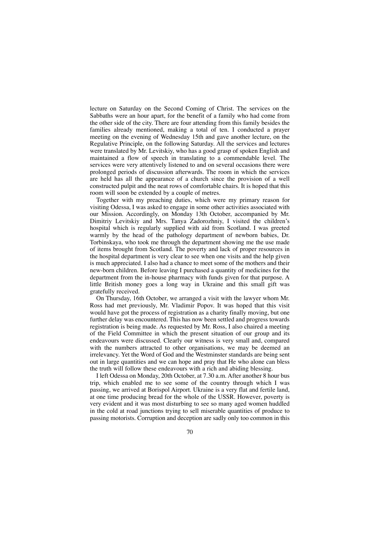lecture on Saturday on the Second Coming of Christ. The services on the Sabbaths were an hour apart, for the benefit of a family who had come from the other side of the city. There are four attending from this family besides the families already mentioned, making a total of ten. I conducted a prayer meeting on the evening of Wednesday 15th and gave another lecture, on the Regulative Principle, on the following Saturday. All the services and lectures were translated by Mr. Levitskiy, who has a good grasp of spoken English and maintained a flow of speech in translating to a commendable level. The services were very attentively listened to and on several occasions there were prolonged periods of discussion afterwards. The room in which the services are held has all the appearance of a church since the provision of a well constructed pulpit and the neat rows of comfortable chairs. It is hoped that this room will soon be extended by a couple of metres.

Together with my preaching duties, which were my primary reason for visiting Odessa, I was asked to engage in some other activities associated with our Mission. Accordingly, on Monday 13th October, accompanied by Mr. Dimitriy Levitskiy and Mrs. Tanya Zadorozhniy, I visited the children's hospital which is regularly supplied with aid from Scotland. I was greeted warmly by the head of the pathology department of newborn babies, Dr. Torbinskaya, who took me through the department showing me the use made of items brought from Scotland. The poverty and lack of proper resources in the hospital department is very clear to see when one visits and the help given is much appreciated. I also had a chance to meet some of the mothers and their new-born children. Before leaving I purchased a quantity of medicines for the department from the in-house pharmacy with funds given for that purpose. A little British money goes a long way in Ukraine and this small gift was gratefully received.

On Thursday, 16th October, we arranged a visit with the lawyer whom Mr. Ross had met previously, Mr. Vladimir Popov. It was hoped that this visit would have got the process of registration as a charity finally moving, but one further delay was encountered. This has now been settled and progress towards registration is being made. As requested by Mr. Ross, I also chaired a meeting of the Field Committee in which the present situation of our group and its endeavours were discussed. Clearly our witness is very small and, compared with the numbers attracted to other organisations, we may be deemed an irrelevancy. Yet the Word of God and the Westminster standards are being sent out in large quantities and we can hope and pray that He who alone can bless the truth will follow these endeavours with a rich and abiding blessing.

I left Odessa on Monday, 20th October, at 7.30 a.m. After another 8 hour bus trip, which enabled me to see some of the country through which I was passing, we arrived at Borispol Airport. Ukraine is a very flat and fertile land, at one time producing bread for the whole of the USSR. However, poverty is very evident and it was most disturbing to see so many aged women huddled in the cold at road junctions trying to sell miserable quantities of produce to passing motorists. Corruption and deception are sadly only too common in this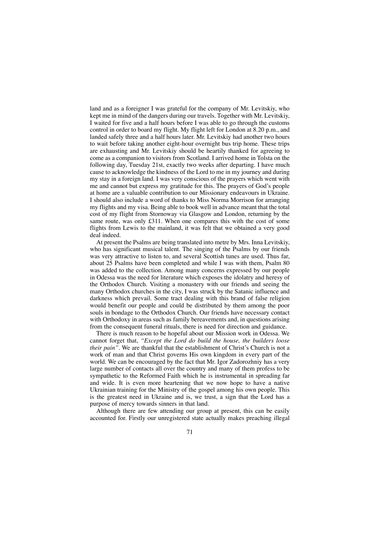land and as a foreigner I was grateful for the company of Mr. Levitskiy, who kept me in mind of the dangers during our travels. Together with Mr. Levitskiy, I waited for five and a half hours before I was able to go through the customs control in order to board my flight. My flight left for London at 8.20 p.m., and landed safely three and a half hours later. Mr. Levitskiy had another two hours to wait before taking another eight-hour overnight bus trip home. These trips are exhausting and Mr. Levitskiy should be heartily thanked for agreeing to come as a companion to visitors from Scotland. I arrived home in Tolsta on the following day, Tuesday 21st, exactly two weeks after departing. I have much cause to acknowledge the kindness of the Lord to me in my journey and during my stay in a foreign land. I was very conscious of the prayers which went with me and cannot but express my gratitude for this. The prayers of God's people at home are a valuable contribution to our Missionary endeavours in Ukraine. I should also include a word of thanks to Miss Norma Morrison for arranging my flights and my visa. Being able to book well in advance meant that the total cost of my flight from Stornoway via Glasgow and London, returning by the same route, was only £311. When one compares this with the cost of some flights from Lewis to the mainland, it was felt that we obtained a very good deal indeed.

At present the Psalms are being translated into metre by Mrs. Inna Levitskiy, who has significant musical talent. The singing of the Psalms by our friends was very attractive to listen to, and several Scottish tunes are used. Thus far, about 25 Psalms have been completed and while I was with them, Psalm 80 was added to the collection. Among many concerns expressed by our people in Odessa was the need for literature which exposes the idolatry and heresy of the Orthodox Church. Visiting a monastery with our friends and seeing the many Orthodox churches in the city, I was struck by the Satanic influence and darkness which prevail. Some tract dealing with this brand of false religion would benefit our people and could be distributed by them among the poor souls in bondage to the Orthodox Church. Our friends have necessary contact with Orthodoxy in areas such as family bereavements and, in questions arising from the consequent funeral rituals, there is need for direction and guidance.

There is much reason to be hopeful about our Mission work in Odessa. We cannot forget that, *"Except the Lord do build the house, the builders loose their pain".* We are thankful that the establishment of Christ's Church is not a work of man and that Christ governs His own kingdom in every part of the world. We can be encouraged by the fact that Mr. Igor Zadorozhniy has a very large number of contacts all over the country and many of them profess to be sympathetic to the Reformed Faith which he is instrumental in spreading far and wide. It is even more heartening that we now hope to have a native Ukrainian training for the Ministry of the gospel among his own people. This is the greatest need in Ukraine and is, we trust, a sign that the Lord has a purpose of mercy towards sinners in that land.

Although there are few attending our group at present, this can be easily accounted for. Firstly our unregistered state actually makes preaching illegal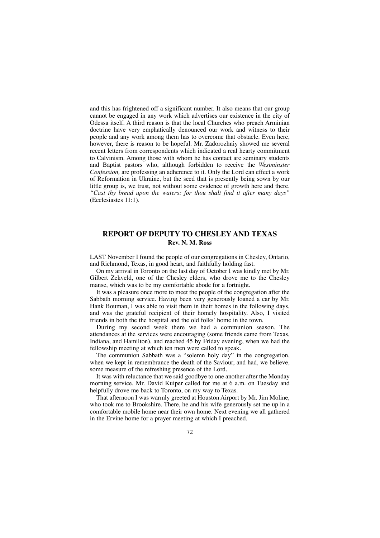and this has frightened off a significant number. It also means that our group cannot be engaged in any work which advertises our existence in the city of Odessa itself. A third reason is that the local Churches who preach Arminian doctrine have very emphatically denounced our work and witness to their people and any work among them has to overcome that obstacle. Even here, however, there is reason to be hopeful. Mr. Zadorozhniy showed me several recent letters from correspondents which indicated a real hearty commitment to Calvinism. Among those with whom he has contact are seminary students and Baptist pastors who, although forbidden to receive the *Westminster Confession,* are professing an adherence to it. Only the Lord can effect a work of Reformation in Ukraine, but the seed that is presently being sown by our little group is, we trust, not without some evidence of growth here and there. *"Cast thy bread upon the waters: for thou shalt find it after many days"* (Ecclesiastes 11:1).

# **REPORT OF DEPUTY TO CHESLEY AND TEXAS Rev. N. M. Ross**

LAST November I found the people of our congregations in Chesley, Ontario, and Richmond, Texas, in good heart, and faithfully holding fast.

On my arrival in Toronto on the last day of October I was kindly met by Mr. Gilbert Zekveld, one of the Chesley elders, who drove me to the Chesley manse, which was to be my comfortable abode for a fortnight.

It was a pleasure once more to meet the people of the congregation after the Sabbath morning service. Having been very generously loaned a car by Mr. Hank Bouman, I was able to visit them in their homes in the following days, and was the grateful recipient of their homely hospitality. Also, I visited friends in both the the hospital and the old folks' home in the town.

During my second week there we had a communion season. The attendances at the services were encouraging (some friends came from Texas, Indiana, and Hamilton), and reached 45 by Friday evening, when we had the fellowship meeting at which ten men were called to speak.

The communion Sabbath was a "solemn holy day" in the congregation, when we kept in remembrance the death of the Saviour, and had, we believe, some measure of the refreshing presence of the Lord.

It was with reluctance that we said goodbye to one another after the Monday morning service. Mr. David Kuiper called for me at 6 a.m. on Tuesday and helpfully drove me back to Toronto, on my way to Texas.

That afternoon I was warmly greeted at Houston Airport by Mr. Jim Moline, who took me to Brookshire. There, he and his wife generously set me up in a comfortable mobile home near their own home. Next evening we all gathered in the Ervine home for a prayer meeting at which I preached.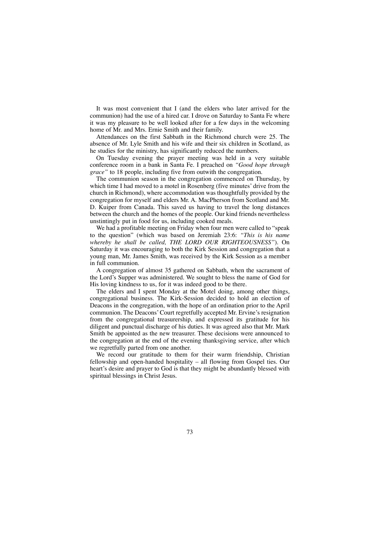It was most convenient that I (and the elders who later arrived for the communion) had the use of a hired car. I drove on Saturday to Santa Fe where it was my pleasure to be well looked after for a few days in the welcoming home of Mr. and Mrs. Ernie Smith and their family.

Attendances on the first Sabbath in the Richmond church were 25. The absence of Mr. Lyle Smith and his wife and their six children in Scotland, as he studies for the ministry, has significantly reduced the numbers.

On Tuesday evening the prayer meeting was held in a very suitable conference room in a bank in Santa Fe. I preached on *"Good hope through grace*" to 18 people, including five from outwith the congregation.

The communion season in the congregation commenced on Thursday, by which time I had moved to a motel in Rosenberg (five minutes' drive from the church in Richmond), where accommodation was thoughtfully provided by the congregation for myself and elders Mr. A. MacPherson from Scotland and Mr. D. Kuiper from Canada. This saved us having to travel the long distances between the church and the homes of the people. Our kind friends nevertheless unstintingly put in food for us, including cooked meals.

We had a profitable meeting on Friday when four men were called to "speak to the question" (which was based on Jeremiah 23:6: *"This is his name whereby he shall be called, THE LORD OUR RIGHTEOUSNESS"*). On Saturday it was encouraging to both the Kirk Session and congregation that a young man, Mr. James Smith, was received by the Kirk Session as a member in full communion.

A congregation of almost 35 gathered on Sabbath, when the sacrament of the Lord's Supper was administered. We sought to bless the name of God for His loving kindness to us, for it was indeed good to be there.

The elders and I spent Monday at the Motel doing, among other things, congregational business. The Kirk-Session decided to hold an election of Deacons in the congregation, with the hope of an ordination prior to the April communion. The Deacons'Court regretfully accepted Mr. Ervine's resignation from the congregational treasurership, and expressed its gratitude for his diligent and punctual discharge of his duties. It was agreed also that Mr. Mark Smith be appointed as the new treasurer. These decisions were announced to the congregation at the end of the evening thanksgiving service, after which we regretfully parted from one another.

We record our gratitude to them for their warm friendship, Christian fellowship and open-handed hospitality – all flowing from Gospel ties. Our heart's desire and prayer to God is that they might be abundantly blessed with spiritual blessings in Christ Jesus.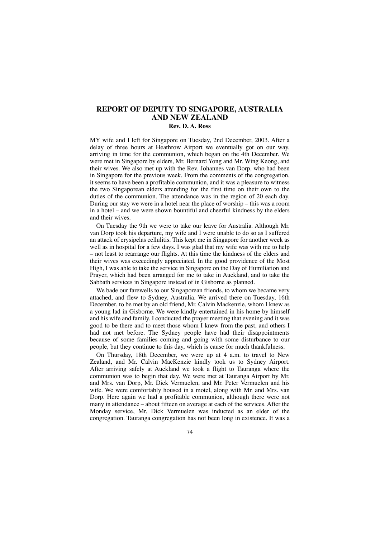## **REPORT OF DEPUTY TO SINGAPORE, AUSTRALIA AND NEW ZEALAND**

#### **Rev. D. A. Ross**

MY wife and I left for Singapore on Tuesday, 2nd December, 2003. After a delay of three hours at Heathrow Airport we eventually got on our way, arriving in time for the communion, which began on the 4th December. We were met in Singapore by elders, Mr. Bernard Yong and Mr. Wing Keong, and their wives. We also met up with the Rev. Johannes van Dorp, who had been in Singapore for the previous week. From the comments of the congregation, it seems to have been a profitable communion, and it was a pleasure to witness the two Singaporean elders attending for the first time on their own to the duties of the communion. The attendance was in the region of 20 each day. During our stay we were in a hotel near the place of worship – this was a room in a hotel – and we were shown bountiful and cheerful kindness by the elders and their wives.

On Tuesday the 9th we were to take our leave for Australia. Although Mr. van Dorp took his departure, my wife and I were unable to do so as I suffered an attack of erysipelas cellulitis. This kept me in Singapore for another week as well as in hospital for a few days. I was glad that my wife was with me to help – not least to rearrange our flights. At this time the kindness of the elders and their wives was exceedingly appreciated. In the good providence of the Most High, I was able to take the service in Singapore on the Day of Humiliation and Prayer, which had been arranged for me to take in Auckland, and to take the Sabbath services in Singapore instead of in Gisborne as planned.

We bade our farewells to our Singaporean friends, to whom we became very attached, and flew to Sydney, Australia. We arrived there on Tuesday, 16th December, to be met by an old friend, Mr. Calvin Mackenzie, whom I knew as a young lad in Gisborne. We were kindly entertained in his home by himself and his wife and family. I conducted the prayer meeting that evening and it was good to be there and to meet those whom I knew from the past, and others I had not met before. The Sydney people have had their disappointments because of some families coming and going with some disturbance to our people, but they continue to this day, which is cause for much thankfulness.

On Thursday, 18th December, we were up at 4 a.m. to travel to New Zealand, and Mr. Calvin MacKenzie kindly took us to Sydney Airport. After arriving safely at Auckland we took a flight to Tauranga where the communion was to begin that day. We were met at Tauranga Airport by Mr. and Mrs. van Dorp, Mr. Dick Vermuelen, and Mr. Peter Vermuelen and his wife. We were comfortably housed in a motel, along with Mr. and Mrs. van Dorp. Here again we had a profitable communion, although there were not many in attendance – about fifteen on average at each of the services. After the Monday service, Mr. Dick Vermuelen was inducted as an elder of the congregation. Tauranga congregation has not been long in existence. It was a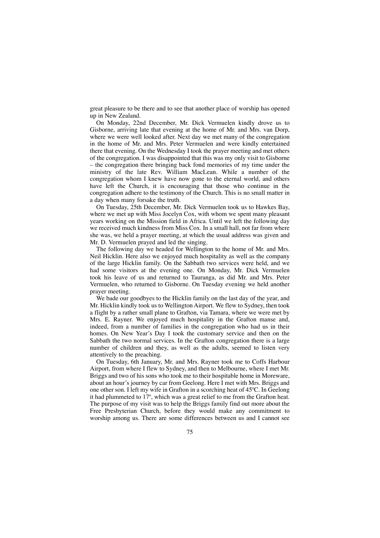great pleasure to be there and to see that another place of worship has opened up in New Zealand.

On Monday, 22nd December, Mr. Dick Vermuelen kindly drove us to Gisborne, arriving late that evening at the home of Mr. and Mrs. van Dorp, where we were well looked after. Next day we met many of the congregation in the home of Mr. and Mrs. Peter Vermuelen and were kindly entertained there that evening. On the Wednesday I took the prayer meeting and met others of the congregation. I was disappointed that this was my only visit to Gisborne – the congregation there bringing back fond memories of my time under the ministry of the late Rev. William MacLean. While a number of the congregation whom I knew have now gone to the eternal world, and others have left the Church, it is encouraging that those who continue in the congregation adhere to the testimony of the Church. This is no small matter in a day when many forsake the truth.

On Tuesday, 25th December, Mr. Dick Vermuelen took us to Hawkes Bay, where we met up with Miss Jocelyn Cox, with whom we spent many pleasant years working on the Mission field in Africa. Until we left the following day we received much kindness from Miss Cox. In a small hall, not far from where she was, we held a prayer meeting, at which the usual address was given and Mr. D. Vermuelen prayed and led the singing.

The following day we headed for Wellington to the home of Mr. and Mrs. Neil Hicklin. Here also we enjoyed much hospitality as well as the company of the large Hicklin family. On the Sabbath two services were held, and we had some visitors at the evening one. On Monday, Mr. Dick Vermuelen took his leave of us and returned to Tauranga, as did Mr. and Mrs. Peter Vermuelen, who returned to Gisborne. On Tuesday evening we held another prayer meeting.

We bade our goodbyes to the Hicklin family on the last day of the year, and Mr. Hicklin kindly took us to Wellington Airport. We flew to Sydney, then took a flight by a rather small plane to Grafton, via Tamara, where we were met by Mrs. E. Rayner. We enjoyed much hospitality in the Grafton manse and, indeed, from a number of families in the congregation who had us in their homes. On New Year's Day I took the customary service and then on the Sabbath the two normal services. In the Grafton congregation there is a large number of children and they, as well as the adults, seemed to listen very attentively to the preaching.

On Tuesday, 6th January, Mr. and Mrs. Rayner took me to Coffs Harbour Airport, from where I flew to Sydney, and then to Melbourne, where I met Mr. Briggs and two of his sons who took me to their hospitable home in Moreware, about an hour's journey by car from Geelong. Here I met with Mrs. Briggs and one other son. I left my wife in Grafton in a scorching heat of 45ºC. In Geelong it had plummeted to 17º, which was a great relief to me from the Grafton heat. The purpose of my visit was to help the Briggs family find out more about the Free Presbyterian Church, before they would make any commitment to worship among us. There are some differences between us and I cannot see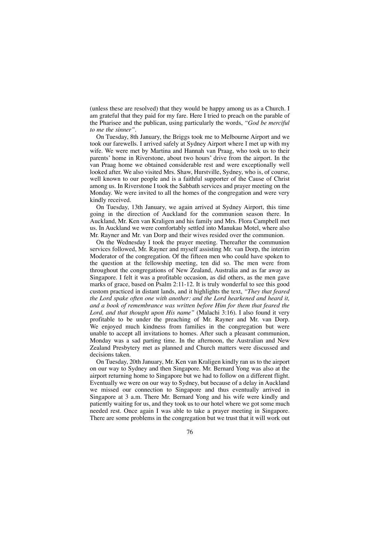(unless these are resolved) that they would be happy among us as a Church. I am grateful that they paid for my fare. Here I tried to preach on the parable of the Pharisee and the publican, using particularly the words, *"God be merciful to me the sinner".*

On Tuesday, 8th January, the Briggs took me to Melbourne Airport and we took our farewells. I arrived safely at Sydney Airport where I met up with my wife. We were met by Martina and Hannah van Praag, who took us to their parents' home in Riverstone, about two hours' drive from the airport. In the van Praag home we obtained considerable rest and were exceptionally well looked after. We also visited Mrs. Shaw, Hurstville, Sydney, who is, of course, well known to our people and is a faithful supporter of the Cause of Christ among us. In Riverstone I took the Sabbath services and prayer meeting on the Monday. We were invited to all the homes of the congregation and were very kindly received.

On Tuesday, 13th January, we again arrived at Sydney Airport, this time going in the direction of Auckland for the communion season there. In Auckland, Mr. Ken van Kraligen and his family and Mrs. Flora Campbell met us. In Auckland we were comfortably settled into Manukau Motel, where also Mr. Rayner and Mr. van Dorp and their wives resided over the communion.

On the Wednesday I took the prayer meeting. Thereafter the communion services followed, Mr. Rayner and myself assisting Mr. van Dorp, the interim Moderator of the congregation. Of the fifteen men who could have spoken to the question at the fellowship meeting, ten did so. The men were from throughout the congregations of New Zealand, Australia and as far away as Singapore. I felt it was a profitable occasion, as did others, as the men gave marks of grace, based on Psalm 2:11-12. It is truly wonderful to see this good custom practiced in distant lands, and it highlights the text, *"They that feared the Lord spake often one with another: and the Lord hearkened and heard it, and a book of remembrance was written before Him for them that feared the Lord, and that thought upon His name"* (Malachi 3:16). I also found it very profitable to be under the preaching of Mr. Rayner and Mr. van Dorp. We enjoyed much kindness from families in the congregation but were unable to accept all invitations to homes. After such a pleasant communion, Monday was a sad parting time. In the afternoon, the Australian and New Zealand Presbytery met as planned and Church matters were discussed and decisions taken.

On Tuesday, 20th January, Mr. Ken van Kraligen kindly ran us to the airport on our way to Sydney and then Singapore. Mr. Bernard Yong was also at the airport returning home to Singapore but we had to follow on a different flight. Eventually we were on our way to Sydney, but because of a delay in Auckland we missed our connection to Singapore and thus eventually arrived in Singapore at 3 a.m. There Mr. Bernard Yong and his wife were kindly and patiently waiting for us, and they took us to our hotel where we got some much needed rest. Once again I was able to take a prayer meeting in Singapore. There are some problems in the congregation but we trust that it will work out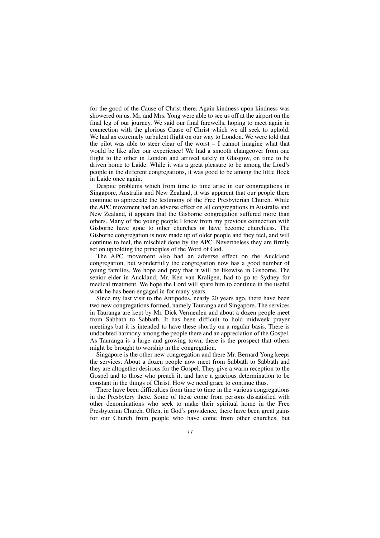for the good of the Cause of Christ there. Again kindness upon kindness was showered on us. Mr. and Mrs. Yong were able to see us off at the airport on the final leg of our journey. We said our final farewells, hoping to meet again in connection with the glorious Cause of Christ which we all seek to uphold. We had an extremely turbulent flight on our way to London. We were told that the pilot was able to steer clear of the worst – I cannot imagine what that would be like after our experience! We had a smooth changeover from one flight to the other in London and arrived safely in Glasgow, on time to be driven home to Laide. While it was a great pleasure to be among the Lord's people in the different congregations, it was good to be among the little flock in Laide once again.

Despite problems which from time to time arise in our congregations in Singapore, Australia and New Zealand, it was apparent that our people there continue to appreciate the testimony of the Free Presbyterian Church. While the APC movement had an adverse effect on all congregations in Australia and New Zealand, it appears that the Gisborne congregation suffered more than others. Many of the young people I knew from my previous connection with Gisborne have gone to other churches or have become churchless. The Gisborne congregation is now made up of older people and they feel, and will continue to feel, the mischief done by the APC. Nevertheless they are firmly set on upholding the principles of the Word of God.

The APC movement also had an adverse effect on the Auckland congregation, but wonderfully the congregation now has a good number of young families. We hope and pray that it will be likewise in Gisborne. The senior elder in Auckland, Mr. Ken van Kraligen, had to go to Sydney for medical treatment. We hope the Lord will spare him to continue in the useful work he has been engaged in for many years.

Since my last visit to the Antipodes, nearly 20 years ago, there have been two new congregations formed, namely Tauranga and Singapore. The services in Tauranga are kept by Mr. Dick Vermeulen and about a dozen people meet from Sabbath to Sabbath. It has been difficult to hold midweek prayer meetings but it is intended to have these shortly on a regular basis. There is undoubted harmony among the people there and an appreciation of the Gospel. As Tauranga is a large and growing town, there is the prospect that others might be brought to worship in the congregation.

Singapore is the other new congregation and there Mr. Bernard Yong keeps the services. About a dozen people now meet from Sabbath to Sabbath and they are altogether desirous for the Gospel. They give a warm reception to the Gospel and to those who preach it, and have a gracious determination to be constant in the things of Christ. How we need grace to continue thus.

There have been difficulties from time to time in the various congregations in the Presbytery there. Some of these come from persons dissatisfied with other denominations who seek to make their spiritual home in the Free Presbyterian Church. Often, in God's providence, there have been great gains for our Church from people who have come from other churches, but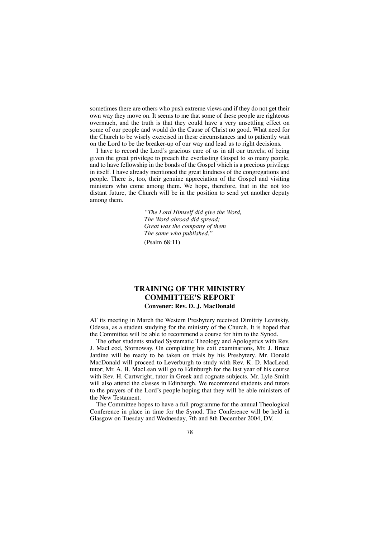sometimes there are others who push extreme views and if they do not get their own way they move on. It seems to me that some of these people are righteous overmuch, and the truth is that they could have a very unsettling effect on some of our people and would do the Cause of Christ no good. What need for the Church to be wisely exercised in these circumstances and to patiently wait on the Lord to be the breaker-up of our way and lead us to right decisions.

I have to record the Lord's gracious care of us in all our travels; of being given the great privilege to preach the everlasting Gospel to so many people, and to have fellowship in the bonds of the Gospel which is a precious privilege in itself. I have already mentioned the great kindness of the congregations and people. There is, too, their genuine appreciation of the Gospel and visiting ministers who come among them. We hope, therefore, that in the not too distant future, the Church will be in the position to send yet another deputy among them.

> *"The Lord Himself did give the Word, The Word abroad did spread; Great was the company of them The same who published."* (Psalm 68:11)

### **TRAINING OF THE MINISTRY COMMITTEE'S REPORT Convener: Rev. D. J. MacDonald**

AT its meeting in March the Western Presbytery received Dimitriy Levitskiy, Odessa, as a student studying for the ministry of the Church. It is hoped that the Committee will be able to recommend a course for him to the Synod.

The other students studied Systematic Theology and Apologetics with Rev. J. MacLeod, Stornoway. On completing his exit examinations, Mr. J. Bruce Jardine will be ready to be taken on trials by his Presbytery. Mr. Donald MacDonald will proceed to Leverburgh to study with Rev. K. D. MacLeod, tutor; Mr. A. B. MacLean will go to Edinburgh for the last year of his course with Rev. H. Cartwright, tutor in Greek and cognate subjects. Mr. Lyle Smith will also attend the classes in Edinburgh. We recommend students and tutors to the prayers of the Lord's people hoping that they will be able ministers of the New Testament.

The Committee hopes to have a full programme for the annual Theological Conference in place in time for the Synod. The Conference will be held in Glasgow on Tuesday and Wednesday, 7th and 8th December 2004, DV.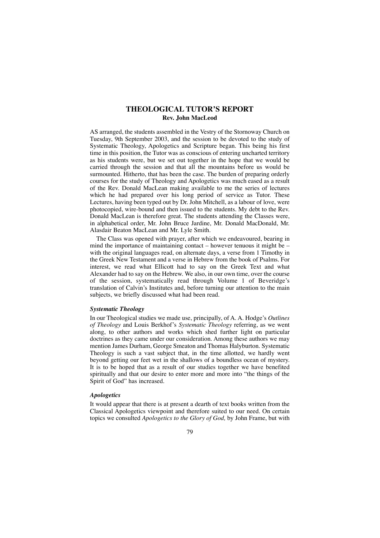## **THEOLOGICAL TUTOR'S REPORT Rev. John MacLeod**

AS arranged, the students assembled in the Vestry of the Stornoway Church on Tuesday, 9th September 2003, and the session to be devoted to the study of Systematic Theology, Apologetics and Scripture began. This being his first time in this position, the Tutor was as conscious of entering uncharted territory as his students were, but we set out together in the hope that we would be carried through the session and that all the mountains before us would be surmounted. Hitherto, that has been the case. The burden of preparing orderly courses for the study of Theology and Apologetics was much eased as a result of the Rev. Donald MacLean making available to me the series of lectures which he had prepared over his long period of service as Tutor. These Lectures, having been typed out by Dr. John Mitchell, as a labour of love, were photocopied, wire-bound and then issued to the students. My debt to the Rev. Donald MacLean is therefore great. The students attending the Classes were, in alphabetical order, Mr. John Bruce Jardine, Mr. Donald MacDonald, Mr. Alasdair Beaton MacLean and Mr. Lyle Smith.

The Class was opened with prayer, after which we endeavoured, bearing in mind the importance of maintaining contact – however tenuous it might be – with the original languages read, on alternate days, a verse from 1 Timothy in the Greek New Testament and a verse in Hebrew from the book of Psalms. For interest, we read what Ellicott had to say on the Greek Text and what Alexander had to say on the Hebrew. We also, in our own time, over the course of the session, systematically read through Volume 1 of Beveridge's translation of Calvin's Institutes and, before turning our attention to the main subjects, we briefly discussed what had been read.

#### *Systematic Theology*

In our Theological studies we made use, principally, of A. A. Hodge's *Outlines of Theology* and Louis Berkhof's *Systematic Theology* referring, as we went along, to other authors and works which shed further light on particular doctrines as they came under our consideration. Among these authors we may mention James Durham, George Smeaton and Thomas Halyburton. Systematic Theology is such a vast subject that, in the time allotted, we hardly went beyond getting our feet wet in the shallows of a boundless ocean of mystery. It is to be hoped that as a result of our studies together we have benefited spiritually and that our desire to enter more and more into "the things of the Spirit of God" has increased.

#### *Apologetics*

It would appear that there is at present a dearth of text books written from the Classical Apologetics viewpoint and therefore suited to our need. On certain topics we consulted *Apologetics to the Glory of God,* by John Frame, but with

79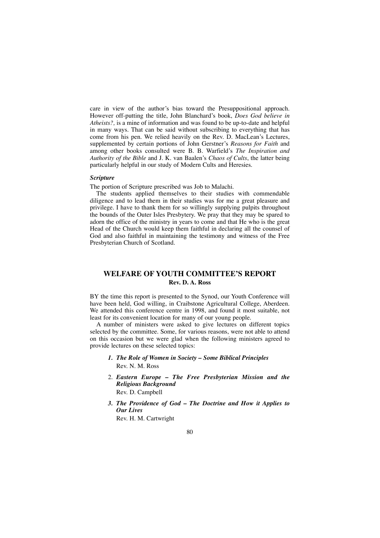care in view of the author's bias toward the Presuppositional approach. However off-putting the title, John Blanchard's book, *Does God believe in Atheists?,* is a mine of information and was found to be up-to-date and helpful in many ways. That can be said without subscribing to everything that has come from his pen. We relied heavily on the Rev. D. MacLean's Lectures, supplemented by certain portions of John Gerstner's *Reasons for Faith* and among other books consulted were B. B. Warfield's *The Inspiration and Authority of the Bible* and J. K. van Baalen's *Chaos of Cults*, the latter being particularly helpful in our study of Modern Cults and Heresies.

#### *Scripture*

The portion of Scripture prescribed was Job to Malachi.

The students applied themselves to their studies with commendable diligence and to lead them in their studies was for me a great pleasure and privilege. I have to thank them for so willingly supplying pulpits throughout the bounds of the Outer Isles Presbytery. We pray that they may be spared to adorn the office of the ministry in years to come and that He who is the great Head of the Church would keep them faithful in declaring all the counsel of God and also faithful in maintaining the testimony and witness of the Free Presbyterian Church of Scotland.

## **WELFARE OF YOUTH COMMITTEE'S REPORT Rev. D. A. Ross**

BY the time this report is presented to the Synod, our Youth Conference will have been held, God willing, in Craibstone Agricultural College, Aberdeen. We attended this conference centre in 1998, and found it most suitable, not least for its convenient location for many of our young people.

A number of ministers were asked to give lectures on different topics selected by the committee. Some, for various reasons, were not able to attend on this occasion but we were glad when the following ministers agreed to provide lectures on these selected topics:

- *1. The Role of Women in Society Some Biblical Principles* Rev. N. M. Ross
- 2. *Eastern Europe – The Free Presbyterian Mission and the Religious Background* Rev. D. Campbell
- *3. The Providence of God The Doctrine and How it Applies to Our Lives*

Rev. H. M. Cartwright

#### 80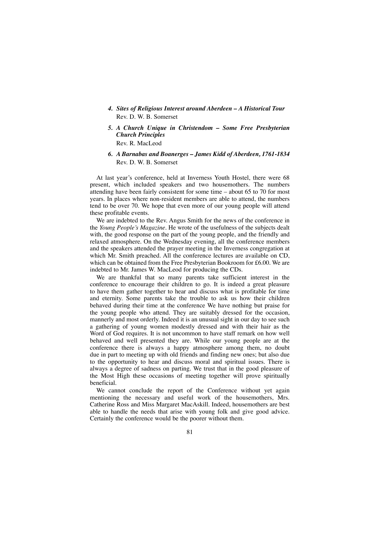- *4. Sites of Religious Interest around Aberdeen A Historical Tour* Rev. D. W. B. Somerset
- *5. A Church Unique in Christendom Some Free Presbyterian Church Principles* Rev. R. MacLeod
- *6. A Barnabas and Boanerges James Kidd of Aberdeen, 1761-1834* Rev. D. W. B. Somerset

At last year's conference, held at Inverness Youth Hostel, there were 68 present, which included speakers and two housemothers. The numbers attending have been fairly consistent for some time – about 65 to 70 for most years. In places where non-resident members are able to attend, the numbers tend to be over 70. We hope that even more of our young people will attend these profitable events.

We are indebted to the Rev. Angus Smith for the news of the conference in the *Young People's Magazine.* He wrote of the usefulness of the subjects dealt with, the good response on the part of the young people, and the friendly and relaxed atmosphere. On the Wednesday evening, all the conference members and the speakers attended the prayer meeting in the Inverness congregation at which Mr. Smith preached. All the conference lectures are available on CD, which can be obtained from the Free Presbyterian Bookroom for £6.00. We are indebted to Mr. James W. MacLeod for producing the CDs.

We are thankful that so many parents take sufficient interest in the conference to encourage their children to go. It is indeed a great pleasure to have them gather together to hear and discuss what is profitable for time and eternity. Some parents take the trouble to ask us how their children behaved during their time at the conference We have nothing but praise for the young people who attend. They are suitably dressed for the occasion, mannerly and most orderly. Indeed it is an unusual sight in our day to see such a gathering of young women modestly dressed and with their hair as the Word of God requires. It is not uncommon to have staff remark on how well behaved and well presented they are. While our young people are at the conference there is always a happy atmosphere among them, no doubt due in part to meeting up with old friends and finding new ones; but also due to the opportunity to hear and discuss moral and spiritual issues. There is always a degree of sadness on parting. We trust that in the good pleasure of the Most High these occasions of meeting together will prove spiritually beneficial.

We cannot conclude the report of the Conference without yet again mentioning the necessary and useful work of the housemothers, Mrs. Catherine Ross and Miss Margaret MacAskill. Indeed, housemothers are best able to handle the needs that arise with young folk and give good advice. Certainly the conference would be the poorer without them.

81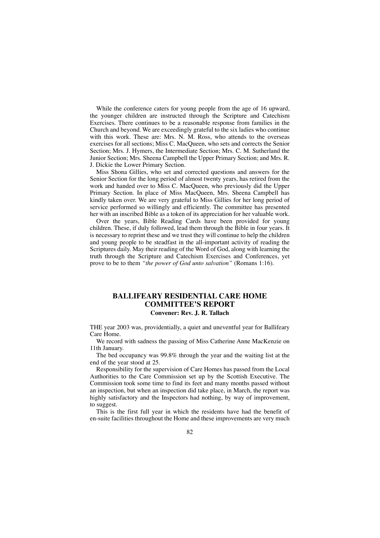While the conference caters for young people from the age of 16 upward, the younger children are instructed through the Scripture and Catechism Exercises. There continues to be a reasonable response from families in the Church and beyond. We are exceedingly grateful to the six ladies who continue with this work. These are: Mrs. N. M. Ross, who attends to the overseas exercises for all sections; Miss C. MacQueen, who sets and corrects the Senior Section; Mrs. J. Hymers, the Intermediate Section; Mrs. C. M. Sutherland the Junior Section; Mrs. Sheena Campbell the Upper Primary Section; and Mrs. R. J. Dickie the Lower Primary Section.

Miss Shona Gillies, who set and corrected questions and answers for the Senior Section for the long period of almost twenty years, has retired from the work and handed over to Miss C. MacQueen, who previously did the Upper Primary Section. In place of Miss MacQueen, Mrs. Sheena Campbell has kindly taken over. We are very grateful to Miss Gillies for her long period of service performed so willingly and efficiently. The committee has presented her with an inscribed Bible as a token of its appreciation for her valuable work.

Over the years, Bible Reading Cards have been provided for young children. These, if duly followed, lead them through the Bible in four years. It is necessary to reprint these and we trust they will continue to help the children and young people to be steadfast in the all-important activity of reading the Scriptures daily. May their reading of the Word of God, along with learning the truth through the Scripture and Catechism Exercises and Conferences, yet prove to be to them *"the power of God unto salvation"* (Romans 1:16).

### **BALLIFEARY RESIDENTIAL CARE HOME COMMITTEE'S REPORT Convener: Rev. J. R. Tallach**

THE year 2003 was, providentially, a quiet and uneventful year for Ballifeary Care Home.

We record with sadness the passing of Miss Catherine Anne MacKenzie on 11th January.

The bed occupancy was 99.8% through the year and the waiting list at the end of the year stood at 25.

Responsibility for the supervision of Care Homes has passed from the Local Authorities to the Care Commission set up by the Scottish Executive. The Commission took some time to find its feet and many months passed without an inspection, but when an inspection did take place, in March, the report was highly satisfactory and the Inspectors had nothing, by way of improvement, to suggest.

This is the first full year in which the residents have had the benefit of en-suite facilities throughout the Home and these improvements are very much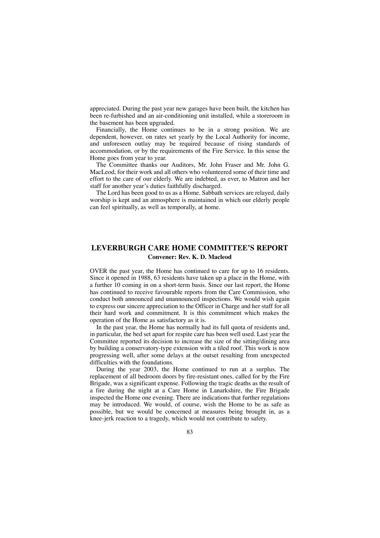appreciated. During the past year new garages have been built, the kitchen has been re-furbished and an air-conditioning unit installed, while a storeroom in the basement has been upgraded.

Financially, the Home continues to be in a strong position. We are dependent, however, on rates set yearly by the Local Authority for income, and unforeseen outlay may be required because of rising standards of accommodation, or by the requirements of the Fire Service. In this sense the Home goes from year to year.

The Committee thanks our Auditors, Mr. John Fraser and Mr. John G. MacLeod, for their work and all others who volunteered some of their time and effort to the care of our elderly. We are indebted, as ever, to Matron and her staff for another year's duties faithfully discharged.

The Lord has been good to us as a Home. Sabbath services are relayed, daily worship is kept and an atmosphere is maintained in which our elderly people can feel spiritually, as well as temporally, at home.

## **LEVERBURGH CARE HOME COMMITTEE'S REPORT Convener: Rev. K. D. Macleod**

OVER the past year, the Home has continued to care for up to 16 residents. Since it opened in 1988, 63 residents have taken up a place in the Home, with a further 10 coming in on a short-term basis. Since our last report, the Home has continued to receive favourable reports from the Care Commission, who conduct both announced and unannounced inspections. We would wish again to express our sincere appreciation to the Officer in Charge and her staff for all their hard work and commitment. It is this commitment which makes the operation of the Home as satisfactory as it is.

In the past year, the Home has normally had its full quota of residents and, in particular, the bed set apart for respite care has been well used. Last year the Committee reported its decision to increase the size of the sitting/dining area by building a conservatory-type extension with a tiled roof. This work is now progressing well, after some delays at the outset resulting from unexpected difficulties with the foundations.

During the year 2003, the Home continued to run at a surplus. The replacement of all bedroom doors by fire-resistant ones, called for by the Fire Brigade, was a significant expense. Following the tragic deaths as the result of a fire during the night at a Care Home in Lanarkshire, the Fire Brigade inspected the Home one evening. There are indications that further regulations may be introduced. We would, of course, wish the Home to be as safe as possible, but we would be concerned at measures being brought in, as a knee-jerk reaction to a tragedy, which would not contribute to safety.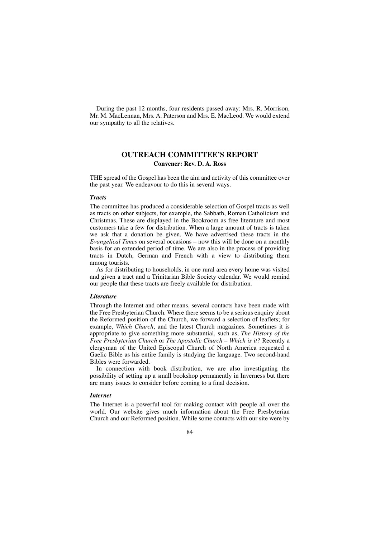During the past 12 months, four residents passed away: Mrs. R. Morrison, Mr. M. MacLennan, Mrs. A. Paterson and Mrs. E. MacLeod. We would extend our sympathy to all the relatives.

## **OUTREACH COMMITTEE'S REPORT Convener: Rev. D. A. Ross**

THE spread of the Gospel has been the aim and activity of this committee over the past year. We endeavour to do this in several ways.

#### *Tracts*

The committee has produced a considerable selection of Gospel tracts as well as tracts on other subjects, for example, the Sabbath, Roman Catholicism and Christmas. These are displayed in the Bookroom as free literature and most customers take a few for distribution. When a large amount of tracts is taken we ask that a donation be given. We have advertised these tracts in the *Evangelical Times* on several occasions – now this will be done on a monthly basis for an extended period of time. We are also in the process of providing tracts in Dutch, German and French with a view to distributing them among tourists.

As for distributing to households, in one rural area every home was visited and given a tract and a Trinitarian Bible Society calendar. We would remind our people that these tracts are freely available for distribution.

#### *Literature*

Through the Internet and other means, several contacts have been made with the Free Presbyterian Church. Where there seems to be a serious enquiry about the Reformed position of the Church, we forward a selection of leaflets; for example, *Which Church*, and the latest Church magazines. Sometimes it is appropriate to give something more substantial, such as, *The History of the Free Presbyterian Church* or *The Apostolic Church – Which is it?* Recently a clergyman of the United Episcopal Church of North America requested a Gaelic Bible as his entire family is studying the language. Two second-hand Bibles were forwarded.

In connection with book distribution, we are also investigating the possibility of setting up a small bookshop permanently in Inverness but there are many issues to consider before coming to a final decision.

#### *Internet*

The Internet is a powerful tool for making contact with people all over the world. Our website gives much information about the Free Presbyterian Church and our Reformed position. While some contacts with our site were by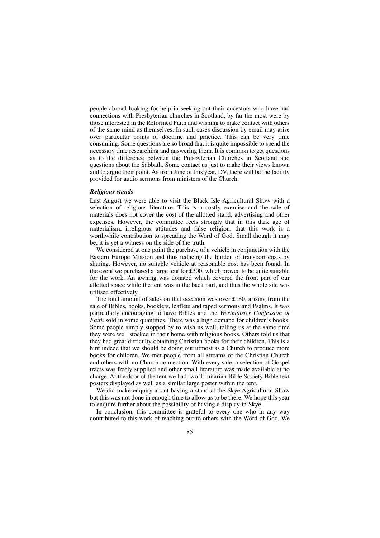people abroad looking for help in seeking out their ancestors who have had connections with Presbyterian churches in Scotland, by far the most were by those interested in the Reformed Faith and wishing to make contact with others of the same mind as themselves. In such cases discussion by email may arise over particular points of doctrine and practice. This can be very time consuming. Some questions are so broad that it is quite impossible to spend the necessary time researching and answering them. It is common to get questions as to the difference between the Presbyterian Churches in Scotland and questions about the Sabbath. Some contact us just to make their views known and to argue their point. As from June of this year, DV, there will be the facility provided for audio sermons from ministers of the Church.

### *Religious stands*

Last August we were able to visit the Black Isle Agricultural Show with a selection of religious literature. This is a costly exercise and the sale of materials does not cover the cost of the allotted stand, advertising and other expenses. However, the committee feels strongly that in this dark age of materialism, irreligious attitudes and false religion, that this work is a worthwhile contribution to spreading the Word of God. Small though it may be, it is yet a witness on the side of the truth.

We considered at one point the purchase of a vehicle in conjunction with the Eastern Europe Mission and thus reducing the burden of transport costs by sharing. However, no suitable vehicle at reasonable cost has been found. In the event we purchased a large tent for £300, which proved to be quite suitable for the work. An awning was donated which covered the front part of our allotted space while the tent was in the back part, and thus the whole site was utilised effectively.

The total amount of sales on that occasion was over £180, arising from the sale of Bibles, books, booklets, leaflets and taped sermons and Psalms. It was particularly encouraging to have Bibles and the *Westminster Confession of Faith* sold in some quantities. There was a high demand for children's books. Some people simply stopped by to wish us well, telling us at the same time they were well stocked in their home with religious books. Others told us that they had great difficulty obtaining Christian books for their children. This is a hint indeed that we should be doing our utmost as a Church to produce more books for children. We met people from all streams of the Christian Church and others with no Church connection. With every sale, a selection of Gospel tracts was freely supplied and other small literature was made available at no charge. At the door of the tent we had two Trinitarian Bible Society Bible text posters displayed as well as a similar large poster within the tent.

We did make enquiry about having a stand at the Skye Agricultural Show but this was not done in enough time to allow us to be there. We hope this year to enquire further about the possibility of having a display in Skye.

In conclusion, this committee is grateful to every one who in any way contributed to this work of reaching out to others with the Word of God. We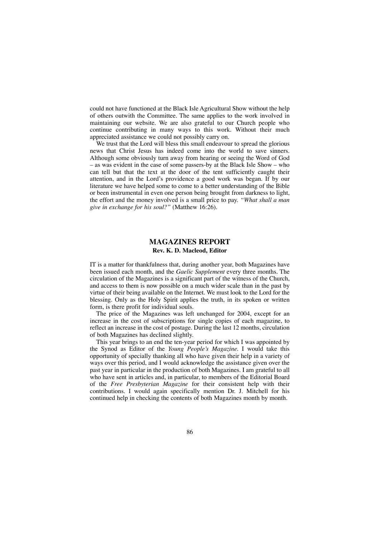could not have functioned at the Black Isle Agricultural Show without the help of others outwith the Committee. The same applies to the work involved in maintaining our website. We are also grateful to our Church people who continue contributing in many ways to this work. Without their much appreciated assistance we could not possibly carry on.

We trust that the Lord will bless this small endeavour to spread the glorious news that Christ Jesus has indeed come into the world to save sinners. Although some obviously turn away from hearing or seeing the Word of God – as was evident in the case of some passers-by at the Black Isle Show – who can tell but that the text at the door of the tent sufficiently caught their attention, and in the Lord's providence a good work was began. If by our literature we have helped some to come to a better understanding of the Bible or been instrumental in even one person being brought from darkness to light, the effort and the money involved is a small price to pay. *"What shall a man give in exchange for his soul?"* (Matthew 16:26).

## **MAGAZINES REPORT Rev. K. D. Macleod, Editor**

IT is a matter for thankfulness that, during another year, both Magazines have been issued each month, and the *Gaelic Supplement* every three months. The circulation of the Magazines is a significant part of the witness of the Church, and access to them is now possible on a much wider scale than in the past by virtue of their being available on the Internet. We must look to the Lord for the blessing. Only as the Holy Spirit applies the truth, in its spoken or written form, is there profit for individual souls.

The price of the Magazines was left unchanged for 2004, except for an increase in the cost of subscriptions for single copies of each magazine, to reflect an increase in the cost of postage. During the last 12 months, circulation of both Magazines has declined slightly.

This year brings to an end the ten-year period for which I was appointed by the Synod as Editor of the *Young People's Magazine.* I would take this opportunity of specially thanking all who have given their help in a variety of ways over this period, and I would acknowledge the assistance given over the past year in particular in the production of both Magazines. I am grateful to all who have sent in articles and, in particular, to members of the Editorial Board of the *Free Presbyterian Magazine* for their consistent help with their contributions. I would again specifically mention Dr. J. Mitchell for his continued help in checking the contents of both Magazines month by month.